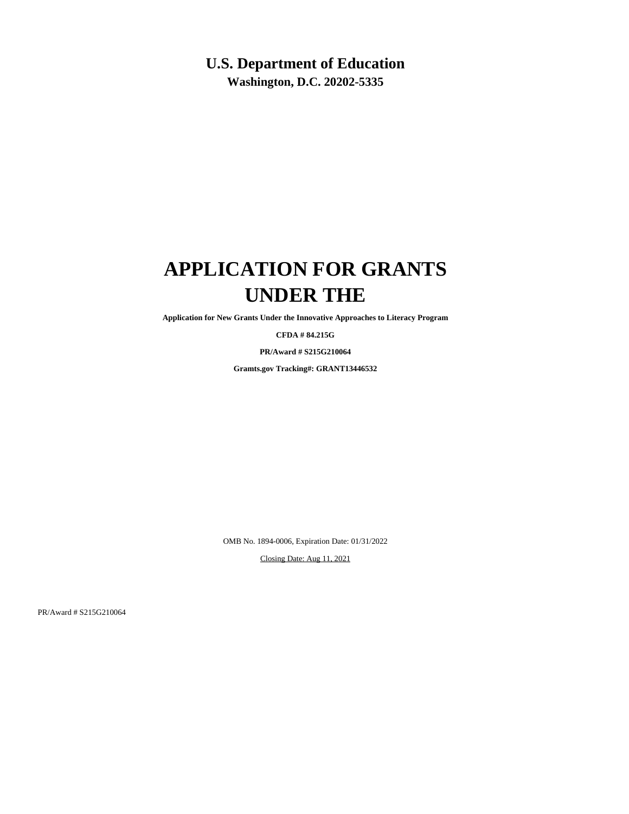# **U.S. Department of Education**

**Washington, D.C. 20202-5335**

# **APPLICATION FOR GRANTS UNDER THE**

**Application for New Grants Under the Innovative Approaches to Literacy Program**

**CFDA # 84.215G**

**PR/Award # S215G210064**

**Gramts.gov Tracking#: GRANT13446532**

OMB No. 1894-0006, Expiration Date: 01/31/2022

Closing Date: Aug 11, 2021

PR/Award # S215G210064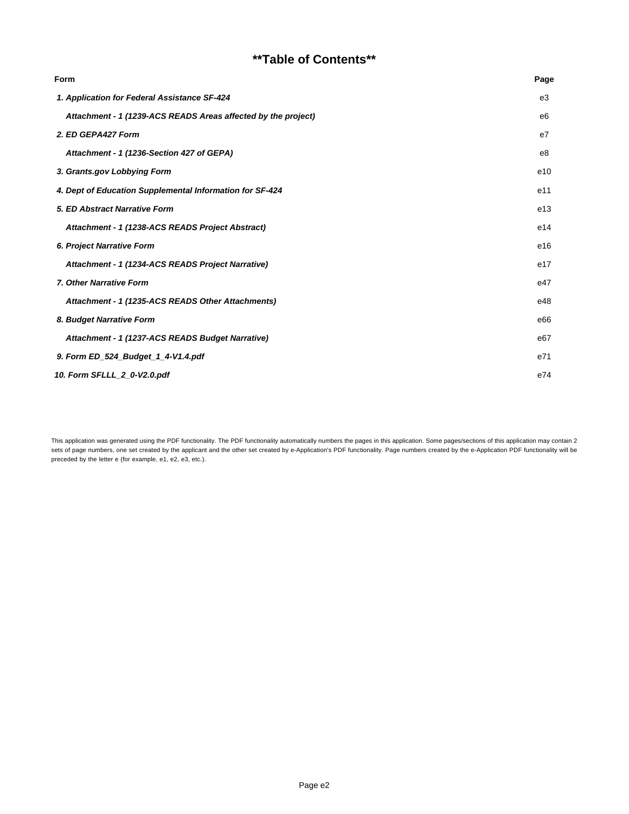# **\*\*Table of Contents\*\***

| Form                                                          | Page |
|---------------------------------------------------------------|------|
| 1. Application for Federal Assistance SF-424                  | e3   |
| Attachment - 1 (1239-ACS READS Areas affected by the project) | e6   |
| 2. ED GEPA427 Form                                            | e7   |
| Attachment - 1 (1236-Section 427 of GEPA)                     | e8   |
| 3. Grants.gov Lobbying Form                                   | e10  |
| 4. Dept of Education Supplemental Information for SF-424      | e11  |
| 5. ED Abstract Narrative Form                                 | e13  |
| Attachment - 1 (1238-ACS READS Project Abstract)              | e14  |
| 6. Project Narrative Form                                     | e16  |
| Attachment - 1 (1234-ACS READS Project Narrative)             | e17  |
| 7. Other Narrative Form                                       | e47  |
| Attachment - 1 (1235-ACS READS Other Attachments)             | e48  |
| 8. Budget Narrative Form                                      | e66  |
| Attachment - 1 (1237-ACS READS Budget Narrative)              | e67  |
| 9. Form ED_524_Budget_1_4-V1.4.pdf                            | e71  |
| 10. Form SFLLL_2_0-V2.0.pdf                                   | e74  |

This application was generated using the PDF functionality. The PDF functionality automatically numbers the pages in this application. Some pages/sections of this application may contain 2 sets of page numbers, one set created by the applicant and the other set created by e-Application's PDF functionality. Page numbers created by the e-Application PDF functionality will be preceded by the letter e (for example, e1, e2, e3, etc.).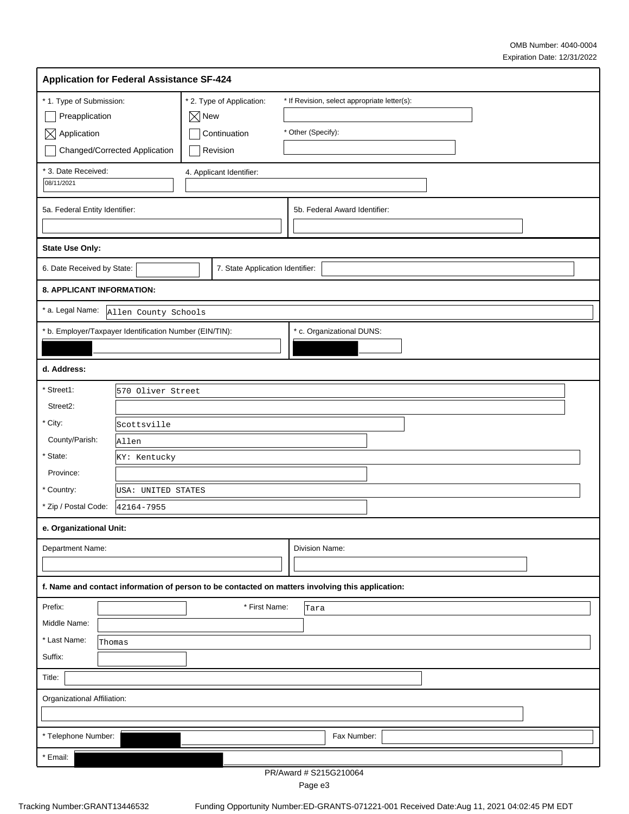| <b>Application for Federal Assistance SF-424</b>                                                 |                                                           |                 |                                                       |  |                                                                                                                                                                                                                                                                                                                                                                                      |  |
|--------------------------------------------------------------------------------------------------|-----------------------------------------------------------|-----------------|-------------------------------------------------------|--|--------------------------------------------------------------------------------------------------------------------------------------------------------------------------------------------------------------------------------------------------------------------------------------------------------------------------------------------------------------------------------------|--|
| * 1. Type of Submission:<br>Preapplication<br>$\boxtimes$ Application                            | Changed/Corrected Application                             | $\boxtimes$ New | * 2. Type of Application:<br>Continuation<br>Revision |  | * If Revision, select appropriate letter(s):<br>* Other (Specify):                                                                                                                                                                                                                                                                                                                   |  |
| * 3. Date Received:<br>08/11/2021                                                                |                                                           |                 | 4. Applicant Identifier:                              |  |                                                                                                                                                                                                                                                                                                                                                                                      |  |
| 5a. Federal Entity Identifier:                                                                   |                                                           |                 |                                                       |  | 5b. Federal Award Identifier:                                                                                                                                                                                                                                                                                                                                                        |  |
| <b>State Use Only:</b>                                                                           |                                                           |                 |                                                       |  |                                                                                                                                                                                                                                                                                                                                                                                      |  |
| 6. Date Received by State:                                                                       |                                                           |                 | 7. State Application Identifier:                      |  |                                                                                                                                                                                                                                                                                                                                                                                      |  |
| 8. APPLICANT INFORMATION:                                                                        |                                                           |                 |                                                       |  |                                                                                                                                                                                                                                                                                                                                                                                      |  |
| * a. Legal Name:                                                                                 | Allen County Schools                                      |                 |                                                       |  |                                                                                                                                                                                                                                                                                                                                                                                      |  |
| * b. Employer/Taxpayer Identification Number (EIN/TIN):                                          |                                                           |                 |                                                       |  | * c. Organizational DUNS:                                                                                                                                                                                                                                                                                                                                                            |  |
| d. Address:                                                                                      |                                                           |                 |                                                       |  |                                                                                                                                                                                                                                                                                                                                                                                      |  |
| * Street1:<br>Street2:<br>* City:<br>County/Parish:<br>* State:                                  | 570 Oliver Street<br>Scottsville<br>Allen<br>KY: Kentucky |                 |                                                       |  |                                                                                                                                                                                                                                                                                                                                                                                      |  |
| Province:<br>* Country:<br>* Zip / Postal Code:                                                  | USA: UNITED STATES<br>42164-7955                          |                 |                                                       |  |                                                                                                                                                                                                                                                                                                                                                                                      |  |
| e. Organizational Unit:                                                                          |                                                           |                 |                                                       |  |                                                                                                                                                                                                                                                                                                                                                                                      |  |
| Department Name:                                                                                 |                                                           |                 |                                                       |  | Division Name:                                                                                                                                                                                                                                                                                                                                                                       |  |
| f. Name and contact information of person to be contacted on matters involving this application: |                                                           |                 |                                                       |  |                                                                                                                                                                                                                                                                                                                                                                                      |  |
| Prefix:<br>Middle Name:<br>* Last Name:<br>Suffix:                                               | Thomas                                                    |                 | * First Name:                                         |  | Tara                                                                                                                                                                                                                                                                                                                                                                                 |  |
| Title:                                                                                           |                                                           |                 |                                                       |  |                                                                                                                                                                                                                                                                                                                                                                                      |  |
| Organizational Affiliation:                                                                      |                                                           |                 |                                                       |  |                                                                                                                                                                                                                                                                                                                                                                                      |  |
| * Telephone Number:                                                                              |                                                           |                 |                                                       |  | Fax Number:                                                                                                                                                                                                                                                                                                                                                                          |  |
| * Email:                                                                                         |                                                           |                 | DD/A                                                  |  | $\overline{u}$ $\overline{u}$ $\overline{u}$ $\overline{u}$ $\overline{u}$ $\overline{u}$ $\overline{u}$ $\overline{u}$ $\overline{u}$ $\overline{u}$ $\overline{u}$ $\overline{u}$ $\overline{u}$ $\overline{u}$ $\overline{u}$ $\overline{u}$ $\overline{u}$ $\overline{u}$ $\overline{u}$ $\overline{u}$ $\overline{u}$ $\overline{u}$ $\overline{u}$ $\overline{u}$ $\overline{$ |  |

PR/Award # S215G210064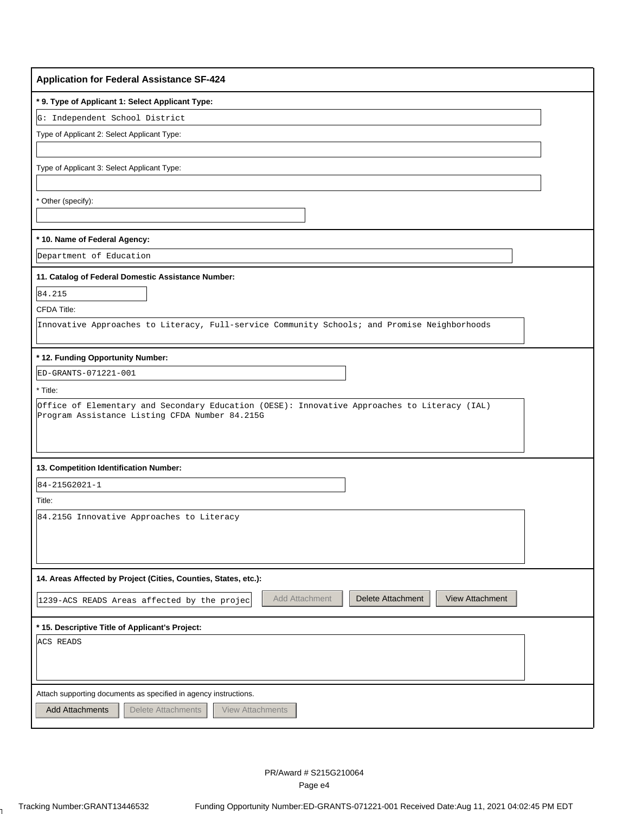| <b>Application for Federal Assistance SF-424</b>                                                                                               |
|------------------------------------------------------------------------------------------------------------------------------------------------|
| * 9. Type of Applicant 1: Select Applicant Type:                                                                                               |
| G: Independent School District                                                                                                                 |
| Type of Applicant 2: Select Applicant Type:                                                                                                    |
|                                                                                                                                                |
| Type of Applicant 3: Select Applicant Type:                                                                                                    |
|                                                                                                                                                |
| Other (specify):                                                                                                                               |
|                                                                                                                                                |
| * 10. Name of Federal Agency:                                                                                                                  |
| Department of Education                                                                                                                        |
| 11. Catalog of Federal Domestic Assistance Number:                                                                                             |
| 84.215                                                                                                                                         |
| CFDA Title:                                                                                                                                    |
| Innovative Approaches to Literacy, Full-service Community Schools; and Promise Neighborhoods                                                   |
| * 12. Funding Opportunity Number:                                                                                                              |
| ED-GRANTS-071221-001                                                                                                                           |
| * Title:                                                                                                                                       |
| Office of Elementary and Secondary Education (OESE): Innovative Approaches to Literacy (IAL)<br>Program Assistance Listing CFDA Number 84.215G |
| 13. Competition Identification Number:                                                                                                         |
| 84-215G2021-1                                                                                                                                  |
| Title:                                                                                                                                         |
| 84.215G Innovative Approaches to Literacy                                                                                                      |
|                                                                                                                                                |
|                                                                                                                                                |
| 14. Areas Affected by Project (Cities, Counties, States, etc.):                                                                                |
| <b>Add Attachment</b><br>Delete Attachment<br><b>View Attachment</b><br>1239-ACS READS Areas affected by the projec                            |
| * 15. Descriptive Title of Applicant's Project:                                                                                                |
| ACS READS                                                                                                                                      |
|                                                                                                                                                |
| Attach supporting documents as specified in agency instructions.                                                                               |
| Delete Attachments<br><b>Add Attachments</b><br><b>View Attachments</b>                                                                        |
|                                                                                                                                                |

 $\mathbf{L}$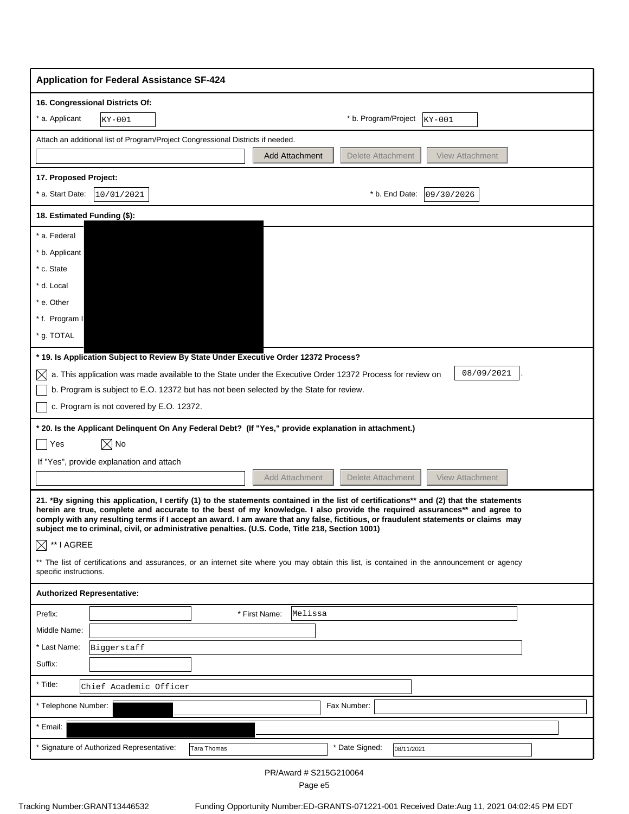| <b>Application for Federal Assistance SF-424</b>                                                                                                                                                                                                                                                                                                                                                                                                                                                                                                                                                                                                                                                                     |
|----------------------------------------------------------------------------------------------------------------------------------------------------------------------------------------------------------------------------------------------------------------------------------------------------------------------------------------------------------------------------------------------------------------------------------------------------------------------------------------------------------------------------------------------------------------------------------------------------------------------------------------------------------------------------------------------------------------------|
| 16. Congressional Districts Of:                                                                                                                                                                                                                                                                                                                                                                                                                                                                                                                                                                                                                                                                                      |
| * a. Applicant<br>* b. Program/Project<br>KY-001<br>KY-001                                                                                                                                                                                                                                                                                                                                                                                                                                                                                                                                                                                                                                                           |
| Attach an additional list of Program/Project Congressional Districts if needed.                                                                                                                                                                                                                                                                                                                                                                                                                                                                                                                                                                                                                                      |
| Delete Attachment<br>View Attachment<br><b>Add Attachment</b>                                                                                                                                                                                                                                                                                                                                                                                                                                                                                                                                                                                                                                                        |
| 17. Proposed Project:                                                                                                                                                                                                                                                                                                                                                                                                                                                                                                                                                                                                                                                                                                |
| * a. Start Date:<br>* b. End Date:<br>09/30/2026<br>10/01/2021                                                                                                                                                                                                                                                                                                                                                                                                                                                                                                                                                                                                                                                       |
| 18. Estimated Funding (\$):                                                                                                                                                                                                                                                                                                                                                                                                                                                                                                                                                                                                                                                                                          |
| * a. Federal                                                                                                                                                                                                                                                                                                                                                                                                                                                                                                                                                                                                                                                                                                         |
| * b. Applicant                                                                                                                                                                                                                                                                                                                                                                                                                                                                                                                                                                                                                                                                                                       |
| * c. State                                                                                                                                                                                                                                                                                                                                                                                                                                                                                                                                                                                                                                                                                                           |
| * d. Local                                                                                                                                                                                                                                                                                                                                                                                                                                                                                                                                                                                                                                                                                                           |
| * e. Other                                                                                                                                                                                                                                                                                                                                                                                                                                                                                                                                                                                                                                                                                                           |
| * f. Program I                                                                                                                                                                                                                                                                                                                                                                                                                                                                                                                                                                                                                                                                                                       |
| * g. TOTAL                                                                                                                                                                                                                                                                                                                                                                                                                                                                                                                                                                                                                                                                                                           |
| * 19. Is Application Subject to Review By State Under Executive Order 12372 Process?                                                                                                                                                                                                                                                                                                                                                                                                                                                                                                                                                                                                                                 |
| 08/09/2021<br>a. This application was made available to the State under the Executive Order 12372 Process for review on<br>M                                                                                                                                                                                                                                                                                                                                                                                                                                                                                                                                                                                         |
| b. Program is subject to E.O. 12372 but has not been selected by the State for review.                                                                                                                                                                                                                                                                                                                                                                                                                                                                                                                                                                                                                               |
| c. Program is not covered by E.O. 12372.                                                                                                                                                                                                                                                                                                                                                                                                                                                                                                                                                                                                                                                                             |
| * 20. Is the Applicant Delinquent On Any Federal Debt? (If "Yes," provide explanation in attachment.)                                                                                                                                                                                                                                                                                                                                                                                                                                                                                                                                                                                                                |
| $\boxtimes$ No<br>  Yes                                                                                                                                                                                                                                                                                                                                                                                                                                                                                                                                                                                                                                                                                              |
| If "Yes", provide explanation and attach                                                                                                                                                                                                                                                                                                                                                                                                                                                                                                                                                                                                                                                                             |
| Delete Attachment<br><b>View Attachment</b><br><b>Add Attachment</b>                                                                                                                                                                                                                                                                                                                                                                                                                                                                                                                                                                                                                                                 |
| 21. *By signing this application, I certify (1) to the statements contained in the list of certifications** and (2) that the statements<br>herein are true, complete and accurate to the best of my knowledge. I also provide the required assurances** and agree to<br>comply with any resulting terms if I accept an award. I am aware that any false, fictitious, or fraudulent statements or claims may<br>subject me to criminal, civil, or administrative penalties. (U.S. Code, Title 218, Section 1001)<br>** I AGREE<br>$\bowtie$<br>** The list of certifications and assurances, or an internet site where you may obtain this list, is contained in the announcement or agency<br>specific instructions. |
| <b>Authorized Representative:</b>                                                                                                                                                                                                                                                                                                                                                                                                                                                                                                                                                                                                                                                                                    |
| Melissa<br>Prefix:<br>* First Name:                                                                                                                                                                                                                                                                                                                                                                                                                                                                                                                                                                                                                                                                                  |
| Middle Name:                                                                                                                                                                                                                                                                                                                                                                                                                                                                                                                                                                                                                                                                                                         |
| * Last Name:<br>Biggerstaff                                                                                                                                                                                                                                                                                                                                                                                                                                                                                                                                                                                                                                                                                          |
| Suffix:                                                                                                                                                                                                                                                                                                                                                                                                                                                                                                                                                                                                                                                                                                              |
| * Title:<br>Chief Academic Officer                                                                                                                                                                                                                                                                                                                                                                                                                                                                                                                                                                                                                                                                                   |
| * Telephone Number:<br>Fax Number:                                                                                                                                                                                                                                                                                                                                                                                                                                                                                                                                                                                                                                                                                   |
| Email:                                                                                                                                                                                                                                                                                                                                                                                                                                                                                                                                                                                                                                                                                                               |
| * Date Signed:<br>* Signature of Authorized Representative:<br>Tara Thomas<br>08/11/2021                                                                                                                                                                                                                                                                                                                                                                                                                                                                                                                                                                                                                             |

PR/Award # S215G210064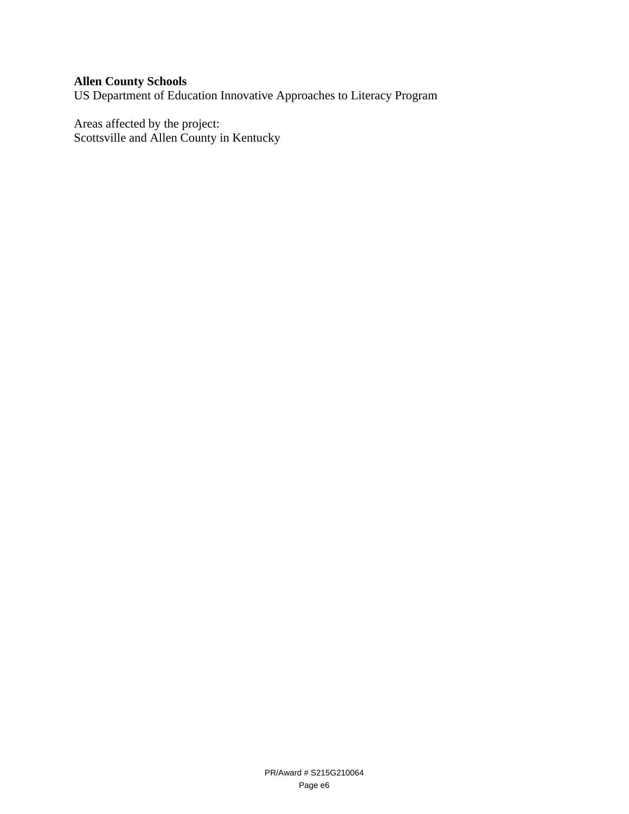## **Allen County Schools**

US Department of Education Innovative Approaches to Literacy Program

Areas affected by the project: Scottsville and Allen County in Kentucky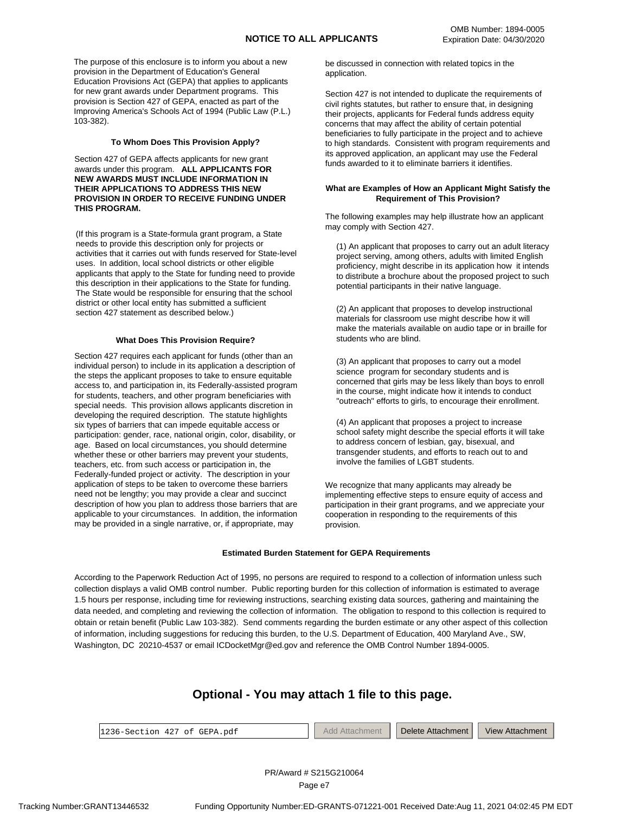The purpose of this enclosure is to inform you about a new provision in the Department of Education's General Education Provisions Act (GEPA) that applies to applicants for new grant awards under Department programs. This provision is Section 427 of GEPA, enacted as part of the Improving America's Schools Act of 1994 (Public Law (P.L.) 103-382).

#### **To Whom Does This Provision Apply?**

Section 427 of GEPA affects applicants for new grant awards under this program. **ALL APPLICANTS FOR NEW AWARDS MUST INCLUDE INFORMATION IN THEIR APPLICATIONS TO ADDRESS THIS NEW PROVISION IN ORDER TO RECEIVE FUNDING UNDER THIS PROGRAM.** 

(If this program is a State-formula grant program, a State needs to provide this description only for projects or activities that it carries out with funds reserved for State-level uses. In addition, local school districts or other eligible applicants that apply to the State for funding need to provide this description in their applications to the State for funding. The State would be responsible for ensuring that the school district or other local entity has submitted a sufficient section 427 statement as described below.)

#### **What Does This Provision Require?**

Section 427 requires each applicant for funds (other than an individual person) to include in its application a description of the steps the applicant proposes to take to ensure equitable access to, and participation in, its Federally-assisted program for students, teachers, and other program beneficiaries with special needs. This provision allows applicants discretion in developing the required description. The statute highlights six types of barriers that can impede equitable access or participation: gender, race, national origin, color, disability, or age. Based on local circumstances, you should determine whether these or other barriers may prevent your students, teachers, etc. from such access or participation in, the Federally-funded project or activity. The description in your application of steps to be taken to overcome these barriers need not be lengthy; you may provide a clear and succinct description of how you plan to address those barriers that are applicable to your circumstances. In addition, the information may be provided in a single narrative, or, if appropriate, may

be discussed in connection with related topics in the application.

Section 427 is not intended to duplicate the requirements of civil rights statutes, but rather to ensure that, in designing their projects, applicants for Federal funds address equity concerns that may affect the ability of certain potential beneficiaries to fully participate in the project and to achieve to high standards. Consistent with program requirements and its approved application, an applicant may use the Federal funds awarded to it to eliminate barriers it identifies.

#### **What are Examples of How an Applicant Might Satisfy the Requirement of This Provision?**

The following examples may help illustrate how an applicant may comply with Section 427.

(1) An applicant that proposes to carry out an adult literacy project serving, among others, adults with limited English proficiency, might describe in its application how it intends to distribute a brochure about the proposed project to such potential participants in their native language.

(2) An applicant that proposes to develop instructional materials for classroom use might describe how it will make the materials available on audio tape or in braille for students who are blind.

(3) An applicant that proposes to carry out a model science program for secondary students and is concerned that girls may be less likely than boys to enroll in the course, might indicate how it intends to conduct "outreach" efforts to girls, to encourage their enrollment.

(4) An applicant that proposes a project to increase school safety might describe the special efforts it will take to address concern of lesbian, gay, bisexual, and transgender students, and efforts to reach out to and involve the families of LGBT students.

We recognize that many applicants may already be implementing effective steps to ensure equity of access and participation in their grant programs, and we appreciate your cooperation in responding to the requirements of this provision.

#### **Estimated Burden Statement for GEPA Requirements**

According to the Paperwork Reduction Act of 1995, no persons are required to respond to a collection of information unless such collection displays a valid OMB control number. Public reporting burden for this collection of information is estimated to average 1.5 hours per response, including time for reviewing instructions, searching existing data sources, gathering and maintaining the data needed, and completing and reviewing the collection of information. The obligation to respond to this collection is required to obtain or retain benefit (Public Law 103-382). Send comments regarding the burden estimate or any other aspect of this collection of information, including suggestions for reducing this burden, to the U.S. Department of Education, 400 Maryland Ave., SW, Washington, DC 20210-4537 or email ICDocketMgr@ed.gov and reference the OMB Control Number 1894-0005.

# **Optional - You may attach 1 file to this page.**

1236-Section 427 of GEPA.pdf **Add Attachment** Delete Attachment View Attachment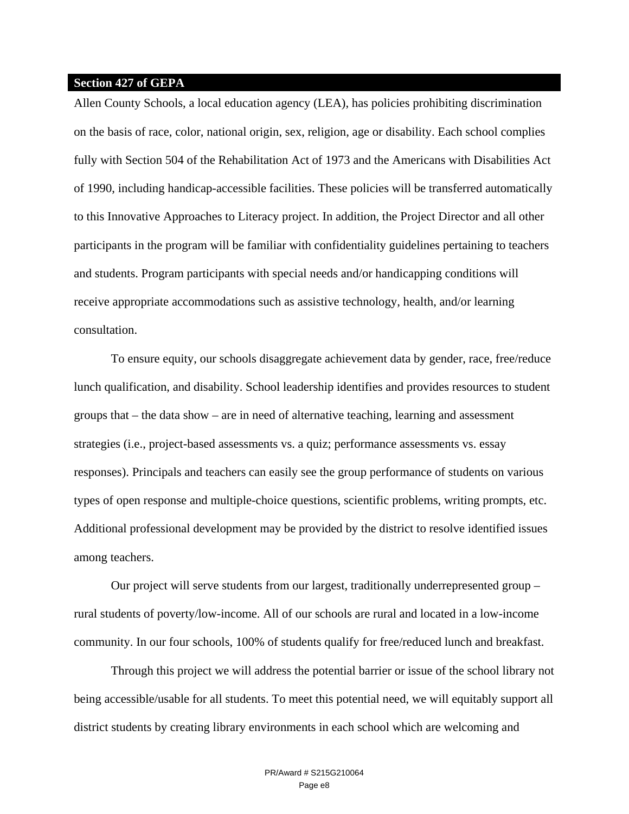### **Section 427 of GEPA**

Allen County Schools, a local education agency (LEA), has policies prohibiting discrimination on the basis of race, color, national origin, sex, religion, age or disability. Each school complies fully with Section 504 of the Rehabilitation Act of 1973 and the Americans with Disabilities Act of 1990, including handicap-accessible facilities. These policies will be transferred automatically to this Innovative Approaches to Literacy project. In addition, the Project Director and all other participants in the program will be familiar with confidentiality guidelines pertaining to teachers and students. Program participants with special needs and/or handicapping conditions will receive appropriate accommodations such as assistive technology, health, and/or learning consultation.

 To ensure equity, our schools disaggregate achievement data by gender, race, free/reduce lunch qualification, and disability. School leadership identifies and provides resources to student groups that – the data show – are in need of alternative teaching, learning and assessment strategies (i.e., project-based assessments vs. a quiz; performance assessments vs. essay responses). Principals and teachers can easily see the group performance of students on various types of open response and multiple-choice questions, scientific problems, writing prompts, etc. Additional professional development may be provided by the district to resolve identified issues among teachers.

 Our project will serve students from our largest, traditionally underrepresented group – rural students of poverty/low-income. All of our schools are rural and located in a low-income community. In our four schools, 100% of students qualify for free/reduced lunch and breakfast.

 Through this project we will address the potential barrier or issue of the school library not being accessible/usable for all students. To meet this potential need, we will equitably support all district students by creating library environments in each school which are welcoming and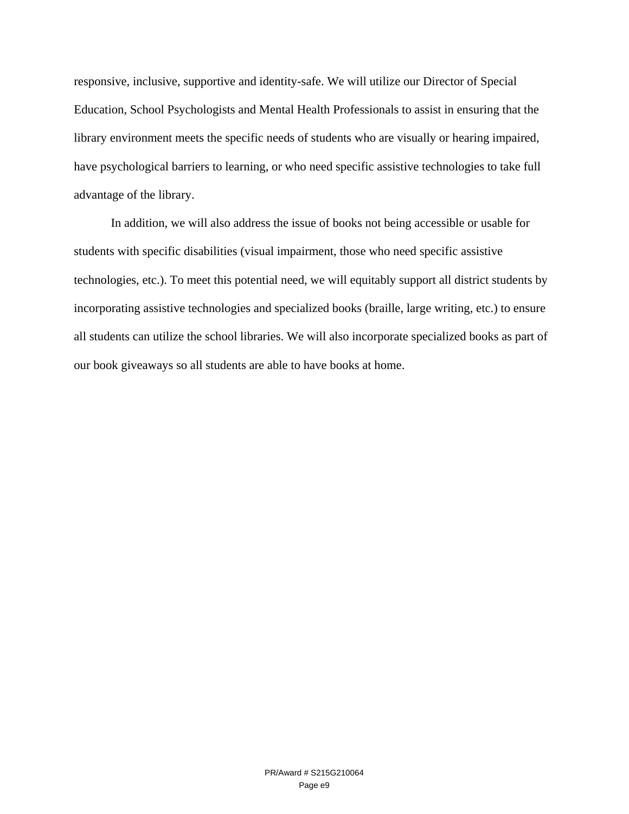responsive, inclusive, supportive and identity-safe. We will utilize our Director of Special Education, School Psychologists and Mental Health Professionals to assist in ensuring that the library environment meets the specific needs of students who are visually or hearing impaired, have psychological barriers to learning, or who need specific assistive technologies to take full advantage of the library.

 In addition, we will also address the issue of books not being accessible or usable for students with specific disabilities (visual impairment, those who need specific assistive technologies, etc.). To meet this potential need, we will equitably support all district students by incorporating assistive technologies and specialized books (braille, large writing, etc.) to ensure all students can utilize the school libraries. We will also incorporate specialized books as part of our book giveaways so all students are able to have books at home.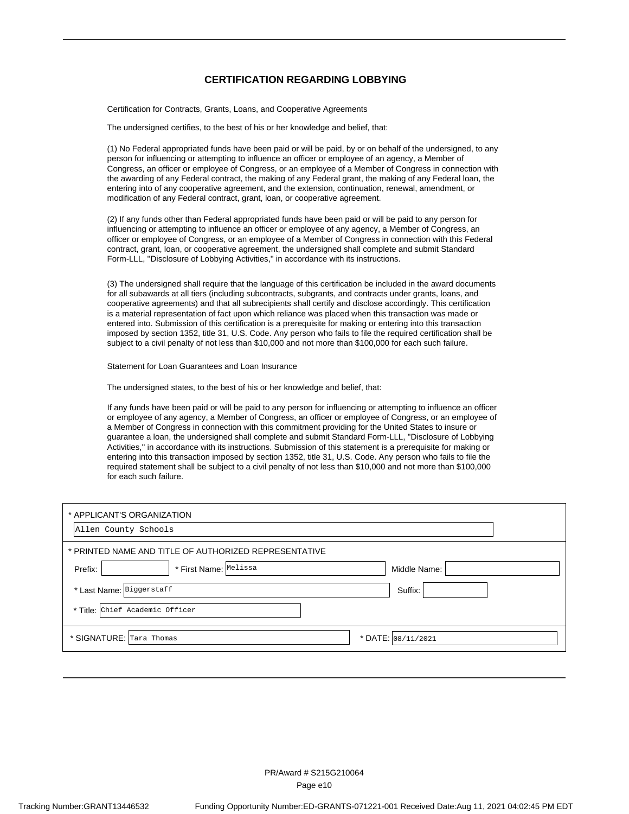#### **CERTIFICATION REGARDING LOBBYING**

Certification for Contracts, Grants, Loans, and Cooperative Agreements

The undersigned certifies, to the best of his or her knowledge and belief, that:

(1) No Federal appropriated funds have been paid or will be paid, by or on behalf of the undersigned, to any person for influencing or attempting to influence an officer or employee of an agency, a Member of Congress, an officer or employee of Congress, or an employee of a Member of Congress in connection with the awarding of any Federal contract, the making of any Federal grant, the making of any Federal loan, the entering into of any cooperative agreement, and the extension, continuation, renewal, amendment, or modification of any Federal contract, grant, loan, or cooperative agreement.

(2) If any funds other than Federal appropriated funds have been paid or will be paid to any person for influencing or attempting to influence an officer or employee of any agency, a Member of Congress, an officer or employee of Congress, or an employee of a Member of Congress in connection with this Federal contract, grant, loan, or cooperative agreement, the undersigned shall complete and submit Standard Form-LLL, ''Disclosure of Lobbying Activities,'' in accordance with its instructions.

(3) The undersigned shall require that the language of this certification be included in the award documents for all subawards at all tiers (including subcontracts, subgrants, and contracts under grants, loans, and cooperative agreements) and that all subrecipients shall certify and disclose accordingly. This certification is a material representation of fact upon which reliance was placed when this transaction was made or entered into. Submission of this certification is a prerequisite for making or entering into this transaction imposed by section 1352, title 31, U.S. Code. Any person who fails to file the required certification shall be subject to a civil penalty of not less than \$10,000 and not more than \$100,000 for each such failure.

Statement for Loan Guarantees and Loan Insurance

The undersigned states, to the best of his or her knowledge and belief, that:

If any funds have been paid or will be paid to any person for influencing or attempting to influence an officer or employee of any agency, a Member of Congress, an officer or employee of Congress, or an employee of a Member of Congress in connection with this commitment providing for the United States to insure or guarantee a loan, the undersigned shall complete and submit Standard Form-LLL, ''Disclosure of Lobbying Activities,'' in accordance with its instructions. Submission of this statement is a prerequisite for making or entering into this transaction imposed by section 1352, title 31, U.S. Code. Any person who fails to file the required statement shall be subject to a civil penalty of not less than \$10,000 and not more than \$100,000 for each such failure.

| * APPLICANT'S ORGANIZATION                            |                    |
|-------------------------------------------------------|--------------------|
| Allen County Schools                                  |                    |
| * PRINTED NAME AND TITLE OF AUTHORIZED REPRESENTATIVE |                    |
| * First Name: Melissa<br>Prefix:                      | Middle Name:       |
| * Last Name: Biggerstaff                              | Suffix:            |
| * Title: Chief Academic Officer                       |                    |
| * SIGNATURE: Tara Thomas                              | * DATE: 08/11/2021 |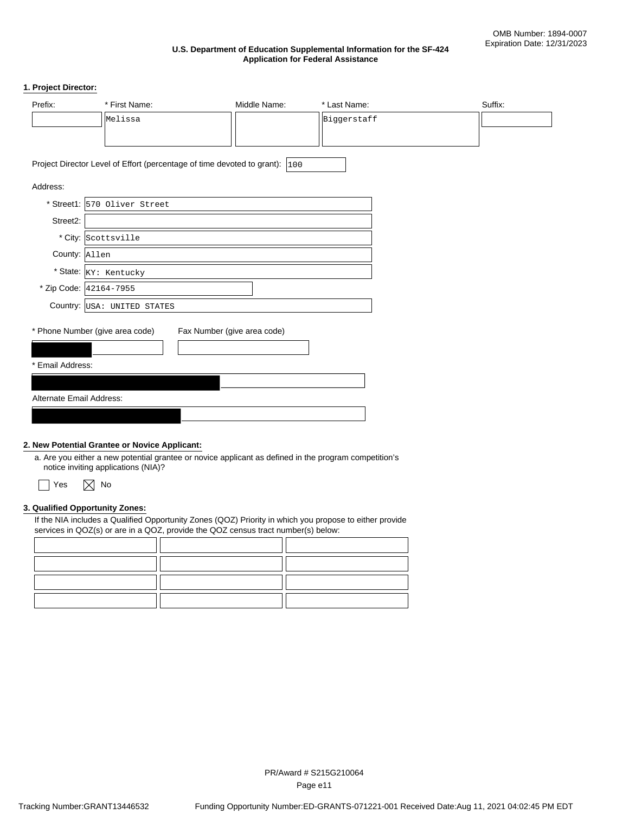#### **U.S. Department of Education Supplemental Information for the SF-424 Application for Federal Assistance**

#### **1. Project Director:**

| Prefix:                  | * First Name:                                                               | Middle Name:                | * Last Name: | Suffix: |
|--------------------------|-----------------------------------------------------------------------------|-----------------------------|--------------|---------|
|                          | Melissa                                                                     |                             | Biggerstaff  |         |
|                          |                                                                             |                             |              |         |
|                          |                                                                             |                             |              |         |
|                          | Project Director Level of Effort (percentage of time devoted to grant): 100 |                             |              |         |
| Address:                 |                                                                             |                             |              |         |
|                          | * Street1: 570 Oliver Street                                                |                             |              |         |
| Street2:                 |                                                                             |                             |              |         |
|                          | * City: Scottsville                                                         |                             |              |         |
|                          | County: Allen                                                               |                             |              |         |
|                          | * State: KY: Kentucky                                                       |                             |              |         |
|                          | * Zip Code: 42164-7955                                                      |                             |              |         |
|                          | Country: USA: UNITED STATES                                                 |                             |              |         |
|                          | * Phone Number (give area code)                                             | Fax Number (give area code) |              |         |
|                          |                                                                             |                             |              |         |
| * Email Address:         |                                                                             |                             |              |         |
|                          |                                                                             |                             |              |         |
| Alternate Email Address: |                                                                             |                             |              |         |
|                          |                                                                             |                             |              |         |
|                          |                                                                             |                             |              |         |
|                          | 2. New Potential Grantee or Novice Applicant:                               |                             |              |         |

a. Are you either a new potential grantee or novice applicant as defined in the program competition's notice inviting applications (NIA)?



#### **3. Qualified Opportunity Zones:**

If the NIA includes a Qualified Opportunity Zones (QOZ) Priority in which you propose to either provide services in QOZ(s) or are in a QOZ, provide the QOZ census tract number(s) below: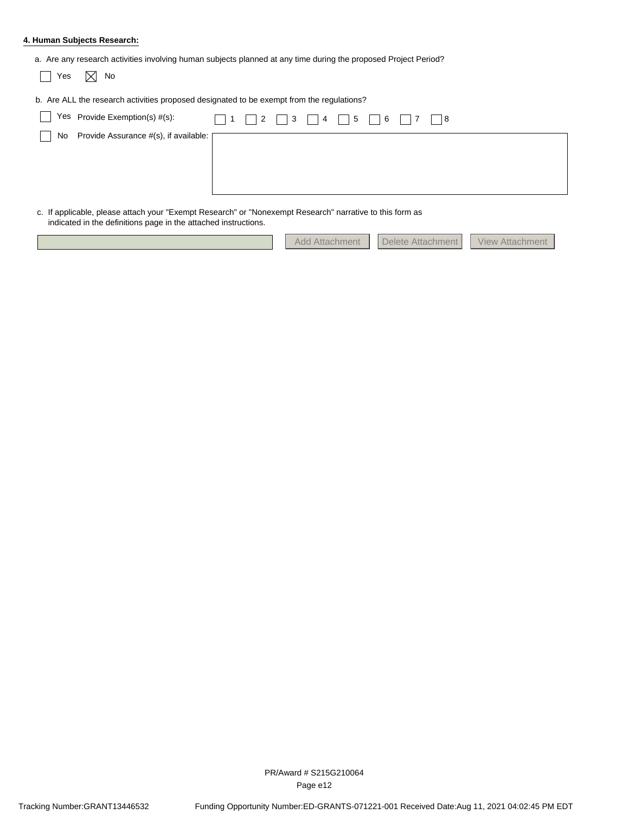#### **4. Human Subjects Research:**

| Yes | No                                                                                        |                     |                                                             |  |
|-----|-------------------------------------------------------------------------------------------|---------------------|-------------------------------------------------------------|--|
|     | b. Are ALL the research activities proposed designated to be exempt from the regulations? |                     |                                                             |  |
|     | Yes Provide Exemption(s) #(s):                                                            | $\vert$ 1 $\vert$ 2 | $\Box$ 3 $\Box$ 4 $\Box$ 5 $\Box$ 6 $\Box$ 7<br>$\vert$   8 |  |
| No  | Provide Assurance #(s), if available: [                                                   |                     |                                                             |  |
|     |                                                                                           |                     | .                                                           |  |

c. If applicable, please attach your "Exempt Research" or "Nonexempt Research" narrative to this form as indicated in the definitions page in the attached instructions.

|  |  | Add Attachment   Delete Attachment   View Attachment |  |
|--|--|------------------------------------------------------|--|
|  |  |                                                      |  |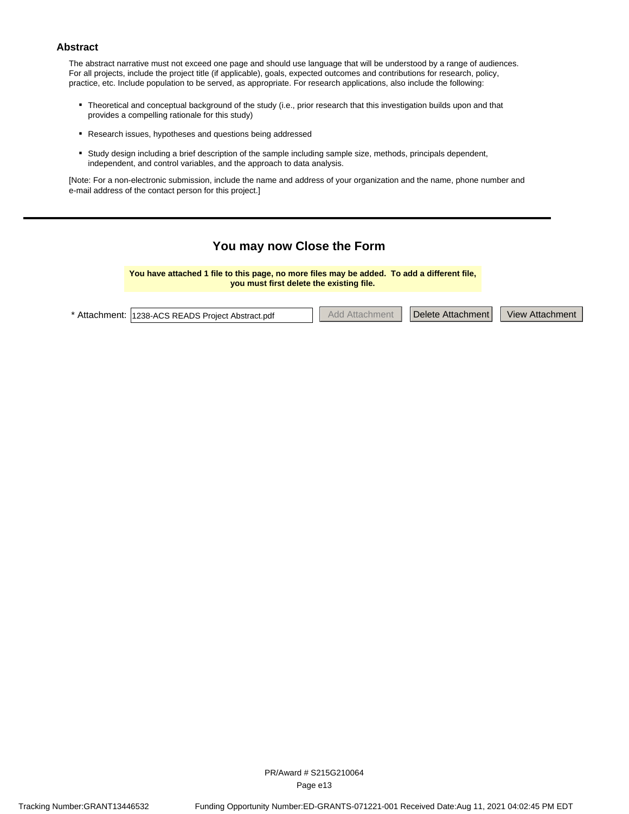#### **Abstract**

The abstract narrative must not exceed one page and should use language that will be understood by a range of audiences. For all projects, include the project title (if applicable), goals, expected outcomes and contributions for research, policy, practice, etc. Include population to be served, as appropriate. For research applications, also include the following:

- Theoretical and conceptual background of the study (i.e., prior research that this investigation builds upon and that provides a competition retired for this ctudy). provides a compelling rationale for this study)
- **·** Research issues, hypotheses and questions being addressed
- Study design including a brief description of the sample including sample size, methods, principals dependent, independent, independent, independent, and control variables, and the approach to data analysis.

[Note: For a non-electronic submission, include the name and address of your organization and the name, phone number and e-mail address of the contact person for this project.]

### **You may now Close the Form**

**You have attached 1 file to this page, no more files may be added. To add a different file, you must first delete the existing file.**

| * Attachment: 1238-ACS READS Project Abstract.pdf | Add | Delete Attachment | <b>View Attachment</b> |
|---------------------------------------------------|-----|-------------------|------------------------|
|---------------------------------------------------|-----|-------------------|------------------------|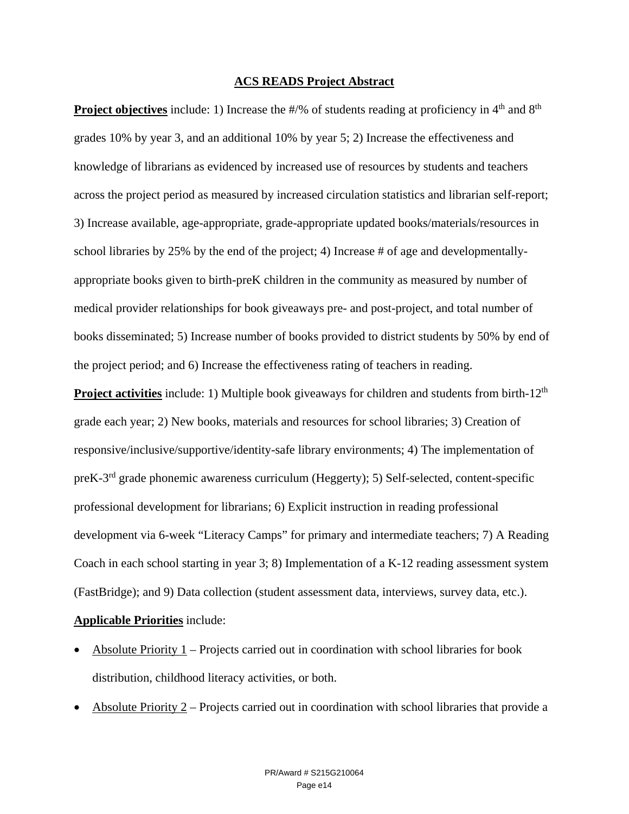#### **ACS READS Project Abstract**

**Project objectives** include: 1) Increase the  $\frac{\text{H}}{\text{N}}$  of students reading at proficiency in  $4^{\text{th}}$  and  $8^{\text{th}}$ grades 10% by year 3, and an additional 10% by year 5; 2) Increase the effectiveness and knowledge of librarians as evidenced by increased use of resources by students and teachers across the project period as measured by increased circulation statistics and librarian self-report; 3) Increase available, age-appropriate, grade-appropriate updated books/materials/resources in school libraries by 25% by the end of the project; 4) Increase # of age and developmentallyappropriate books given to birth-preK children in the community as measured by number of medical provider relationships for book giveaways pre- and post-project, and total number of books disseminated; 5) Increase number of books provided to district students by 50% by end of the project period; and 6) Increase the effectiveness rating of teachers in reading.

**Project activities** include: 1) Multiple book giveaways for children and students from birth-12<sup>th</sup> grade each year; 2) New books, materials and resources for school libraries; 3) Creation of responsive/inclusive/supportive/identity-safe library environments; 4) The implementation of preK-3rd grade phonemic awareness curriculum (Heggerty); 5) Self-selected, content-specific professional development for librarians; 6) Explicit instruction in reading professional development via 6-week "Literacy Camps" for primary and intermediate teachers; 7) A Reading Coach in each school starting in year 3; 8) Implementation of a K-12 reading assessment system (FastBridge); and 9) Data collection (student assessment data, interviews, survey data, etc.).

### **Applicable Priorities** include:

- $\bullet$  Absolute Priority 1 Projects carried out in coordination with school libraries for book distribution, childhood literacy activities, or both.
- Absolute Priority 2 Projects carried out in coordination with school libraries that provide a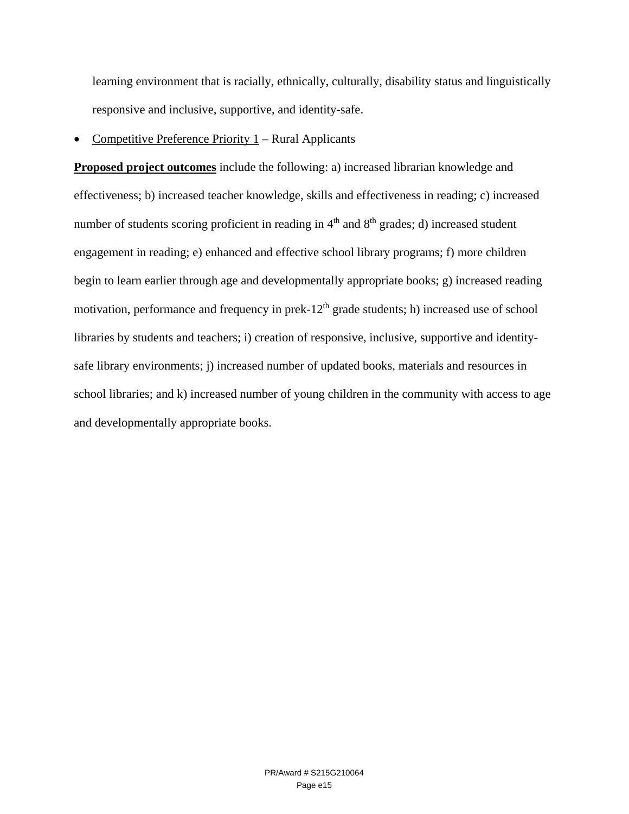learning environment that is racially, ethnically, culturally, disability status and linguistically responsive and inclusive, supportive, and identity-safe.

### • Competitive Preference Priority  $1$  – Rural Applicants

**Proposed project outcomes** include the following: a) increased librarian knowledge and effectiveness; b) increased teacher knowledge, skills and effectiveness in reading; c) increased number of students scoring proficient in reading in  $4<sup>th</sup>$  and  $8<sup>th</sup>$  grades; d) increased student engagement in reading; e) enhanced and effective school library programs; f) more children begin to learn earlier through age and developmentally appropriate books; g) increased reading motivation, performance and frequency in prek- $12<sup>th</sup>$  grade students; h) increased use of school libraries by students and teachers; i) creation of responsive, inclusive, supportive and identitysafe library environments; j) increased number of updated books, materials and resources in school libraries; and k) increased number of young children in the community with access to age and developmentally appropriate books.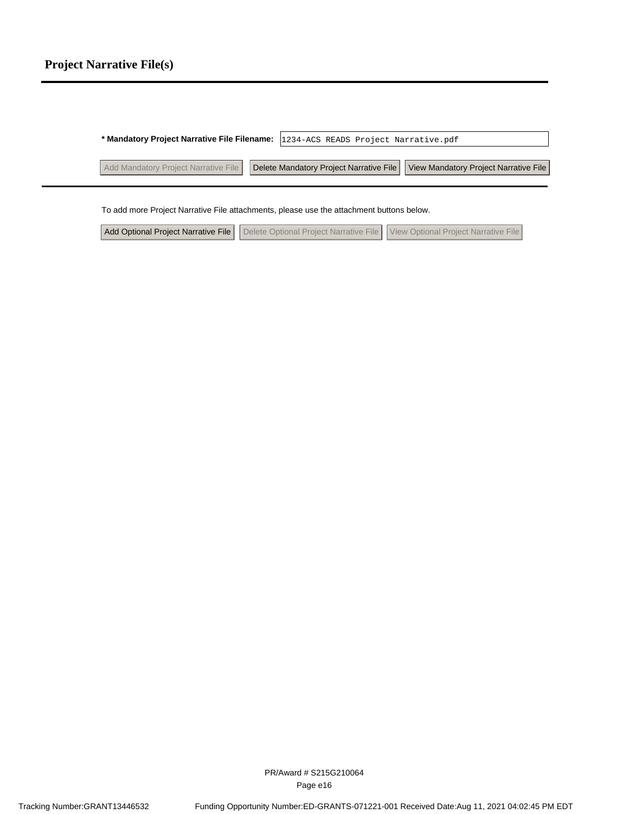| * Mandatory Project Narrative File Filename: 1234-ACS READS Project Narrative.pdf                                      |  |
|------------------------------------------------------------------------------------------------------------------------|--|
| Add Mandatory Project Narrative File   Delete Mandatory Project Narrative File   View Mandatory Project Narrative File |  |

To add more Project Narrative File attachments, please use the attachment buttons below.

Add Optional Project Narrative File Delete Optional Project Narrative File View Optional Project Narrative File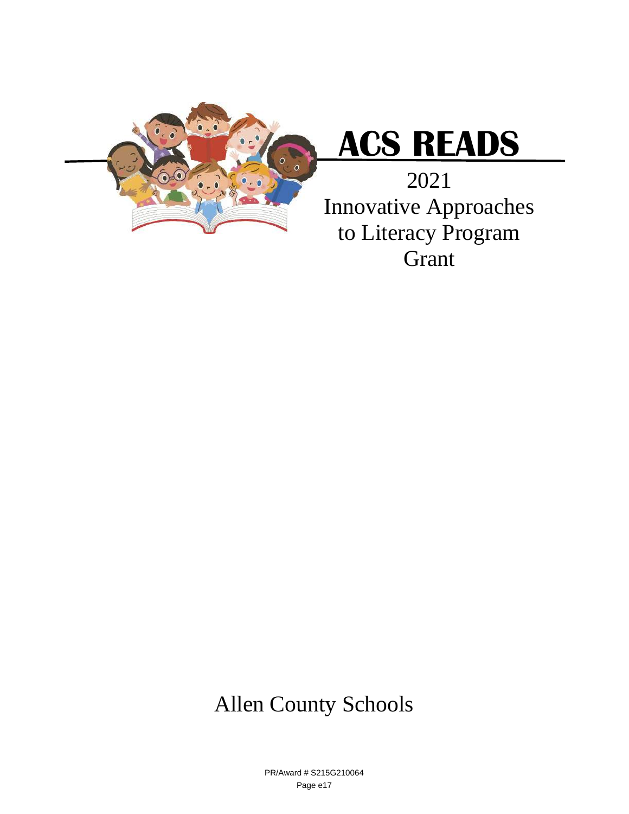

# **ACS READS**

2021 Innovative Approaches to Literacy Program Grant

# Allen County Schools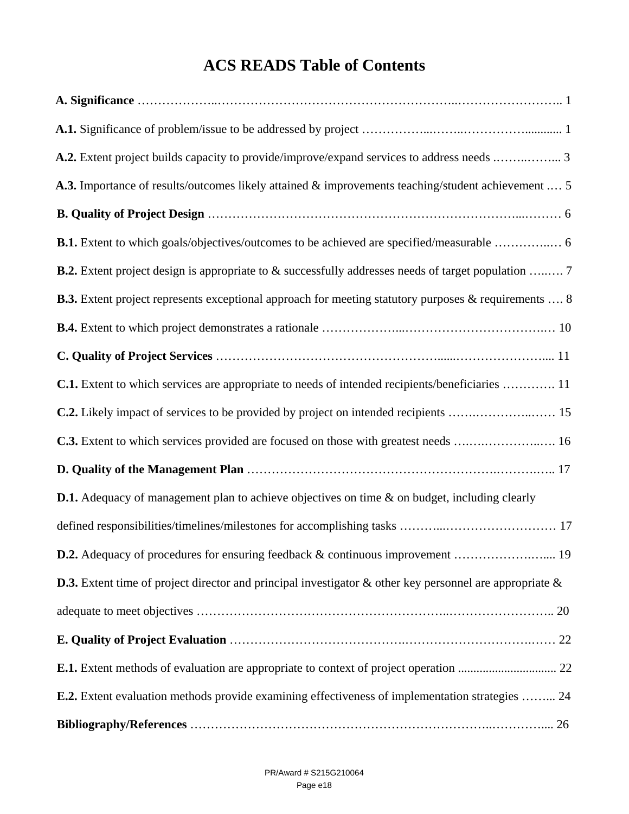# **ACS READS Table of Contents**

| A.2. Extent project builds capacity to provide/improve/expand services to address needs  3                           |
|----------------------------------------------------------------------------------------------------------------------|
| A.3. Importance of results/outcomes likely attained & improvements teaching/student achievement  5                   |
|                                                                                                                      |
| <b>B.1.</b> Extent to which goals/objectives/outcomes to be achieved are specified/measurable  6                     |
| <b>B.2.</b> Extent project design is appropriate to & successfully addresses needs of target population  7           |
| <b>B.3.</b> Extent project represents exceptional approach for meeting statutory purposes & requirements  8          |
|                                                                                                                      |
|                                                                                                                      |
| C.1. Extent to which services are appropriate to needs of intended recipients/beneficiaries  11                      |
|                                                                                                                      |
| C.3. Extent to which services provided are focused on those with greatest needs  16                                  |
|                                                                                                                      |
| <b>D.1.</b> Adequacy of management plan to achieve objectives on time & on budget, including clearly                 |
|                                                                                                                      |
|                                                                                                                      |
| <b>D.3.</b> Extent time of project director and principal investigator $\&$ other key personnel are appropriate $\&$ |
|                                                                                                                      |
|                                                                                                                      |
|                                                                                                                      |
| <b>E.2.</b> Extent evaluation methods provide examining effectiveness of implementation strategies  24               |
|                                                                                                                      |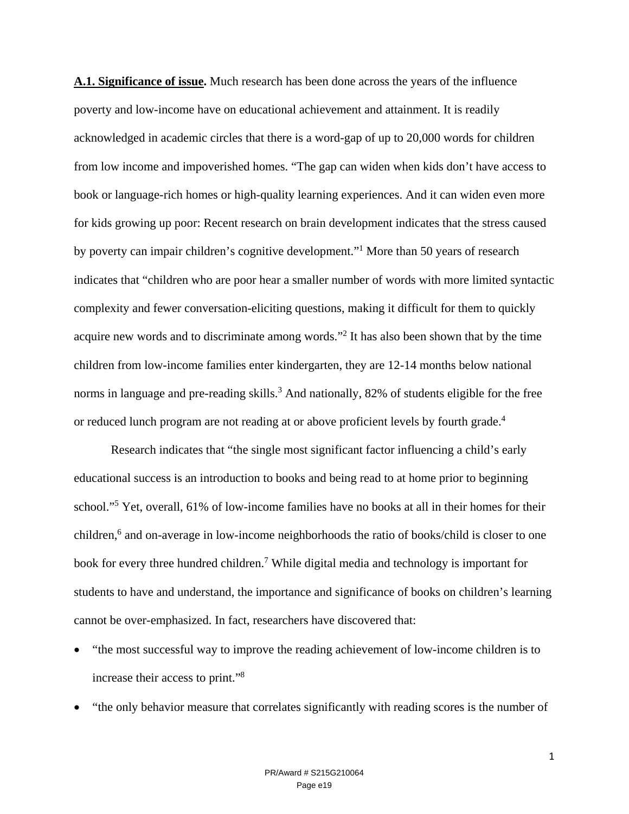**A.1. Significance of issue.** Much research has been done across the years of the influence poverty and low-income have on educational achievement and attainment. It is readily acknowledged in academic circles that there is a word-gap of up to 20,000 words for children from low income and impoverished homes. "The gap can widen when kids don't have access to book or language-rich homes or high-quality learning experiences. And it can widen even more for kids growing up poor: Recent research on brain development indicates that the stress caused by poverty can impair children's cognitive development."1 More than 50 years of research indicates that "children who are poor hear a smaller number of words with more limited syntactic complexity and fewer conversation-eliciting questions, making it difficult for them to quickly acquire new words and to discriminate among words."<sup>2</sup> It has also been shown that by the time children from low-income families enter kindergarten, they are 12-14 months below national norms in language and pre-reading skills.<sup>3</sup> And nationally, 82% of students eligible for the free or reduced lunch program are not reading at or above proficient levels by fourth grade.<sup>4</sup>

 Research indicates that "the single most significant factor influencing a child's early educational success is an introduction to books and being read to at home prior to beginning school."<sup>5</sup> Yet, overall, 61% of low-income families have no books at all in their homes for their children,<sup>6</sup> and on-average in low-income neighborhoods the ratio of books/child is closer to one book for every three hundred children.<sup>7</sup> While digital media and technology is important for students to have and understand, the importance and significance of books on children's learning cannot be over-emphasized. In fact, researchers have discovered that:

- "the most successful way to improve the reading achievement of low-income children is to increase their access to print."8
- "the only behavior measure that correlates significantly with reading scores is the number of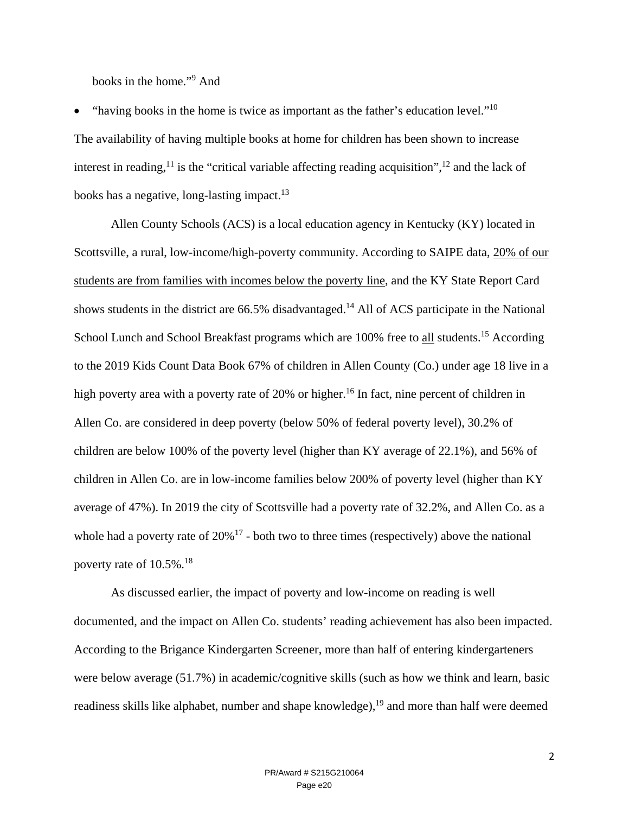books in the home."<sup>9</sup> And

 "having books in the home is twice as important as the father's education level."10 The availability of having multiple books at home for children has been shown to increase interest in reading,<sup>11</sup> is the "critical variable affecting reading acquisition",<sup>12</sup> and the lack of books has a negative, long-lasting impact.<sup>13</sup>

 Allen County Schools (ACS) is a local education agency in Kentucky (KY) located in Scottsville, a rural, low-income/high-poverty community. According to SAIPE data, 20% of our students are from families with incomes below the poverty line, and the KY State Report Card shows students in the district are 66.5% disadvantaged.<sup>14</sup> All of ACS participate in the National School Lunch and School Breakfast programs which are 100% free to all students.<sup>15</sup> According to the 2019 Kids Count Data Book 67% of children in Allen County (Co.) under age 18 live in a high poverty area with a poverty rate of 20% or higher.<sup>16</sup> In fact, nine percent of children in Allen Co. are considered in deep poverty (below 50% of federal poverty level), 30.2% of children are below 100% of the poverty level (higher than KY average of 22.1%), and 56% of children in Allen Co. are in low-income families below 200% of poverty level (higher than KY average of 47%). In 2019 the city of Scottsville had a poverty rate of 32.2%, and Allen Co. as a whole had a poverty rate of  $20\%$ <sup>17</sup> - both two to three times (respectively) above the national poverty rate of 10.5%.18

 As discussed earlier, the impact of poverty and low-income on reading is well documented, and the impact on Allen Co. students' reading achievement has also been impacted. According to the Brigance Kindergarten Screener, more than half of entering kindergarteners were below average (51.7%) in academic/cognitive skills (such as how we think and learn, basic readiness skills like alphabet, number and shape knowledge),<sup>19</sup> and more than half were deemed

2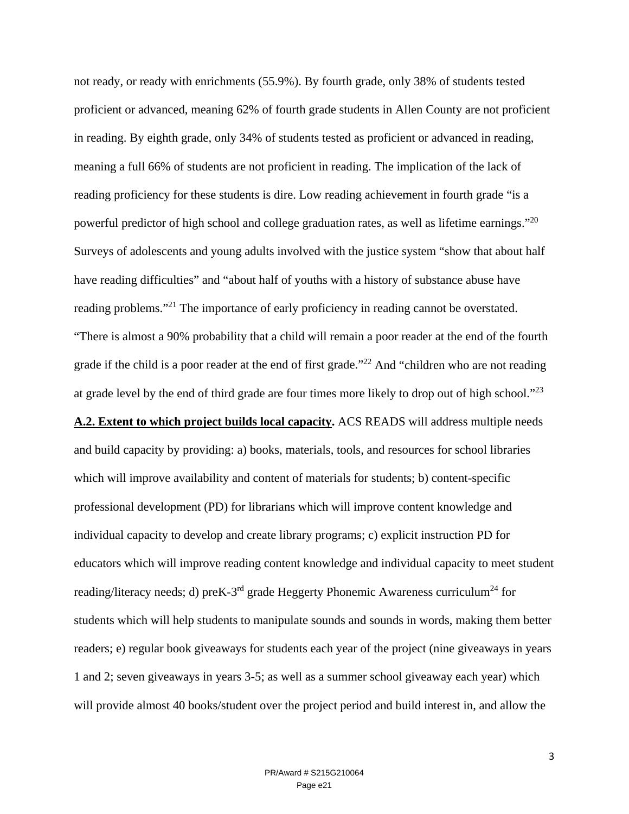not ready, or ready with enrichments (55.9%). By fourth grade, only 38% of students tested proficient or advanced, meaning 62% of fourth grade students in Allen County are not proficient in reading. By eighth grade, only 34% of students tested as proficient or advanced in reading, meaning a full 66% of students are not proficient in reading. The implication of the lack of reading proficiency for these students is dire. Low reading achievement in fourth grade "is a powerful predictor of high school and college graduation rates, as well as lifetime earnings."20 Surveys of adolescents and young adults involved with the justice system "show that about half have reading difficulties" and "about half of youths with a history of substance abuse have reading problems."21 The importance of early proficiency in reading cannot be overstated. "There is almost a 90% probability that a child will remain a poor reader at the end of the fourth grade if the child is a poor reader at the end of first grade."<sup>22</sup> And "children who are not reading at grade level by the end of third grade are four times more likely to drop out of high school."<sup>23</sup>

**A.2. Extent to which project builds local capacity.** ACS READS will address multiple needs and build capacity by providing: a) books, materials, tools, and resources for school libraries which will improve availability and content of materials for students; b) content-specific professional development (PD) for librarians which will improve content knowledge and individual capacity to develop and create library programs; c) explicit instruction PD for educators which will improve reading content knowledge and individual capacity to meet student reading/literacy needs; d) preK-3<sup>rd</sup> grade Heggerty Phonemic Awareness curriculum<sup>24</sup> for students which will help students to manipulate sounds and sounds in words, making them better readers; e) regular book giveaways for students each year of the project (nine giveaways in years 1 and 2; seven giveaways in years 3-5; as well as a summer school giveaway each year) which will provide almost 40 books/student over the project period and build interest in, and allow the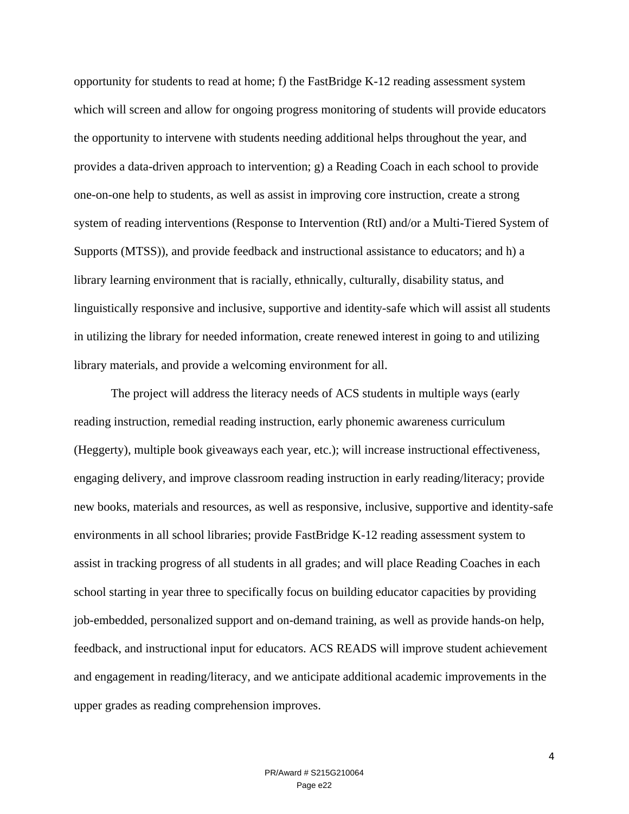opportunity for students to read at home; f) the FastBridge K-12 reading assessment system which will screen and allow for ongoing progress monitoring of students will provide educators the opportunity to intervene with students needing additional helps throughout the year, and provides a data-driven approach to intervention; g) a Reading Coach in each school to provide one-on-one help to students, as well as assist in improving core instruction, create a strong system of reading interventions (Response to Intervention (RtI) and/or a Multi-Tiered System of Supports (MTSS)), and provide feedback and instructional assistance to educators; and h) a library learning environment that is racially, ethnically, culturally, disability status, and linguistically responsive and inclusive, supportive and identity-safe which will assist all students in utilizing the library for needed information, create renewed interest in going to and utilizing library materials, and provide a welcoming environment for all.

 The project will address the literacy needs of ACS students in multiple ways (early reading instruction, remedial reading instruction, early phonemic awareness curriculum (Heggerty), multiple book giveaways each year, etc.); will increase instructional effectiveness, engaging delivery, and improve classroom reading instruction in early reading/literacy; provide new books, materials and resources, as well as responsive, inclusive, supportive and identity-safe environments in all school libraries; provide FastBridge K-12 reading assessment system to assist in tracking progress of all students in all grades; and will place Reading Coaches in each school starting in year three to specifically focus on building educator capacities by providing job-embedded, personalized support and on-demand training, as well as provide hands-on help, feedback, and instructional input for educators. ACS READS will improve student achievement and engagement in reading/literacy, and we anticipate additional academic improvements in the upper grades as reading comprehension improves.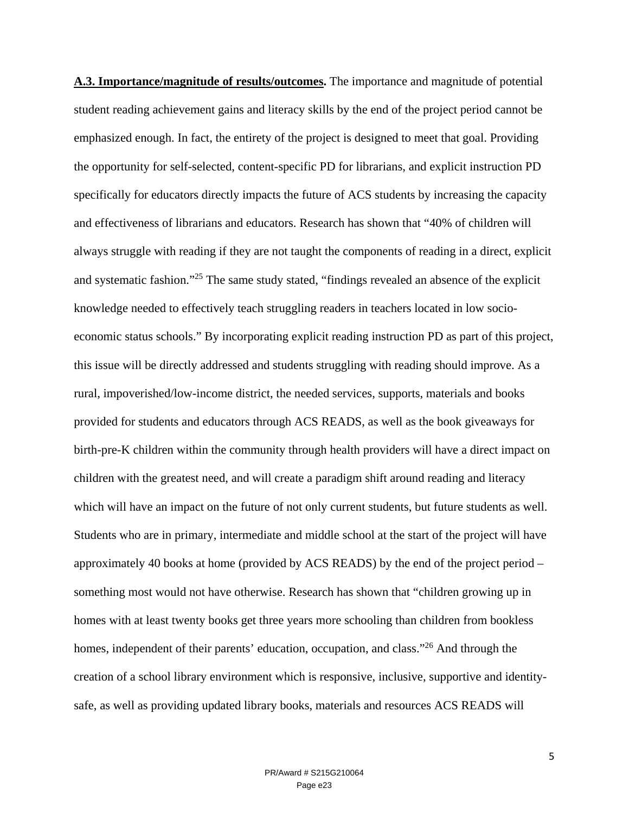**A.3. Importance/magnitude of results/outcomes.** The importance and magnitude of potential student reading achievement gains and literacy skills by the end of the project period cannot be emphasized enough. In fact, the entirety of the project is designed to meet that goal. Providing the opportunity for self-selected, content-specific PD for librarians, and explicit instruction PD specifically for educators directly impacts the future of ACS students by increasing the capacity and effectiveness of librarians and educators. Research has shown that "40% of children will always struggle with reading if they are not taught the components of reading in a direct, explicit and systematic fashion."25 The same study stated, "findings revealed an absence of the explicit knowledge needed to effectively teach struggling readers in teachers located in low socioeconomic status schools." By incorporating explicit reading instruction PD as part of this project, this issue will be directly addressed and students struggling with reading should improve. As a rural, impoverished/low-income district, the needed services, supports, materials and books provided for students and educators through ACS READS, as well as the book giveaways for birth-pre-K children within the community through health providers will have a direct impact on children with the greatest need, and will create a paradigm shift around reading and literacy which will have an impact on the future of not only current students, but future students as well. Students who are in primary, intermediate and middle school at the start of the project will have approximately 40 books at home (provided by ACS READS) by the end of the project period – something most would not have otherwise. Research has shown that "children growing up in homes with at least twenty books get three years more schooling than children from bookless homes, independent of their parents' education, occupation, and class."<sup>26</sup> And through the creation of a school library environment which is responsive, inclusive, supportive and identitysafe, as well as providing updated library books, materials and resources ACS READS will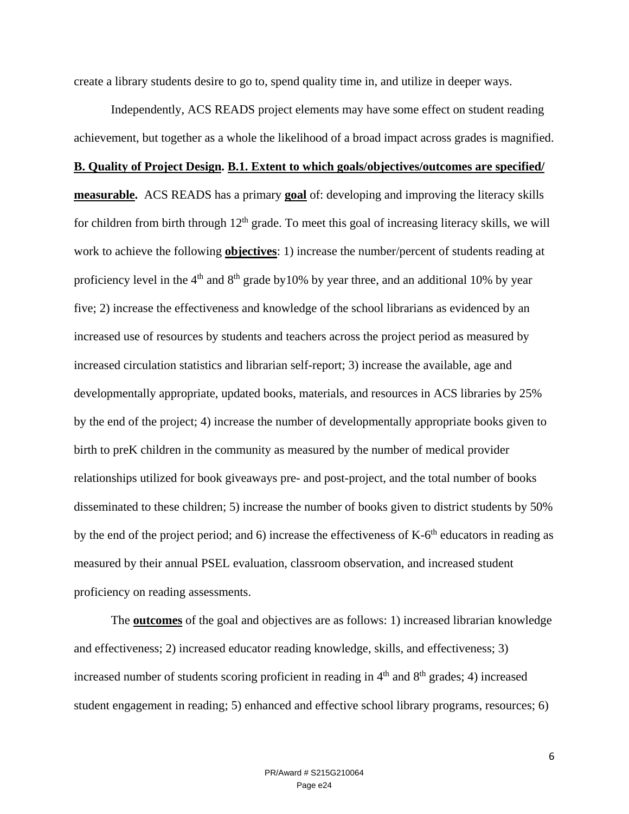create a library students desire to go to, spend quality time in, and utilize in deeper ways.

 Independently, ACS READS project elements may have some effect on student reading achievement, but together as a whole the likelihood of a broad impact across grades is magnified. **B. Quality of Project Design. B.1. Extent to which goals/objectives/outcomes are specified/ measurable.** ACS READS has a primary **goal** of: developing and improving the literacy skills for children from birth through  $12<sup>th</sup>$  grade. To meet this goal of increasing literacy skills, we will work to achieve the following **objectives**: 1) increase the number/percent of students reading at proficiency level in the  $4<sup>th</sup>$  and  $8<sup>th</sup>$  grade by 10% by year three, and an additional 10% by year five; 2) increase the effectiveness and knowledge of the school librarians as evidenced by an increased use of resources by students and teachers across the project period as measured by increased circulation statistics and librarian self-report; 3) increase the available, age and developmentally appropriate, updated books, materials, and resources in ACS libraries by 25% by the end of the project; 4) increase the number of developmentally appropriate books given to birth to preK children in the community as measured by the number of medical provider relationships utilized for book giveaways pre- and post-project, and the total number of books disseminated to these children; 5) increase the number of books given to district students by 50% by the end of the project period; and 6) increase the effectiveness of K-6<sup>th</sup> educators in reading as measured by their annual PSEL evaluation, classroom observation, and increased student proficiency on reading assessments.

 The **outcomes** of the goal and objectives are as follows: 1) increased librarian knowledge and effectiveness; 2) increased educator reading knowledge, skills, and effectiveness; 3) increased number of students scoring proficient in reading in  $4<sup>th</sup>$  and  $8<sup>th</sup>$  grades; 4) increased student engagement in reading; 5) enhanced and effective school library programs, resources; 6)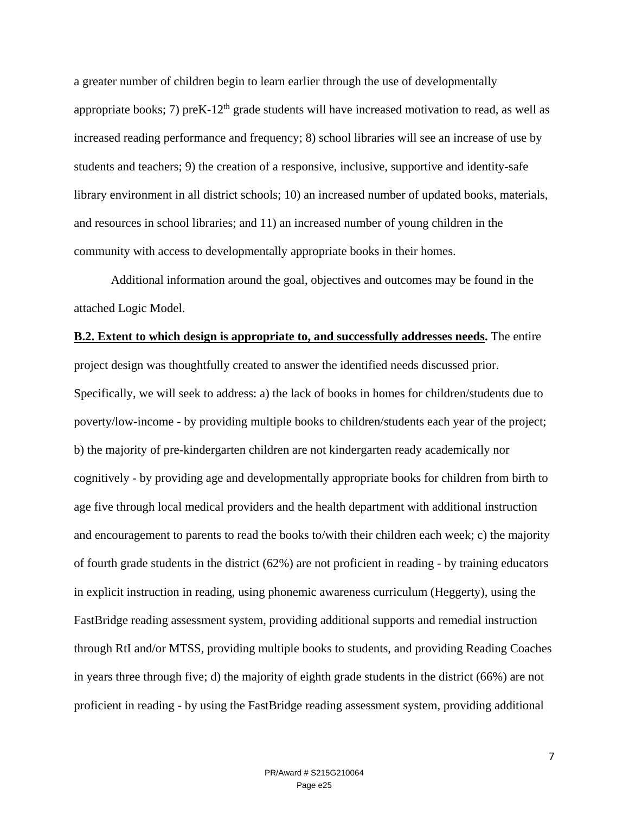a greater number of children begin to learn earlier through the use of developmentally appropriate books; 7) preK-12<sup>th</sup> grade students will have increased motivation to read, as well as increased reading performance and frequency; 8) school libraries will see an increase of use by students and teachers; 9) the creation of a responsive, inclusive, supportive and identity-safe library environment in all district schools; 10) an increased number of updated books, materials, and resources in school libraries; and 11) an increased number of young children in the community with access to developmentally appropriate books in their homes.

 Additional information around the goal, objectives and outcomes may be found in the attached Logic Model.

# **B.2. Extent to which design is appropriate to, and successfully addresses needs.** The entire project design was thoughtfully created to answer the identified needs discussed prior. Specifically, we will seek to address: a) the lack of books in homes for children/students due to poverty/low-income - by providing multiple books to children/students each year of the project; b) the majority of pre-kindergarten children are not kindergarten ready academically nor cognitively - by providing age and developmentally appropriate books for children from birth to age five through local medical providers and the health department with additional instruction and encouragement to parents to read the books to/with their children each week; c) the majority of fourth grade students in the district (62%) are not proficient in reading - by training educators in explicit instruction in reading, using phonemic awareness curriculum (Heggerty), using the FastBridge reading assessment system, providing additional supports and remedial instruction through RtI and/or MTSS, providing multiple books to students, and providing Reading Coaches in years three through five; d) the majority of eighth grade students in the district (66%) are not proficient in reading - by using the FastBridge reading assessment system, providing additional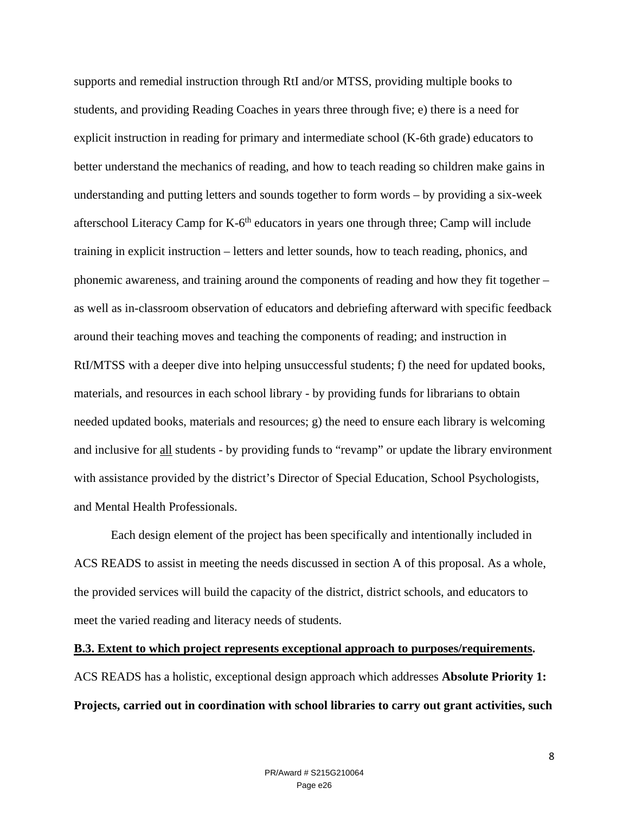supports and remedial instruction through RtI and/or MTSS, providing multiple books to students, and providing Reading Coaches in years three through five; e) there is a need for explicit instruction in reading for primary and intermediate school (K-6th grade) educators to better understand the mechanics of reading, and how to teach reading so children make gains in understanding and putting letters and sounds together to form words – by providing a six-week afterschool Literacy Camp for  $K-6<sup>th</sup>$  educators in years one through three; Camp will include training in explicit instruction – letters and letter sounds, how to teach reading, phonics, and phonemic awareness, and training around the components of reading and how they fit together – as well as in-classroom observation of educators and debriefing afterward with specific feedback around their teaching moves and teaching the components of reading; and instruction in RtI/MTSS with a deeper dive into helping unsuccessful students; f) the need for updated books, materials, and resources in each school library - by providing funds for librarians to obtain needed updated books, materials and resources; g) the need to ensure each library is welcoming and inclusive for all students - by providing funds to "revamp" or update the library environment with assistance provided by the district's Director of Special Education, School Psychologists, and Mental Health Professionals.

 Each design element of the project has been specifically and intentionally included in ACS READS to assist in meeting the needs discussed in section A of this proposal. As a whole, the provided services will build the capacity of the district, district schools, and educators to meet the varied reading and literacy needs of students.

# **B.3. Extent to which project represents exceptional approach to purposes/requirements.** ACS READS has a holistic, exceptional design approach which addresses **Absolute Priority 1: Projects, carried out in coordination with school libraries to carry out grant activities, such**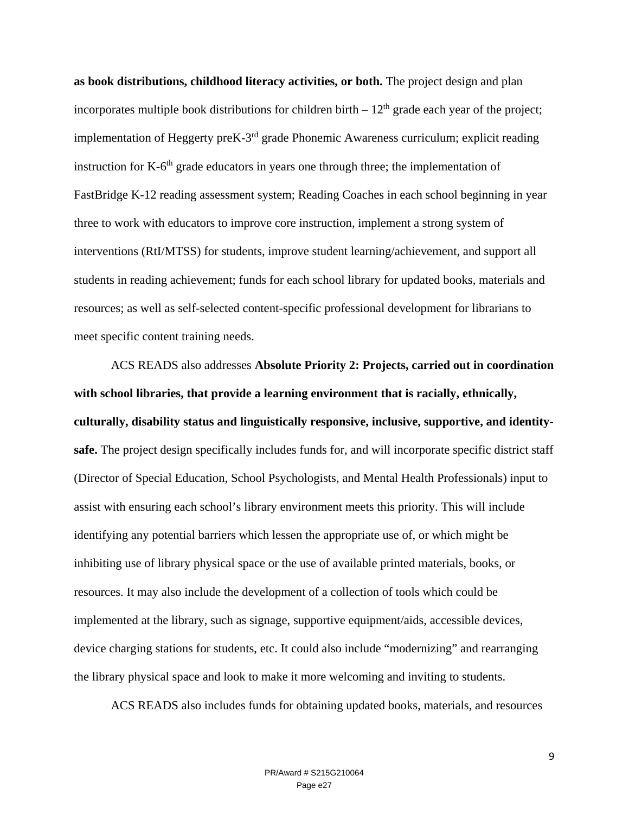**as book distributions, childhood literacy activities, or both.** The project design and plan incorporates multiple book distributions for children birth  $-12<sup>th</sup>$  grade each year of the project; implementation of Heggerty preK-3rd grade Phonemic Awareness curriculum; explicit reading instruction for  $K-6<sup>th</sup>$  grade educators in years one through three; the implementation of FastBridge K-12 reading assessment system; Reading Coaches in each school beginning in year three to work with educators to improve core instruction, implement a strong system of interventions (RtI/MTSS) for students, improve student learning/achievement, and support all students in reading achievement; funds for each school library for updated books, materials and resources; as well as self-selected content-specific professional development for librarians to meet specific content training needs.

 ACS READS also addresses **Absolute Priority 2: Projects, carried out in coordination with school libraries, that provide a learning environment that is racially, ethnically, culturally, disability status and linguistically responsive, inclusive, supportive, and identitysafe.** The project design specifically includes funds for, and will incorporate specific district staff (Director of Special Education, School Psychologists, and Mental Health Professionals) input to assist with ensuring each school's library environment meets this priority. This will include identifying any potential barriers which lessen the appropriate use of, or which might be inhibiting use of library physical space or the use of available printed materials, books, or resources. It may also include the development of a collection of tools which could be implemented at the library, such as signage, supportive equipment/aids, accessible devices, device charging stations for students, etc. It could also include "modernizing" and rearranging the library physical space and look to make it more welcoming and inviting to students.

ACS READS also includes funds for obtaining updated books, materials, and resources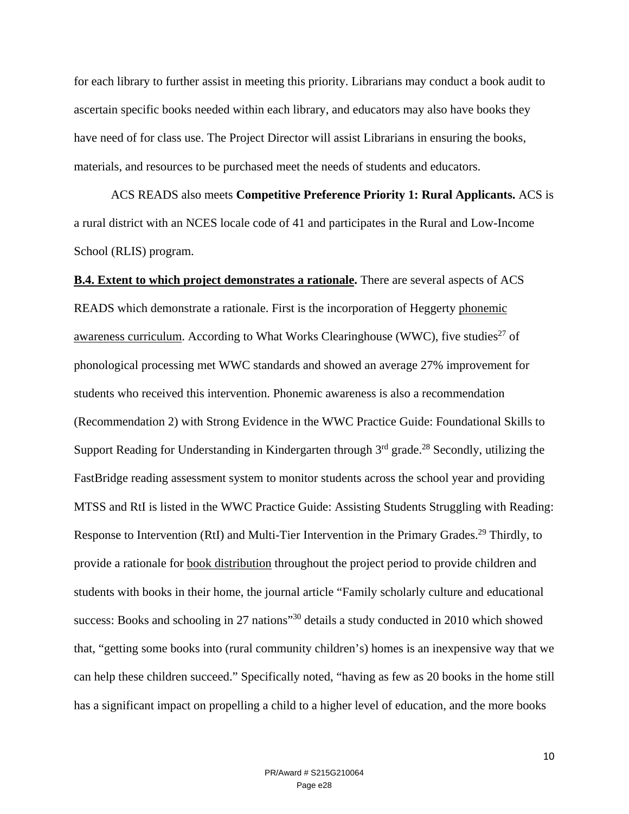for each library to further assist in meeting this priority. Librarians may conduct a book audit to ascertain specific books needed within each library, and educators may also have books they have need of for class use. The Project Director will assist Librarians in ensuring the books, materials, and resources to be purchased meet the needs of students and educators.

 ACS READS also meets **Competitive Preference Priority 1: Rural Applicants.** ACS is a rural district with an NCES locale code of 41 and participates in the Rural and Low-Income School (RLIS) program.

**B.4. Extent to which project demonstrates a rationale.** There are several aspects of ACS READS which demonstrate a rationale. First is the incorporation of Heggerty phonemic awareness curriculum. According to What Works Clearinghouse (WWC), five studies<sup>27</sup> of phonological processing met WWC standards and showed an average 27% improvement for students who received this intervention. Phonemic awareness is also a recommendation (Recommendation 2) with Strong Evidence in the WWC Practice Guide: Foundational Skills to Support Reading for Understanding in Kindergarten through 3<sup>rd</sup> grade.<sup>28</sup> Secondly, utilizing the FastBridge reading assessment system to monitor students across the school year and providing MTSS and RtI is listed in the WWC Practice Guide: Assisting Students Struggling with Reading: Response to Intervention (RtI) and Multi-Tier Intervention in the Primary Grades.<sup>29</sup> Thirdly, to provide a rationale for book distribution throughout the project period to provide children and students with books in their home, the journal article "Family scholarly culture and educational success: Books and schooling in 27 nations<sup>330</sup> details a study conducted in 2010 which showed that, "getting some books into (rural community children's) homes is an inexpensive way that we can help these children succeed." Specifically noted, "having as few as 20 books in the home still has a significant impact on propelling a child to a higher level of education, and the more books

10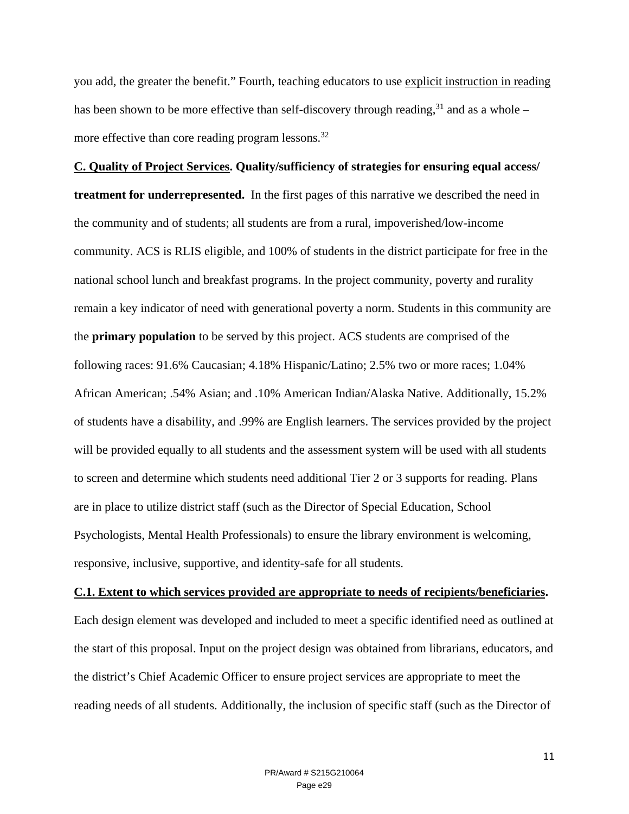you add, the greater the benefit." Fourth, teaching educators to use explicit instruction in reading has been shown to be more effective than self-discovery through reading,  $31$  and as a whole – more effective than core reading program lessons.<sup>32</sup>

**C. Quality of Project Services. Quality/sufficiency of strategies for ensuring equal access/ treatment for underrepresented.** In the first pages of this narrative we described the need in the community and of students; all students are from a rural, impoverished/low-income community. ACS is RLIS eligible, and 100% of students in the district participate for free in the national school lunch and breakfast programs. In the project community, poverty and rurality remain a key indicator of need with generational poverty a norm. Students in this community are the **primary population** to be served by this project. ACS students are comprised of the following races: 91.6% Caucasian; 4.18% Hispanic/Latino; 2.5% two or more races; 1.04% African American; .54% Asian; and .10% American Indian/Alaska Native. Additionally, 15.2% of students have a disability, and .99% are English learners. The services provided by the project will be provided equally to all students and the assessment system will be used with all students to screen and determine which students need additional Tier 2 or 3 supports for reading. Plans are in place to utilize district staff (such as the Director of Special Education, School Psychologists, Mental Health Professionals) to ensure the library environment is welcoming, responsive, inclusive, supportive, and identity-safe for all students.

#### **C.1. Extent to which services provided are appropriate to needs of recipients/beneficiaries.**

Each design element was developed and included to meet a specific identified need as outlined at the start of this proposal. Input on the project design was obtained from librarians, educators, and the district's Chief Academic Officer to ensure project services are appropriate to meet the reading needs of all students. Additionally, the inclusion of specific staff (such as the Director of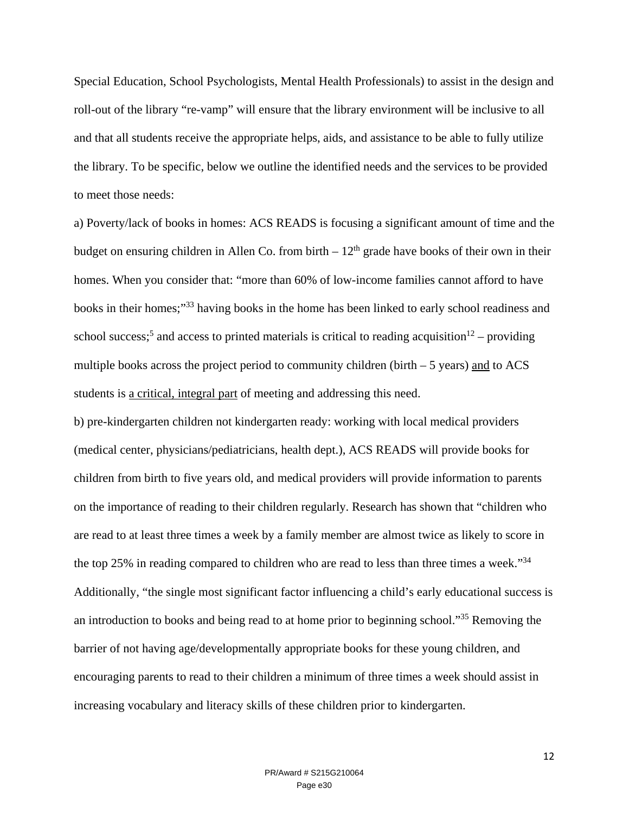Special Education, School Psychologists, Mental Health Professionals) to assist in the design and roll-out of the library "re-vamp" will ensure that the library environment will be inclusive to all and that all students receive the appropriate helps, aids, and assistance to be able to fully utilize the library. To be specific, below we outline the identified needs and the services to be provided to meet those needs:

a) Poverty/lack of books in homes: ACS READS is focusing a significant amount of time and the budget on ensuring children in Allen Co. from birth  $-12<sup>th</sup>$  grade have books of their own in their homes. When you consider that: "more than 60% of low-income families cannot afford to have books in their homes;"33 having books in the home has been linked to early school readiness and school success;<sup>5</sup> and access to printed materials is critical to reading acquisition<sup>12</sup> – providing multiple books across the project period to community children (birth – 5 years) and to ACS students is a critical, integral part of meeting and addressing this need.

b) pre-kindergarten children not kindergarten ready: working with local medical providers (medical center, physicians/pediatricians, health dept.), ACS READS will provide books for children from birth to five years old, and medical providers will provide information to parents on the importance of reading to their children regularly. Research has shown that "children who are read to at least three times a week by a family member are almost twice as likely to score in the top 25% in reading compared to children who are read to less than three times a week."<sup>34</sup> Additionally, "the single most significant factor influencing a child's early educational success is an introduction to books and being read to at home prior to beginning school."35 Removing the barrier of not having age/developmentally appropriate books for these young children, and encouraging parents to read to their children a minimum of three times a week should assist in increasing vocabulary and literacy skills of these children prior to kindergarten.

12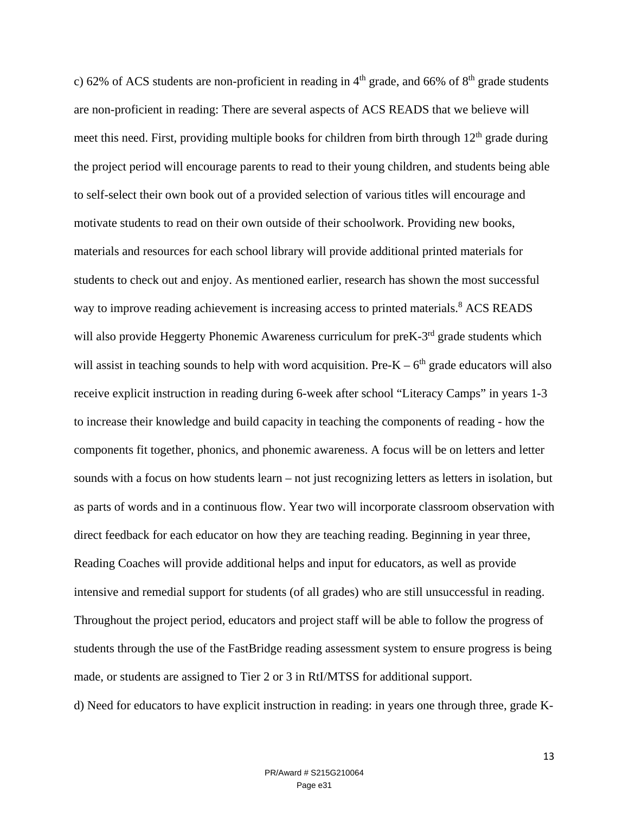c) 62% of ACS students are non-proficient in reading in  $4<sup>th</sup>$  grade, and 66% of  $8<sup>th</sup>$  grade students are non-proficient in reading: There are several aspects of ACS READS that we believe will meet this need. First, providing multiple books for children from birth through 12<sup>th</sup> grade during the project period will encourage parents to read to their young children, and students being able to self-select their own book out of a provided selection of various titles will encourage and motivate students to read on their own outside of their schoolwork. Providing new books, materials and resources for each school library will provide additional printed materials for students to check out and enjoy. As mentioned earlier, research has shown the most successful way to improve reading achievement is increasing access to printed materials.<sup>8</sup> ACS READS will also provide Heggerty Phonemic Awareness curriculum for preK-3<sup>rd</sup> grade students which will assist in teaching sounds to help with word acquisition. Pre- $K - 6<sup>th</sup>$  grade educators will also receive explicit instruction in reading during 6-week after school "Literacy Camps" in years 1-3 to increase their knowledge and build capacity in teaching the components of reading - how the components fit together, phonics, and phonemic awareness. A focus will be on letters and letter sounds with a focus on how students learn – not just recognizing letters as letters in isolation, but as parts of words and in a continuous flow. Year two will incorporate classroom observation with direct feedback for each educator on how they are teaching reading. Beginning in year three, Reading Coaches will provide additional helps and input for educators, as well as provide intensive and remedial support for students (of all grades) who are still unsuccessful in reading. Throughout the project period, educators and project staff will be able to follow the progress of students through the use of the FastBridge reading assessment system to ensure progress is being made, or students are assigned to Tier 2 or 3 in RtI/MTSS for additional support.

d) Need for educators to have explicit instruction in reading: in years one through three, grade K-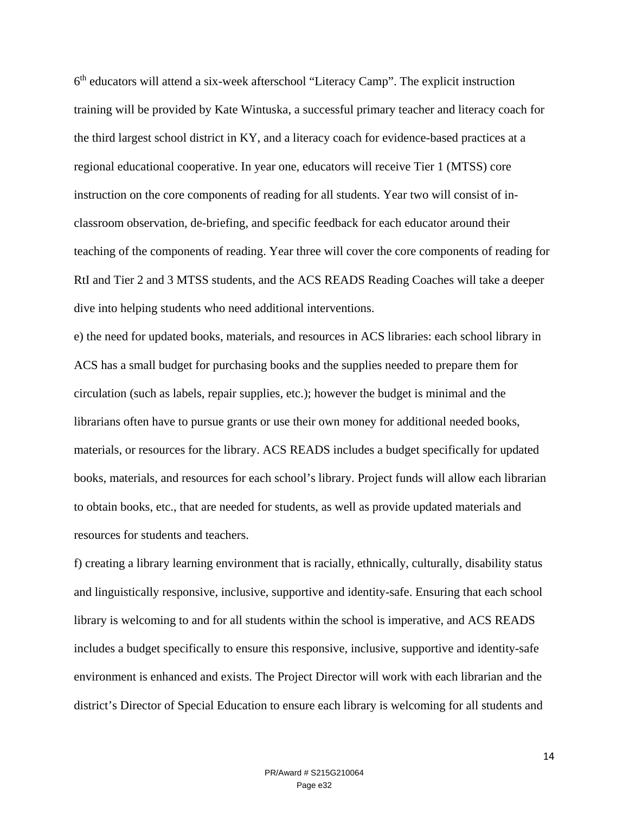6th educators will attend a six-week afterschool "Literacy Camp". The explicit instruction training will be provided by Kate Wintuska, a successful primary teacher and literacy coach for the third largest school district in KY, and a literacy coach for evidence-based practices at a regional educational cooperative. In year one, educators will receive Tier 1 (MTSS) core instruction on the core components of reading for all students. Year two will consist of inclassroom observation, de-briefing, and specific feedback for each educator around their teaching of the components of reading. Year three will cover the core components of reading for RtI and Tier 2 and 3 MTSS students, and the ACS READS Reading Coaches will take a deeper dive into helping students who need additional interventions.

e) the need for updated books, materials, and resources in ACS libraries: each school library in ACS has a small budget for purchasing books and the supplies needed to prepare them for circulation (such as labels, repair supplies, etc.); however the budget is minimal and the librarians often have to pursue grants or use their own money for additional needed books, materials, or resources for the library. ACS READS includes a budget specifically for updated books, materials, and resources for each school's library. Project funds will allow each librarian to obtain books, etc., that are needed for students, as well as provide updated materials and resources for students and teachers.

f) creating a library learning environment that is racially, ethnically, culturally, disability status and linguistically responsive, inclusive, supportive and identity-safe. Ensuring that each school library is welcoming to and for all students within the school is imperative, and ACS READS includes a budget specifically to ensure this responsive, inclusive, supportive and identity-safe environment is enhanced and exists. The Project Director will work with each librarian and the district's Director of Special Education to ensure each library is welcoming for all students and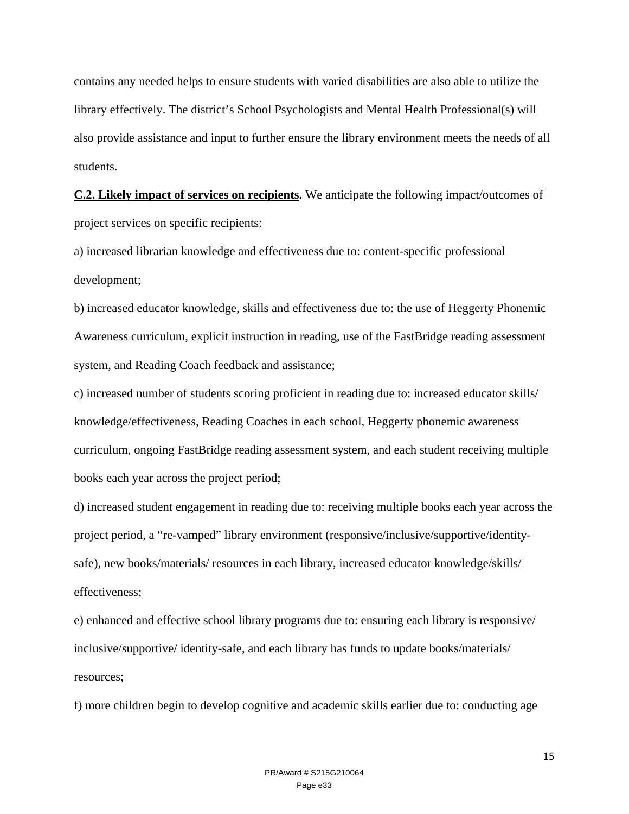contains any needed helps to ensure students with varied disabilities are also able to utilize the library effectively. The district's School Psychologists and Mental Health Professional(s) will also provide assistance and input to further ensure the library environment meets the needs of all students.

**C.2. Likely impact of services on recipients.** We anticipate the following impact/outcomes of project services on specific recipients:

a) increased librarian knowledge and effectiveness due to: content-specific professional development;

b) increased educator knowledge, skills and effectiveness due to: the use of Heggerty Phonemic Awareness curriculum, explicit instruction in reading, use of the FastBridge reading assessment system, and Reading Coach feedback and assistance;

c) increased number of students scoring proficient in reading due to: increased educator skills/ knowledge/effectiveness, Reading Coaches in each school, Heggerty phonemic awareness curriculum, ongoing FastBridge reading assessment system, and each student receiving multiple books each year across the project period;

d) increased student engagement in reading due to: receiving multiple books each year across the project period, a "re-vamped" library environment (responsive/inclusive/supportive/identitysafe), new books/materials/ resources in each library, increased educator knowledge/skills/ effectiveness;

e) enhanced and effective school library programs due to: ensuring each library is responsive/ inclusive/supportive/ identity-safe, and each library has funds to update books/materials/ resources;

f) more children begin to develop cognitive and academic skills earlier due to: conducting age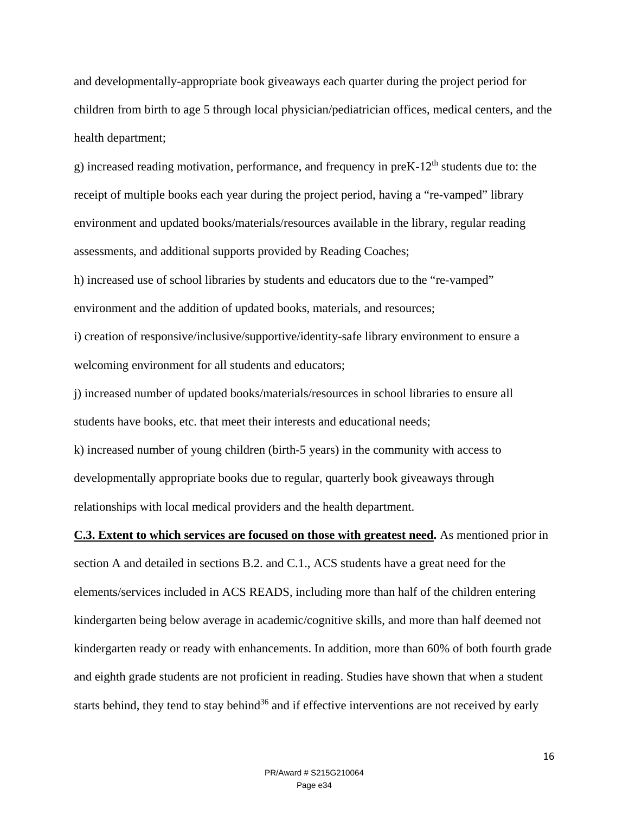and developmentally-appropriate book giveaways each quarter during the project period for children from birth to age 5 through local physician/pediatrician offices, medical centers, and the health department;

g) increased reading motivation, performance, and frequency in preK-12<sup>th</sup> students due to: the receipt of multiple books each year during the project period, having a "re-vamped" library environment and updated books/materials/resources available in the library, regular reading assessments, and additional supports provided by Reading Coaches;

h) increased use of school libraries by students and educators due to the "re-vamped" environment and the addition of updated books, materials, and resources;

i) creation of responsive/inclusive/supportive/identity-safe library environment to ensure a welcoming environment for all students and educators;

j) increased number of updated books/materials/resources in school libraries to ensure all students have books, etc. that meet their interests and educational needs;

k) increased number of young children (birth-5 years) in the community with access to developmentally appropriate books due to regular, quarterly book giveaways through relationships with local medical providers and the health department.

**C.3. Extent to which services are focused on those with greatest need.** As mentioned prior in section A and detailed in sections B.2. and C.1., ACS students have a great need for the elements/services included in ACS READS, including more than half of the children entering kindergarten being below average in academic/cognitive skills, and more than half deemed not kindergarten ready or ready with enhancements. In addition, more than 60% of both fourth grade and eighth grade students are not proficient in reading. Studies have shown that when a student starts behind, they tend to stay behind<sup>36</sup> and if effective interventions are not received by early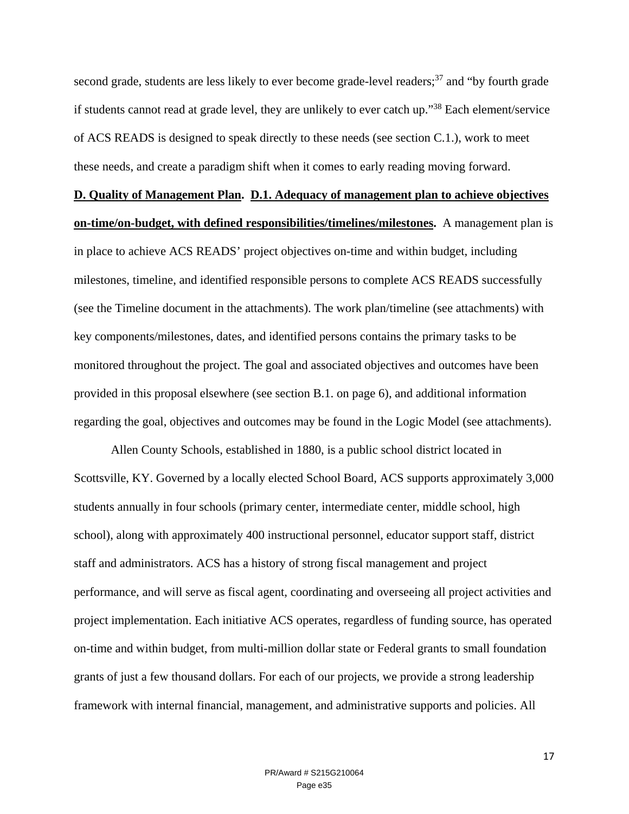second grade, students are less likely to ever become grade-level readers; $^{37}$  and "by fourth grade" if students cannot read at grade level, they are unlikely to ever catch up."38 Each element/service of ACS READS is designed to speak directly to these needs (see section C.1.), work to meet these needs, and create a paradigm shift when it comes to early reading moving forward.

### **D. Quality of Management Plan. D.1. Adequacy of management plan to achieve objectives**

**on-time/on-budget, with defined responsibilities/timelines/milestones.** A management plan is in place to achieve ACS READS' project objectives on-time and within budget, including milestones, timeline, and identified responsible persons to complete ACS READS successfully (see the Timeline document in the attachments). The work plan/timeline (see attachments) with key components/milestones, dates, and identified persons contains the primary tasks to be monitored throughout the project. The goal and associated objectives and outcomes have been provided in this proposal elsewhere (see section B.1. on page 6), and additional information regarding the goal, objectives and outcomes may be found in the Logic Model (see attachments).

 Allen County Schools, established in 1880, is a public school district located in Scottsville, KY. Governed by a locally elected School Board, ACS supports approximately 3,000 students annually in four schools (primary center, intermediate center, middle school, high school), along with approximately 400 instructional personnel, educator support staff, district staff and administrators. ACS has a history of strong fiscal management and project performance, and will serve as fiscal agent, coordinating and overseeing all project activities and project implementation. Each initiative ACS operates, regardless of funding source, has operated on-time and within budget, from multi-million dollar state or Federal grants to small foundation grants of just a few thousand dollars. For each of our projects, we provide a strong leadership framework with internal financial, management, and administrative supports and policies. All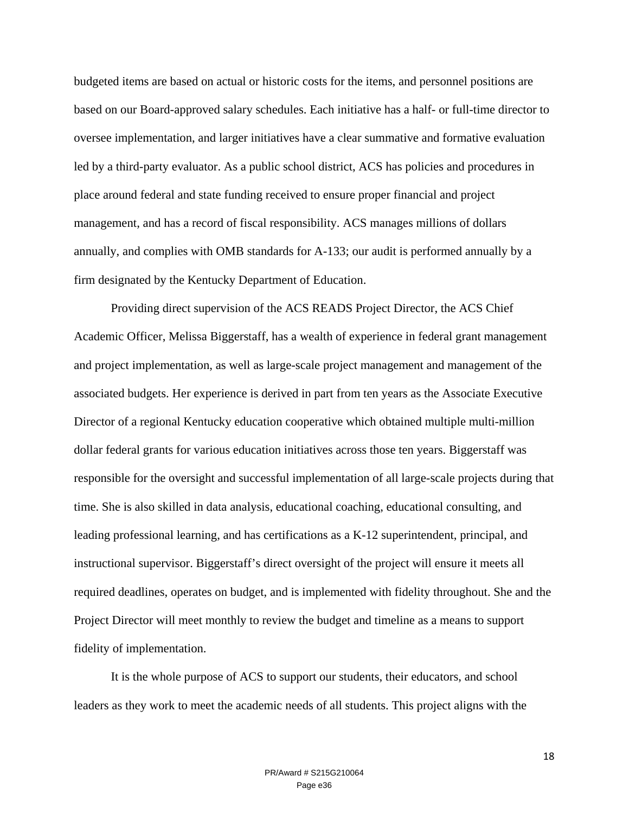budgeted items are based on actual or historic costs for the items, and personnel positions are based on our Board-approved salary schedules. Each initiative has a half- or full-time director to oversee implementation, and larger initiatives have a clear summative and formative evaluation led by a third-party evaluator. As a public school district, ACS has policies and procedures in place around federal and state funding received to ensure proper financial and project management, and has a record of fiscal responsibility. ACS manages millions of dollars annually, and complies with OMB standards for A-133; our audit is performed annually by a firm designated by the Kentucky Department of Education.

 Providing direct supervision of the ACS READS Project Director, the ACS Chief Academic Officer, Melissa Biggerstaff, has a wealth of experience in federal grant management and project implementation, as well as large-scale project management and management of the associated budgets. Her experience is derived in part from ten years as the Associate Executive Director of a regional Kentucky education cooperative which obtained multiple multi-million dollar federal grants for various education initiatives across those ten years. Biggerstaff was responsible for the oversight and successful implementation of all large-scale projects during that time. She is also skilled in data analysis, educational coaching, educational consulting, and leading professional learning, and has certifications as a K-12 superintendent, principal, and instructional supervisor. Biggerstaff's direct oversight of the project will ensure it meets all required deadlines, operates on budget, and is implemented with fidelity throughout. She and the Project Director will meet monthly to review the budget and timeline as a means to support fidelity of implementation.

 It is the whole purpose of ACS to support our students, their educators, and school leaders as they work to meet the academic needs of all students. This project aligns with the

18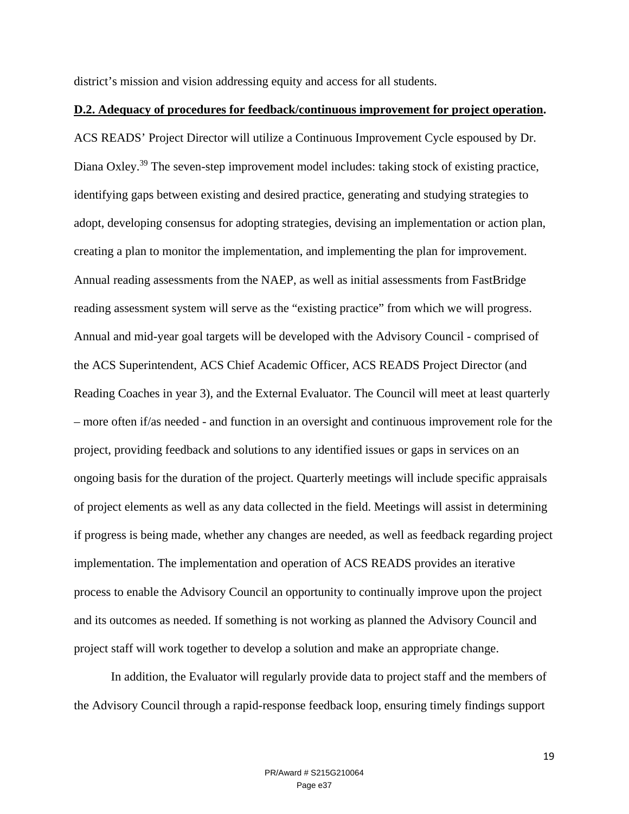district's mission and vision addressing equity and access for all students.

#### **D.2. Adequacy of procedures for feedback/continuous improvement for project operation.**

ACS READS' Project Director will utilize a Continuous Improvement Cycle espoused by Dr. Diana Oxley.<sup>39</sup> The seven-step improvement model includes: taking stock of existing practice, identifying gaps between existing and desired practice, generating and studying strategies to adopt, developing consensus for adopting strategies, devising an implementation or action plan, creating a plan to monitor the implementation, and implementing the plan for improvement. Annual reading assessments from the NAEP, as well as initial assessments from FastBridge reading assessment system will serve as the "existing practice" from which we will progress. Annual and mid-year goal targets will be developed with the Advisory Council - comprised of the ACS Superintendent, ACS Chief Academic Officer, ACS READS Project Director (and Reading Coaches in year 3), and the External Evaluator. The Council will meet at least quarterly – more often if/as needed - and function in an oversight and continuous improvement role for the project, providing feedback and solutions to any identified issues or gaps in services on an ongoing basis for the duration of the project. Quarterly meetings will include specific appraisals of project elements as well as any data collected in the field. Meetings will assist in determining if progress is being made, whether any changes are needed, as well as feedback regarding project implementation. The implementation and operation of ACS READS provides an iterative process to enable the Advisory Council an opportunity to continually improve upon the project and its outcomes as needed. If something is not working as planned the Advisory Council and project staff will work together to develop a solution and make an appropriate change.

 In addition, the Evaluator will regularly provide data to project staff and the members of the Advisory Council through a rapid-response feedback loop, ensuring timely findings support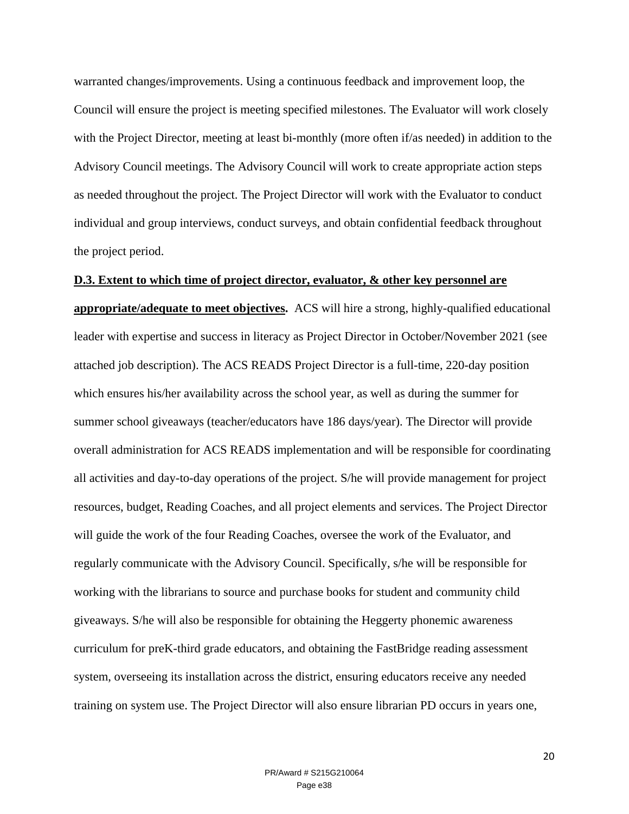warranted changes/improvements. Using a continuous feedback and improvement loop, the Council will ensure the project is meeting specified milestones. The Evaluator will work closely with the Project Director, meeting at least bi-monthly (more often if/as needed) in addition to the Advisory Council meetings. The Advisory Council will work to create appropriate action steps as needed throughout the project. The Project Director will work with the Evaluator to conduct individual and group interviews, conduct surveys, and obtain confidential feedback throughout the project period.

#### **D.3. Extent to which time of project director, evaluator, & other key personnel are**

**appropriate/adequate to meet objectives.** ACS will hire a strong, highly-qualified educational leader with expertise and success in literacy as Project Director in October/November 2021 (see attached job description). The ACS READS Project Director is a full-time, 220-day position which ensures his/her availability across the school year, as well as during the summer for summer school giveaways (teacher/educators have 186 days/year). The Director will provide overall administration for ACS READS implementation and will be responsible for coordinating all activities and day-to-day operations of the project. S/he will provide management for project resources, budget, Reading Coaches, and all project elements and services. The Project Director will guide the work of the four Reading Coaches, oversee the work of the Evaluator, and regularly communicate with the Advisory Council. Specifically, s/he will be responsible for working with the librarians to source and purchase books for student and community child giveaways. S/he will also be responsible for obtaining the Heggerty phonemic awareness curriculum for preK-third grade educators, and obtaining the FastBridge reading assessment system, overseeing its installation across the district, ensuring educators receive any needed training on system use. The Project Director will also ensure librarian PD occurs in years one,

20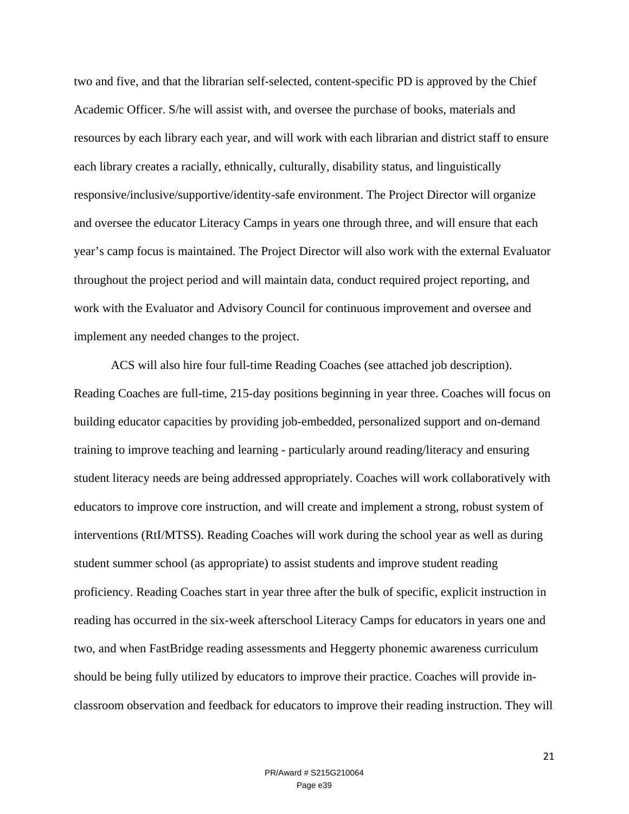two and five, and that the librarian self-selected, content-specific PD is approved by the Chief Academic Officer. S/he will assist with, and oversee the purchase of books, materials and resources by each library each year, and will work with each librarian and district staff to ensure each library creates a racially, ethnically, culturally, disability status, and linguistically responsive/inclusive/supportive/identity-safe environment. The Project Director will organize and oversee the educator Literacy Camps in years one through three, and will ensure that each year's camp focus is maintained. The Project Director will also work with the external Evaluator throughout the project period and will maintain data, conduct required project reporting, and work with the Evaluator and Advisory Council for continuous improvement and oversee and implement any needed changes to the project.

 ACS will also hire four full-time Reading Coaches (see attached job description). Reading Coaches are full-time, 215-day positions beginning in year three. Coaches will focus on building educator capacities by providing job-embedded, personalized support and on-demand training to improve teaching and learning - particularly around reading/literacy and ensuring student literacy needs are being addressed appropriately. Coaches will work collaboratively with educators to improve core instruction, and will create and implement a strong, robust system of interventions (RtI/MTSS). Reading Coaches will work during the school year as well as during student summer school (as appropriate) to assist students and improve student reading proficiency. Reading Coaches start in year three after the bulk of specific, explicit instruction in reading has occurred in the six-week afterschool Literacy Camps for educators in years one and two, and when FastBridge reading assessments and Heggerty phonemic awareness curriculum should be being fully utilized by educators to improve their practice. Coaches will provide inclassroom observation and feedback for educators to improve their reading instruction. They will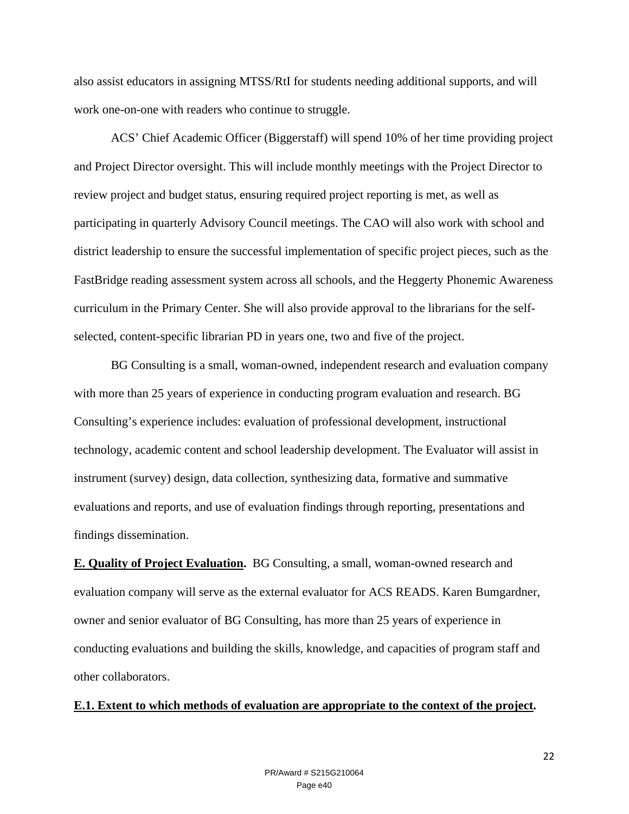also assist educators in assigning MTSS/RtI for students needing additional supports, and will work one-on-one with readers who continue to struggle.

ACS' Chief Academic Officer (Biggerstaff) will spend 10% of her time providing project and Project Director oversight. This will include monthly meetings with the Project Director to review project and budget status, ensuring required project reporting is met, as well as participating in quarterly Advisory Council meetings. The CAO will also work with school and district leadership to ensure the successful implementation of specific project pieces, such as the FastBridge reading assessment system across all schools, and the Heggerty Phonemic Awareness curriculum in the Primary Center. She will also provide approval to the librarians for the selfselected, content-specific librarian PD in years one, two and five of the project.

BG Consulting is a small, woman-owned, independent research and evaluation company with more than 25 years of experience in conducting program evaluation and research. BG Consulting's experience includes: evaluation of professional development, instructional technology, academic content and school leadership development. The Evaluator will assist in instrument (survey) design, data collection, synthesizing data, formative and summative evaluations and reports, and use of evaluation findings through reporting, presentations and findings dissemination.

**E. Quality of Project Evaluation.** BG Consulting, a small, woman-owned research and evaluation company will serve as the external evaluator for ACS READS. Karen Bumgardner, owner and senior evaluator of BG Consulting, has more than 25 years of experience in conducting evaluations and building the skills, knowledge, and capacities of program staff and other collaborators.

#### **E.1. Extent to which methods of evaluation are appropriate to the context of the project.**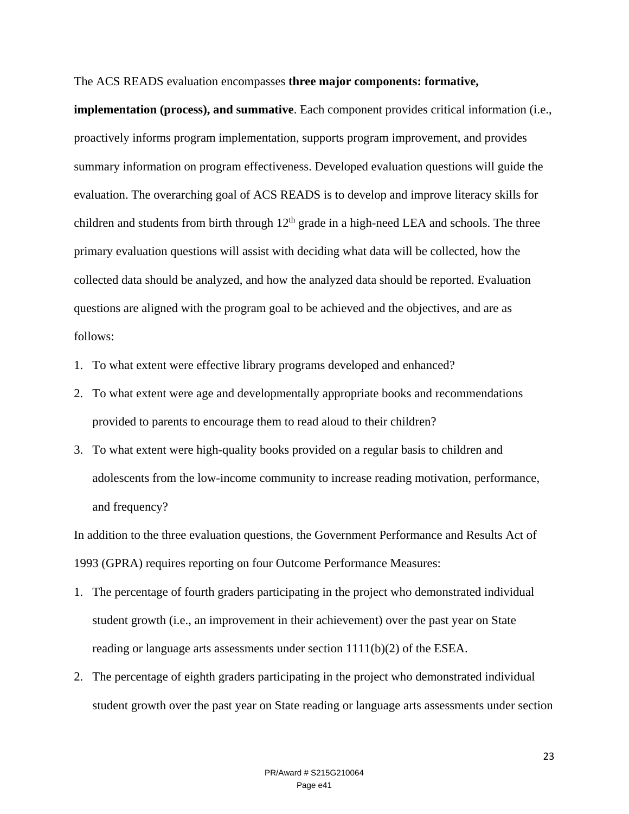The ACS READS evaluation encompasses **three major components: formative,** 

**implementation (process), and summative**. Each component provides critical information (i.e., proactively informs program implementation, supports program improvement, and provides summary information on program effectiveness. Developed evaluation questions will guide the evaluation. The overarching goal of ACS READS is to develop and improve literacy skills for children and students from birth through  $12<sup>th</sup>$  grade in a high-need LEA and schools. The three primary evaluation questions will assist with deciding what data will be collected, how the collected data should be analyzed, and how the analyzed data should be reported. Evaluation questions are aligned with the program goal to be achieved and the objectives, and are as follows:

- 1. To what extent were effective library programs developed and enhanced?
- 2. To what extent were age and developmentally appropriate books and recommendations provided to parents to encourage them to read aloud to their children?
- 3. To what extent were high-quality books provided on a regular basis to children and adolescents from the low-income community to increase reading motivation, performance, and frequency?

In addition to the three evaluation questions, the Government Performance and Results Act of 1993 (GPRA) requires reporting on four Outcome Performance Measures:

- 1. The percentage of fourth graders participating in the project who demonstrated individual student growth (i.e., an improvement in their achievement) over the past year on State reading or language arts assessments under section  $1111(b)(2)$  of the ESEA.
- 2. The percentage of eighth graders participating in the project who demonstrated individual student growth over the past year on State reading or language arts assessments under section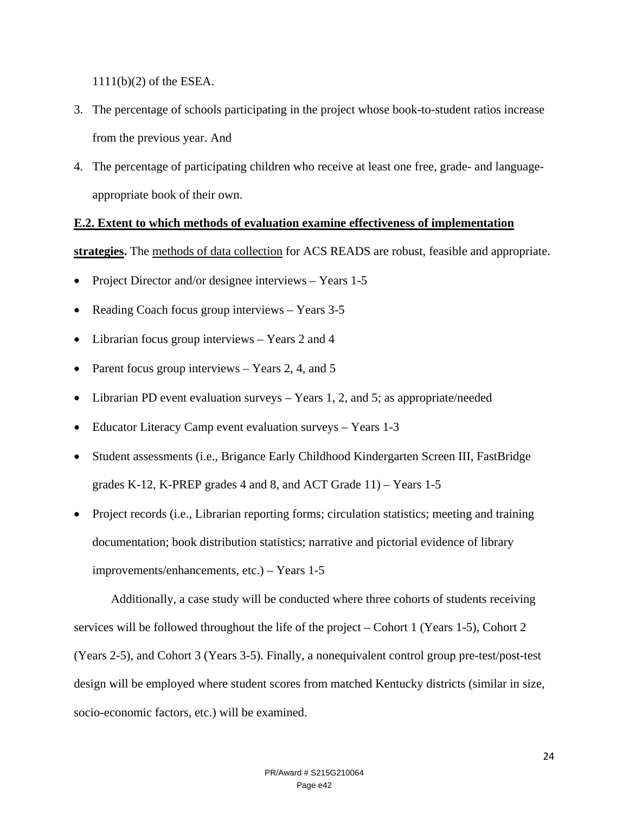1111(b)(2) of the ESEA.

- 3. The percentage of schools participating in the project whose book-to-student ratios increase from the previous year. And
- 4. The percentage of participating children who receive at least one free, grade- and languageappropriate book of their own.

#### **E.2. Extent to which methods of evaluation examine effectiveness of implementation**

**strategies.** The methods of data collection for ACS READS are robust, feasible and appropriate.

- Project Director and/or designee interviews Years 1-5
- Reading Coach focus group interviews Years 3-5
- Librarian focus group interviews Years 2 and 4
- Parent focus group interviews  $-$  Years 2, 4, and 5
- Librarian PD event evaluation surveys Years 1, 2, and 5; as appropriate/needed
- Educator Literacy Camp event evaluation surveys Years 1-3
- Student assessments (i.e., Brigance Early Childhood Kindergarten Screen III, FastBridge grades K-12, K-PREP grades 4 and 8, and ACT Grade 11) – Years 1-5
- Project records (i.e., Librarian reporting forms; circulation statistics; meeting and training documentation; book distribution statistics; narrative and pictorial evidence of library improvements/enhancements, etc.) – Years 1-5

 Additionally, a case study will be conducted where three cohorts of students receiving services will be followed throughout the life of the project – Cohort 1 (Years 1-5), Cohort 2 (Years 2-5), and Cohort 3 (Years 3-5). Finally, a nonequivalent control group pre-test/post-test design will be employed where student scores from matched Kentucky districts (similar in size, socio-economic factors, etc.) will be examined.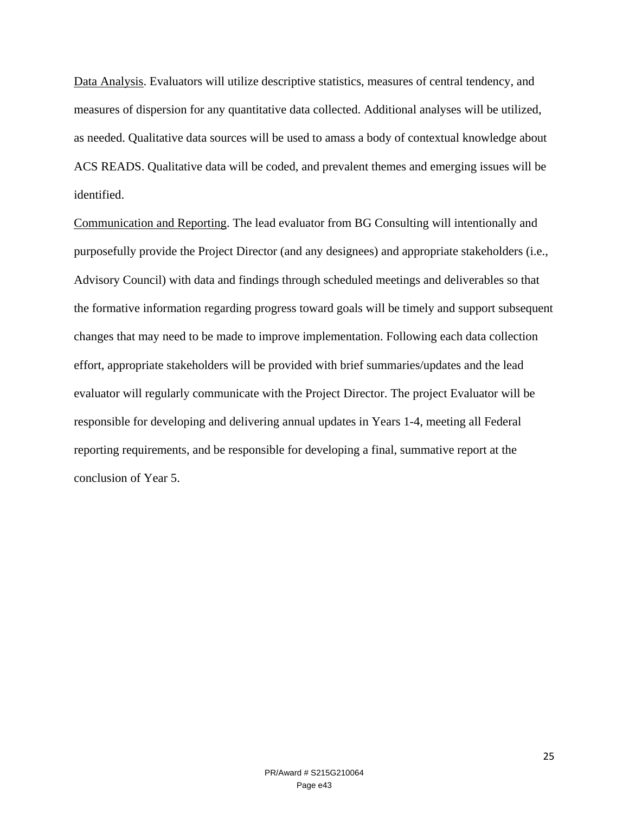Data Analysis. Evaluators will utilize descriptive statistics, measures of central tendency, and measures of dispersion for any quantitative data collected. Additional analyses will be utilized, as needed. Qualitative data sources will be used to amass a body of contextual knowledge about ACS READS. Qualitative data will be coded, and prevalent themes and emerging issues will be identified.

Communication and Reporting. The lead evaluator from BG Consulting will intentionally and purposefully provide the Project Director (and any designees) and appropriate stakeholders (i.e., Advisory Council) with data and findings through scheduled meetings and deliverables so that the formative information regarding progress toward goals will be timely and support subsequent changes that may need to be made to improve implementation. Following each data collection effort, appropriate stakeholders will be provided with brief summaries/updates and the lead evaluator will regularly communicate with the Project Director. The project Evaluator will be responsible for developing and delivering annual updates in Years 1-4, meeting all Federal reporting requirements, and be responsible for developing a final, summative report at the conclusion of Year 5.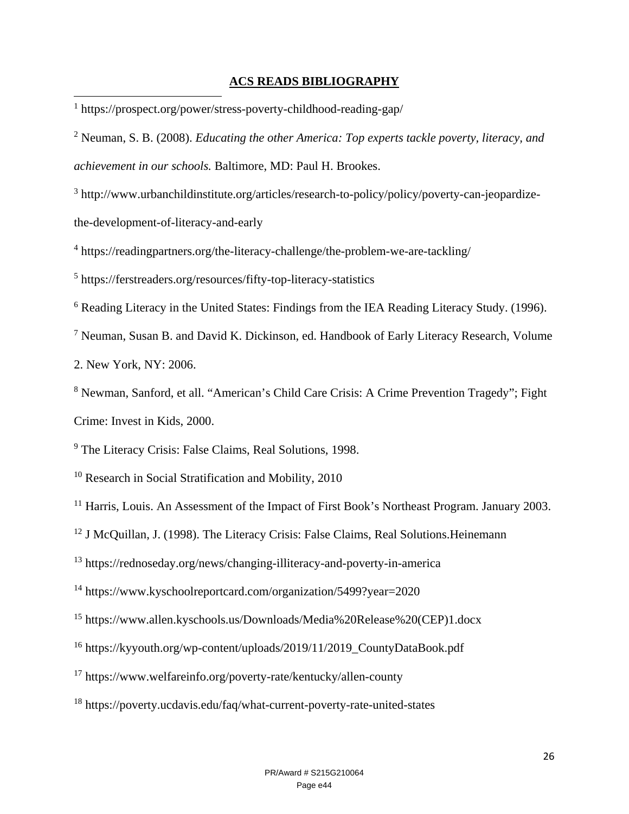#### **ACS READS BIBLIOGRAPHY**

1 https://prospect.org/power/stress-poverty-childhood-reading-gap/

2 Neuman, S. B. (2008). *Educating the other America: Top experts tackle poverty, literacy, and achievement in our schools.* Baltimore, MD: Paul H. Brookes.

<sup>3</sup> http://www.urbanchildinstitute.org/articles/research-to-policy/policy/poverty-can-jeopardizethe-development-of-literacy-and-early

4 https://readingpartners.org/the-literacy-challenge/the-problem-we-are-tackling/

5 https://ferstreaders.org/resources/fifty-top-literacy-statistics

<sup>6</sup> Reading Literacy in the United States: Findings from the IEA Reading Literacy Study. (1996).

<sup>7</sup> Neuman, Susan B. and David K. Dickinson, ed. Handbook of Early Literacy Research, Volume

2. New York, NY: 2006.

 $\overline{\phantom{a}}$ 

<sup>8</sup> Newman, Sanford, et all. "American's Child Care Crisis: A Crime Prevention Tragedy"; Fight Crime: Invest in Kids, 2000.

<sup>9</sup> The Literacy Crisis: False Claims, Real Solutions, 1998.

<sup>10</sup> Research in Social Stratification and Mobility, 2010

<sup>11</sup> Harris, Louis. An Assessment of the Impact of First Book's Northeast Program. January 2003.

<sup>12</sup> J McQuillan, J. (1998). The Literacy Crisis: False Claims, Real Solutions. Heinemann

13 https://rednoseday.org/news/changing-illiteracy-and-poverty-in-america

14 https://www.kyschoolreportcard.com/organization/5499?year=2020

15 https://www.allen.kyschools.us/Downloads/Media%20Release%20(CEP)1.docx

16 https://kyyouth.org/wp-content/uploads/2019/11/2019\_CountyDataBook.pdf

17 https://www.welfareinfo.org/poverty-rate/kentucky/allen-county

18 https://poverty.ucdavis.edu/faq/what-current-poverty-rate-united-states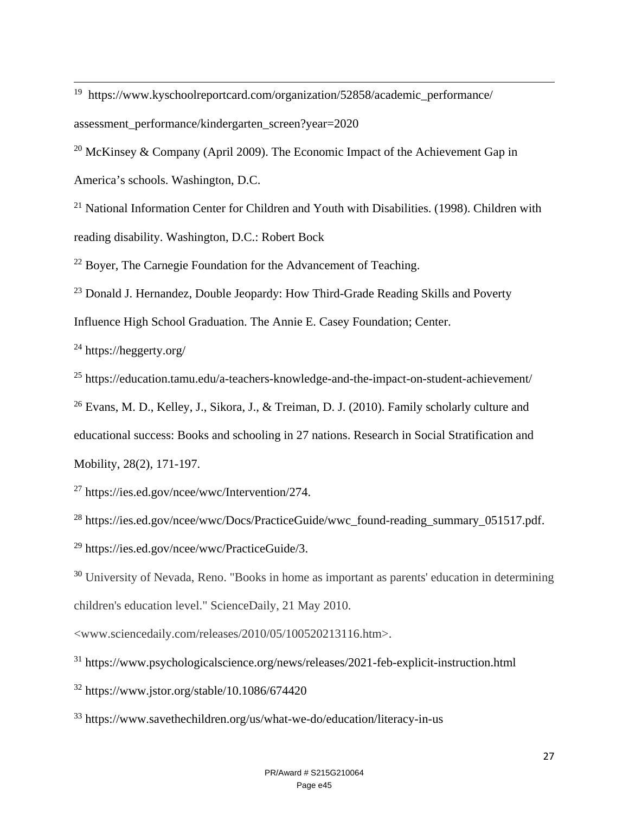19 https://www.kyschoolreportcard.com/organization/52858/academic\_performance/ assessment\_performance/kindergarten\_screen?year=2020

<sup>20</sup> McKinsey & Company (April 2009). The Economic Impact of the Achievement Gap in America's schools. Washington, D.C.

<sup>21</sup> National Information Center for Children and Youth with Disabilities. (1998). Children with reading disability. Washington, D.C.: Robert Bock

 $22$  Boyer, The Carnegie Foundation for the Advancement of Teaching.

<sup>23</sup> Donald J. Hernandez, Double Jeopardy: How Third-Grade Reading Skills and Poverty

Influence High School Graduation. The Annie E. Casey Foundation; Center.

24 https://heggerty.org/

1

25 https://education.tamu.edu/a-teachers-knowledge-and-the-impact-on-student-achievement/

<sup>26</sup> Evans, M. D., Kelley, J., Sikora, J., & Treiman, D. J. (2010). Family scholarly culture and educational success: Books and schooling in 27 nations. Research in Social Stratification and Mobility, 28(2), 171-197.

27 https://ies.ed.gov/ncee/wwc/Intervention/274.

<sup>28</sup> https://ies.ed.gov/ncee/wwc/Docs/PracticeGuide/wwc\_found-reading\_summary\_051517.pdf.

29 https://ies.ed.gov/ncee/wwc/PracticeGuide/3.

<sup>30</sup> University of Nevada, Reno. "Books in home as important as parents' education in determining children's education level." ScienceDaily, 21 May 2010.

<www.sciencedaily.com/releases/2010/05/100520213116.htm>.

31 https://www.psychologicalscience.org/news/releases/2021-feb-explicit-instruction.html

 $32 \text{ https://www.jstor.org/stable/10.1086/674420}$ 

33 https://www.savethechildren.org/us/what-we-do/education/literacy-in-us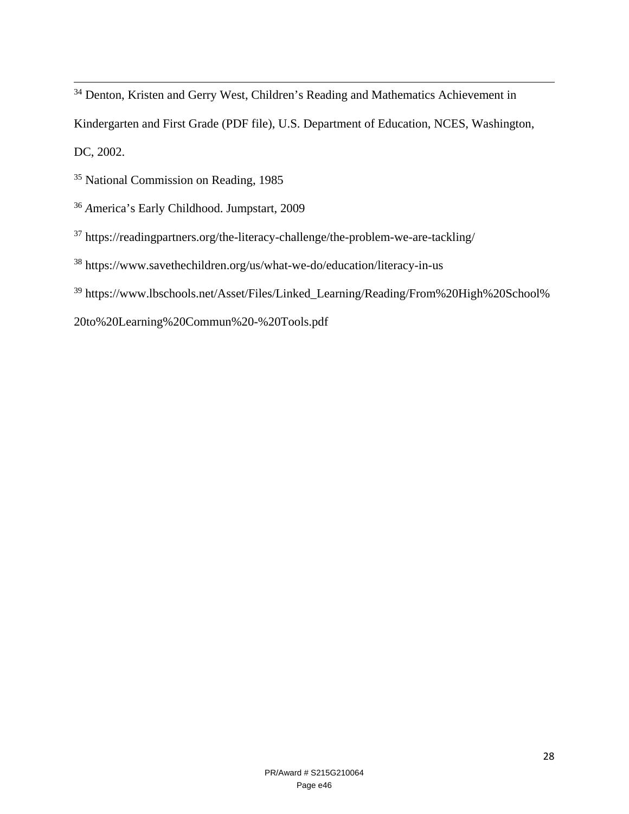<sup>34</sup> Denton, Kristen and Gerry West, Children's Reading and Mathematics Achievement in Kindergarten and First Grade (PDF file), U.S. Department of Education, NCES, Washington, DC, 2002.

35 National Commission on Reading, 1985

1

<sup>36</sup> *A*merica's Early Childhood. Jumpstart, 2009

37 https://readingpartners.org/the-literacy-challenge/the-problem-we-are-tackling/

38 https://www.savethechildren.org/us/what-we-do/education/literacy-in-us

39 https://www.lbschools.net/Asset/Files/Linked\_Learning/Reading/From%20High%20School%

20to%20Learning%20Commun%20-%20Tools.pdf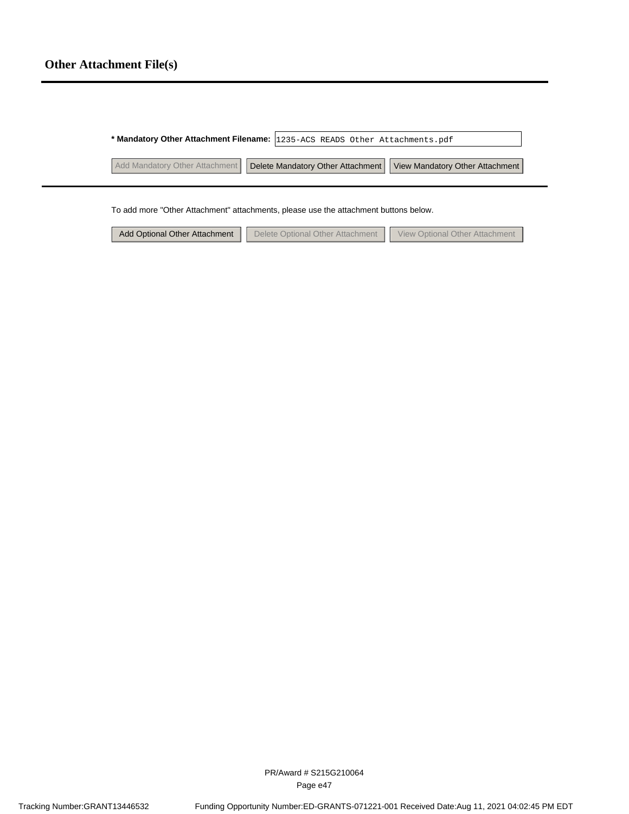#### **Other Attachment File(s)**

| * Mandatory Other Attachment Filename: 1235-ACS READS Other Attachments.pdf |                                                                     |
|-----------------------------------------------------------------------------|---------------------------------------------------------------------|
| Add Mandatory Other Attachment                                              | Delete Mandatory Other Attachment   View Mandatory Other Attachment |

To add more "Other Attachment" attachments, please use the attachment buttons below.

Add Optional Other Attachment Delete Optional Other Attachment View Optional Other Attachment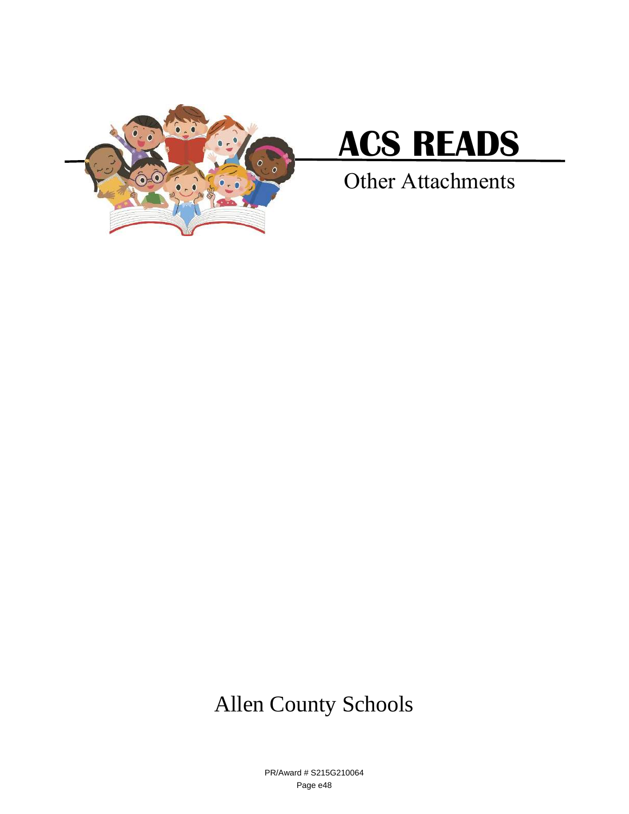

# **ACS READS**

Other Attachments

## Allen County Schools

PR/Award # S215G210064 Page e48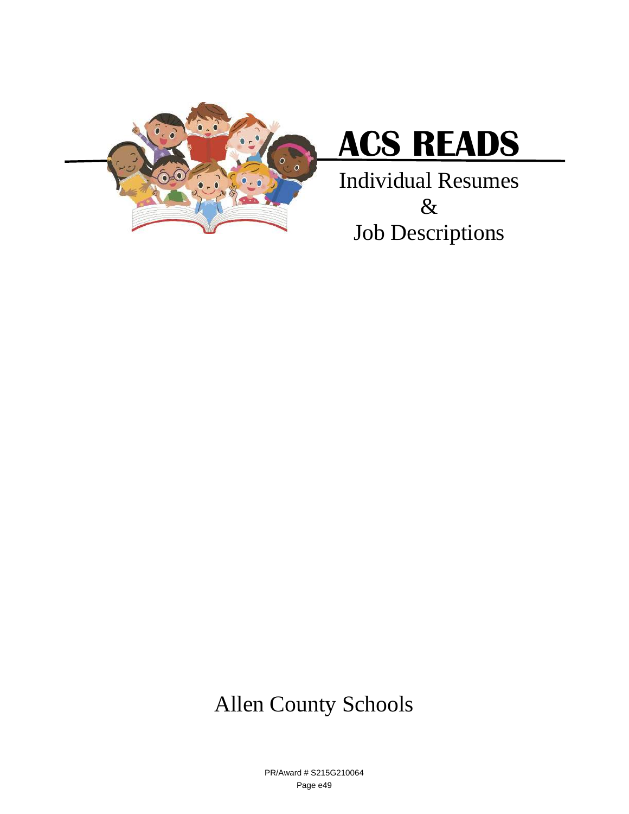

# **ACS READS**

Individual Resumes  $\&$ Job Descriptions

## Allen County Schools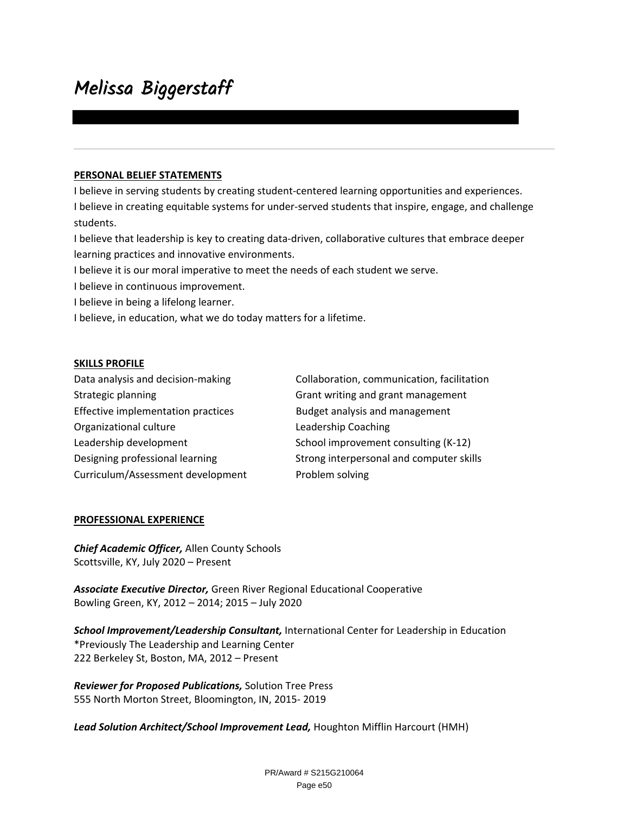### Melissa Biggerstaff

#### **PERSONAL BELIEF STATEMENTS**

I believe in serving students by creating student-centered learning opportunities and experiences. I believe in creating equitable systems for under-served students that inspire, engage, and challenge students.

I believe that leadership is key to creating data-driven, collaborative cultures that embrace deeper learning practices and innovative environments.

I believe it is our moral imperative to meet the needs of each student we serve.

I believe in continuous improvement.

I believe in being a lifelong learner.

I believe, in education, what we do today matters for a lifetime.

#### **SKILLS PROFILE**

Strategic planning Grant writing and grant management Effective implementation practices Budget analysis and management Organizational culture Leadership Coaching Leadership development School improvement consulting (K-12) Curriculum/Assessment development Problem solving

Data analysis and decision-making Collaboration, communication, facilitation Designing professional learning Strong interpersonal and computer skills

#### **PROFESSIONAL EXPERIENCE**

*Chief Academic Officer,* Allen County Schools Scottsville, KY, July 2020 – Present

*Associate Executive Director,* Green River Regional Educational Cooperative Bowling Green, KY, 2012 – 2014; 2015 – July 2020

*School Improvement/Leadership Consultant,* International Center for Leadership in Education \*Previously The Leadership and Learning Center 222 Berkeley St, Boston, MA, 2012 – Present

*Reviewer for Proposed Publications,* Solution Tree Press 555 North Morton Street, Bloomington, IN, 2015- 2019

*Lead Solution Architect/School Improvement Lead,* Houghton Mifflin Harcourt (HMH)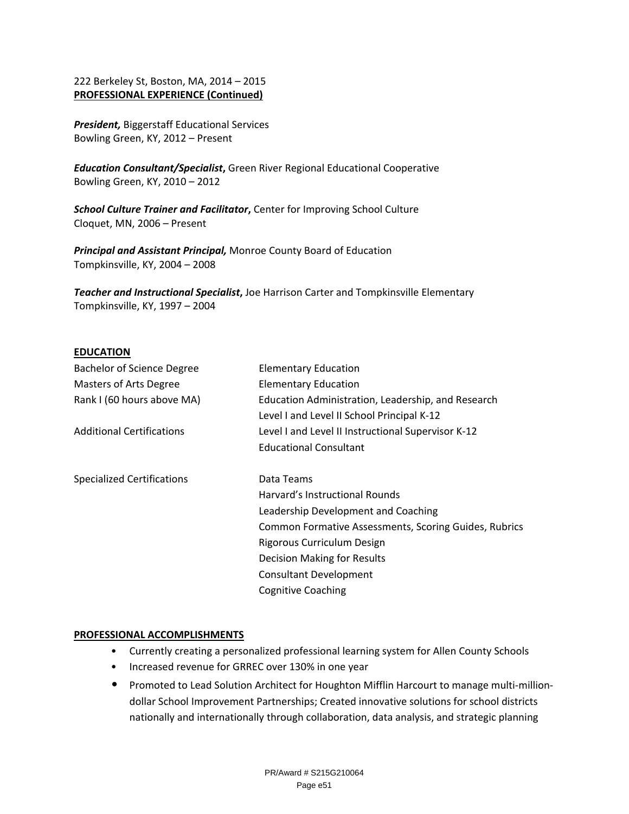222 Berkeley St, Boston, MA, 2014 – 2015 **PROFESSIONAL EXPERIENCE (Continued)** 

*President,* Biggerstaff Educational Services Bowling Green, KY, 2012 – Present

*Education Consultant/Specialist***,** Green River Regional Educational Cooperative Bowling Green, KY, 2010 – 2012

**School Culture Trainer and Facilitator**, Center for Improving School Culture Cloquet, MN, 2006 – Present

*Principal and Assistant Principal,* Monroe County Board of Education Tompkinsville, KY, 2004 – 2008

*Teacher and Instructional Specialist***,** Joe Harrison Carter and Tompkinsville Elementary Tompkinsville, KY, 1997 – 2004

#### **EDUCATION**

| <b>Bachelor of Science Degree</b> | <b>Elementary Education</b>                           |
|-----------------------------------|-------------------------------------------------------|
| Masters of Arts Degree            | <b>Elementary Education</b>                           |
| Rank I (60 hours above MA)        | Education Administration, Leadership, and Research    |
|                                   | Level I and Level II School Principal K-12            |
| <b>Additional Certifications</b>  | Level I and Level II Instructional Supervisor K-12    |
|                                   | <b>Educational Consultant</b>                         |
| <b>Specialized Certifications</b> | Data Teams                                            |
|                                   | Harvard's Instructional Rounds                        |
|                                   | Leadership Development and Coaching                   |
|                                   | Common Formative Assessments, Scoring Guides, Rubrics |
|                                   | Rigorous Curriculum Design                            |
|                                   | <b>Decision Making for Results</b>                    |
|                                   | <b>Consultant Development</b>                         |
|                                   | <b>Cognitive Coaching</b>                             |

#### **PROFESSIONAL ACCOMPLISHMENTS**

- Currently creating a personalized professional learning system for Allen County Schools
- Increased revenue for GRREC over 130% in one year
- Promoted to Lead Solution Architect for Houghton Mifflin Harcourt to manage multi-milliondollar School Improvement Partnerships; Created innovative solutions for school districts nationally and internationally through collaboration, data analysis, and strategic planning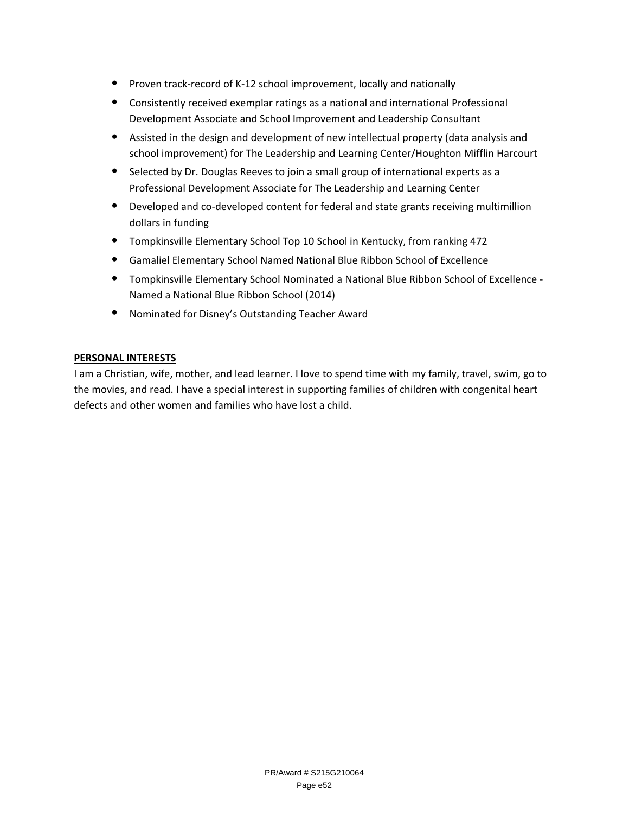- Proven track-record of K-12 school improvement, locally and nationally
- Consistently received exemplar ratings as a national and international Professional Development Associate and School Improvement and Leadership Consultant
- Assisted in the design and development of new intellectual property (data analysis and school improvement) for The Leadership and Learning Center/Houghton Mifflin Harcourt
- Selected by Dr. Douglas Reeves to join a small group of international experts as a Professional Development Associate for The Leadership and Learning Center
- Developed and co-developed content for federal and state grants receiving multimillion dollars in funding
- Tompkinsville Elementary School Top 10 School in Kentucky, from ranking 472
- Gamaliel Elementary School Named National Blue Ribbon School of Excellence
- Tompkinsville Elementary School Nominated a National Blue Ribbon School of Excellence Named a National Blue Ribbon School (2014)
- Nominated for Disney's Outstanding Teacher Award

#### **PERSONAL INTERESTS**

I am a Christian, wife, mother, and lead learner. I love to spend time with my family, travel, swim, go to the movies, and read. I have a special interest in supporting families of children with congenital heart defects and other women and families who have lost a child.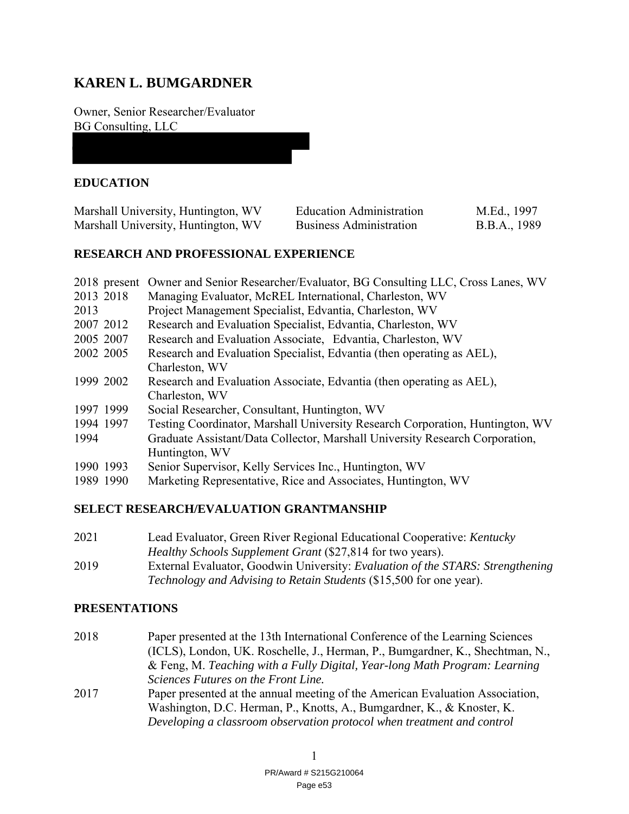#### **KAREN L. BUMGARDNER**

Owner, Senior Researcher/Evaluator BG Consulting, LLC

#### **EDUCATION**

| Marshall University, Huntington, WV | <b>Education Administration</b> | M.Ed., 1997  |
|-------------------------------------|---------------------------------|--------------|
| Marshall University, Huntington, WV | <b>Business Administration</b>  | B.B.A., 1989 |

#### **RESEARCH AND PROFESSIONAL EXPERIENCE**

|           | 2018 present Owner and Senior Researcher/Evaluator, BG Consulting LLC, Cross Lanes, WV |
|-----------|----------------------------------------------------------------------------------------|
| 2013 2018 | Managing Evaluator, McREL International, Charleston, WV                                |
| 2013      | Project Management Specialist, Edvantia, Charleston, WV                                |
| 2007 2012 | Research and Evaluation Specialist, Edvantia, Charleston, WV                           |
| 2005 2007 | Research and Evaluation Associate, Edvantia, Charleston, WV                            |
| 2002 2005 | Research and Evaluation Specialist, Edvantia (then operating as AEL),                  |
|           | Charleston, WV                                                                         |
| 1999 2002 | Research and Evaluation Associate, Edvantia (then operating as AEL),                   |
|           | Charleston, WV                                                                         |
| 1997 1999 | Social Researcher, Consultant, Huntington, WV                                          |
| 1994 1997 | Testing Coordinator, Marshall University Research Corporation, Huntington, WV          |
| 1994      | Graduate Assistant/Data Collector, Marshall University Research Corporation,           |
|           | Huntington, WV                                                                         |
| 1990 1993 | Senior Supervisor, Kelly Services Inc., Huntington, WV                                 |
| 1989 1990 | Marketing Representative, Rice and Associates, Huntington, WV                          |
|           |                                                                                        |

#### **SELECT RESEARCH/EVALUATION GRANTMANSHIP**

2021 Lead Evaluator, Green River Regional Educational Cooperative: *Kentucky Healthy Schools Supplement Grant* (\$27,814 for two years). 2019 External Evaluator, Goodwin University: *Evaluation of the STARS: Strengthening Technology and Advising to Retain Students* (\$15,500 for one year).

#### **PRESENTATIONS**

2018 Paper presented at the 13th International Conference of the Learning Sciences (ICLS), London, UK. Roschelle, J., Herman, P., Bumgardner, K., Shechtman, N., & Feng, M. *Teaching with a Fully Digital, Year-long Math Program: Learning Sciences Futures on the Front Line.*  2017 Paper presented at the annual meeting of the American Evaluation Association, Washington, D.C. Herman, P., Knotts, A., Bumgardner, K., & Knoster, K. *Developing a classroom observation protocol when treatment and control* 

1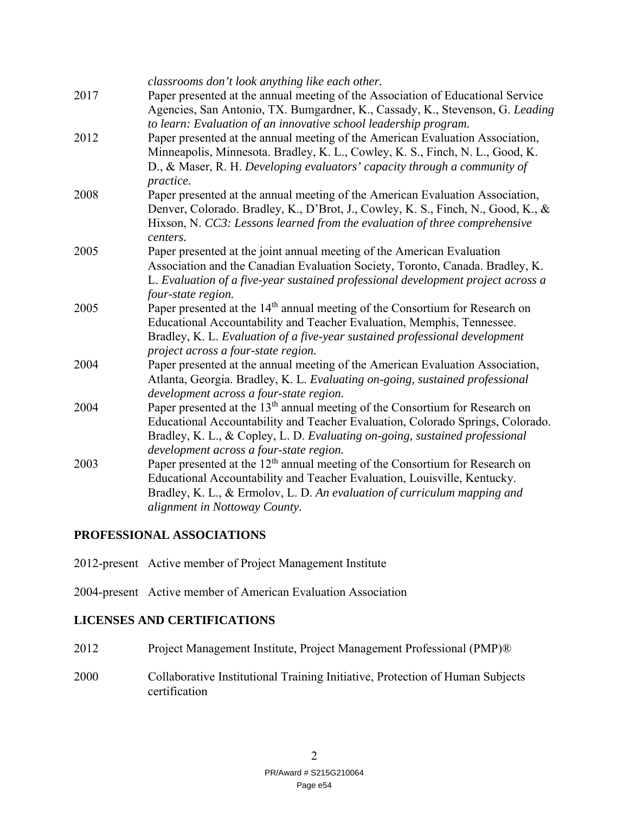|      | classrooms don't look anything like each other.                                          |
|------|------------------------------------------------------------------------------------------|
| 2017 | Paper presented at the annual meeting of the Association of Educational Service          |
|      | Agencies, San Antonio, TX. Bumgardner, K., Cassady, K., Stevenson, G. Leading            |
|      | to learn: Evaluation of an innovative school leadership program.                         |
| 2012 | Paper presented at the annual meeting of the American Evaluation Association,            |
|      | Minneapolis, Minnesota. Bradley, K. L., Cowley, K. S., Finch, N. L., Good, K.            |
|      | D., & Maser, R. H. Developing evaluators' capacity through a community of                |
|      | practice.                                                                                |
| 2008 | Paper presented at the annual meeting of the American Evaluation Association,            |
|      | Denver, Colorado. Bradley, K., D'Brot, J., Cowley, K. S., Finch, N., Good, K., &         |
|      | Hixson, N. CC3: Lessons learned from the evaluation of three comprehensive               |
|      | centers.                                                                                 |
| 2005 | Paper presented at the joint annual meeting of the American Evaluation                   |
|      | Association and the Canadian Evaluation Society, Toronto, Canada. Bradley, K.            |
|      | L. Evaluation of a five-year sustained professional development project across a         |
|      | four-state region.                                                                       |
| 2005 | Paper presented at the 14 <sup>th</sup> annual meeting of the Consortium for Research on |
|      | Educational Accountability and Teacher Evaluation, Memphis, Tennessee.                   |
|      | Bradley, K. L. Evaluation of a five-year sustained professional development              |
|      | project across a four-state region.                                                      |
| 2004 | Paper presented at the annual meeting of the American Evaluation Association,            |
|      | Atlanta, Georgia. Bradley, K. L. Evaluating on-going, sustained professional             |
|      | development across a four-state region.                                                  |
| 2004 | Paper presented at the 13 <sup>th</sup> annual meeting of the Consortium for Research on |
|      | Educational Accountability and Teacher Evaluation, Colorado Springs, Colorado.           |
|      | Bradley, K. L., & Copley, L. D. Evaluating on-going, sustained professional              |
|      | development across a four-state region.                                                  |
| 2003 | Paper presented at the $12th$ annual meeting of the Consortium for Research on           |
|      | Educational Accountability and Teacher Evaluation, Louisville, Kentucky.                 |
|      | Bradley, K. L., & Ermolov, L. D. An evaluation of curriculum mapping and                 |
|      | alignment in Nottoway County.                                                            |

#### **PROFESSIONAL ASSOCIATIONS**

2012-present Active member of Project Management Institute

2004-present Active member of American Evaluation Association

#### **LICENSES AND CERTIFICATIONS**

- 2012 Project Management Institute, Project Management Professional (PMP)®
- 2000 Collaborative Institutional Training Initiative, Protection of Human Subjects certification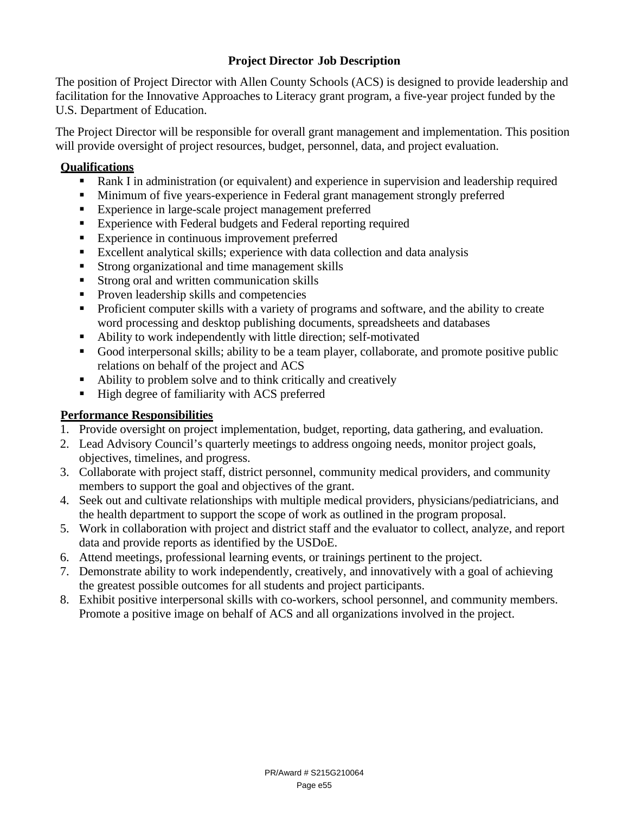#### **Project Director Job Description**

The position of Project Director with Allen County Schools (ACS) is designed to provide leadership and facilitation for the Innovative Approaches to Literacy grant program, a five-year project funded by the U.S. Department of Education.

The Project Director will be responsible for overall grant management and implementation. This position will provide oversight of project resources, budget, personnel, data, and project evaluation.

#### **Qualifications**

- Rank I in administration (or equivalent) and experience in supervision and leadership required
- Minimum of five years-experience in Federal grant management strongly preferred
- Experience in large-scale project management preferred
- **Experience with Federal budgets and Federal reporting required**
- Experience in continuous improvement preferred
- Excellent analytical skills; experience with data collection and data analysis
- **Strong organizational and time management skills**
- Strong oral and written communication skills
- **Proven leadership skills and competencies**
- **Proficient computer skills with a variety of programs and software, and the ability to create** word processing and desktop publishing documents, spreadsheets and databases
- Ability to work independently with little direction; self-motivated
- Good interpersonal skills; ability to be a team player, collaborate, and promote positive public relations on behalf of the project and ACS
- Ability to problem solve and to think critically and creatively
- High degree of familiarity with ACS preferred

#### **Performance Responsibilities**

- 1. Provide oversight on project implementation, budget, reporting, data gathering, and evaluation.
- 2. Lead Advisory Council's quarterly meetings to address ongoing needs, monitor project goals, objectives, timelines, and progress.
- 3. Collaborate with project staff, district personnel, community medical providers, and community members to support the goal and objectives of the grant.
- 4. Seek out and cultivate relationships with multiple medical providers, physicians/pediatricians, and the health department to support the scope of work as outlined in the program proposal.
- 5. Work in collaboration with project and district staff and the evaluator to collect, analyze, and report data and provide reports as identified by the USDoE.
- 6. Attend meetings, professional learning events, or trainings pertinent to the project.
- 7. Demonstrate ability to work independently, creatively, and innovatively with a goal of achieving the greatest possible outcomes for all students and project participants.
- 8. Exhibit positive interpersonal skills with co-workers, school personnel, and community members. Promote a positive image on behalf of ACS and all organizations involved in the project.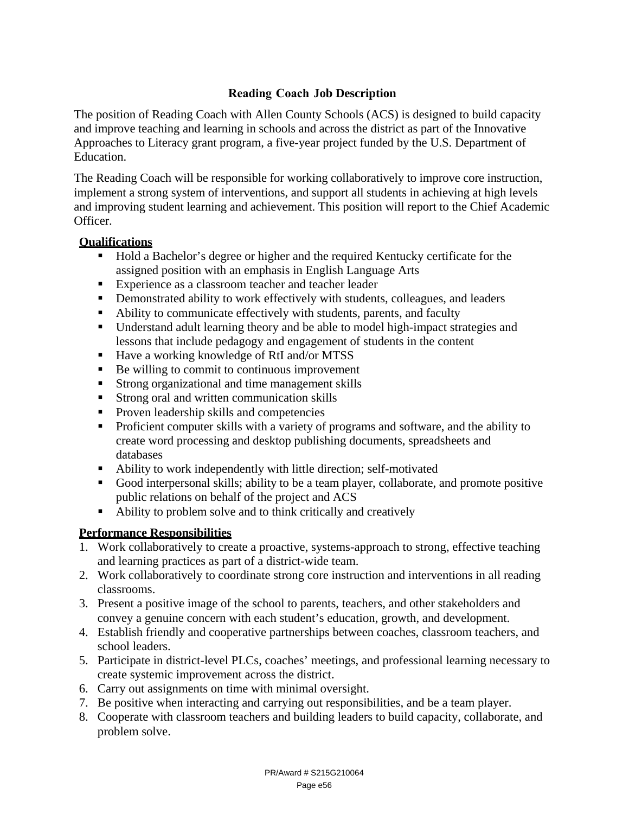#### **Reading Coach Job Description**

The position of Reading Coach with Allen County Schools (ACS) is designed to build capacity and improve teaching and learning in schools and across the district as part of the Innovative Approaches to Literacy grant program, a five-year project funded by the U.S. Department of Education.

The Reading Coach will be responsible for working collaboratively to improve core instruction, implement a strong system of interventions, and support all students in achieving at high levels and improving student learning and achievement. This position will report to the Chief Academic Officer.

#### **Qualifications**

- Hold a Bachelor's degree or higher and the required Kentucky certificate for the assigned position with an emphasis in English Language Arts
- Experience as a classroom teacher and teacher leader
- **•** Demonstrated ability to work effectively with students, colleagues, and leaders
- Ability to communicate effectively with students, parents, and faculty
- Understand adult learning theory and be able to model high-impact strategies and lessons that include pedagogy and engagement of students in the content
- Have a working knowledge of RtI and/or MTSS
- Be willing to commit to continuous improvement
- **Strong organizational and time management skills**
- Strong oral and written communication skills
- **Proven leadership skills and competencies**
- **Proficient computer skills with a variety of programs and software, and the ability to** create word processing and desktop publishing documents, spreadsheets and databases
- Ability to work independently with little direction; self-motivated
- Good interpersonal skills; ability to be a team player, collaborate, and promote positive public relations on behalf of the project and ACS
- Ability to problem solve and to think critically and creatively

#### **Performance Responsibilities**

- 1. Work collaboratively to create a proactive, systems-approach to strong, effective teaching and learning practices as part of a district-wide team.
- 2. Work collaboratively to coordinate strong core instruction and interventions in all reading classrooms.
- 3. Present a positive image of the school to parents, teachers, and other stakeholders and convey a genuine concern with each student's education, growth, and development.
- 4. Establish friendly and cooperative partnerships between coaches, classroom teachers, and school leaders.
- 5. Participate in district-level PLCs, coaches' meetings, and professional learning necessary to create systemic improvement across the district.
- 6. Carry out assignments on time with minimal oversight.
- 7. Be positive when interacting and carrying out responsibilities, and be a team player.
- 8. Cooperate with classroom teachers and building leaders to build capacity, collaborate, and problem solve.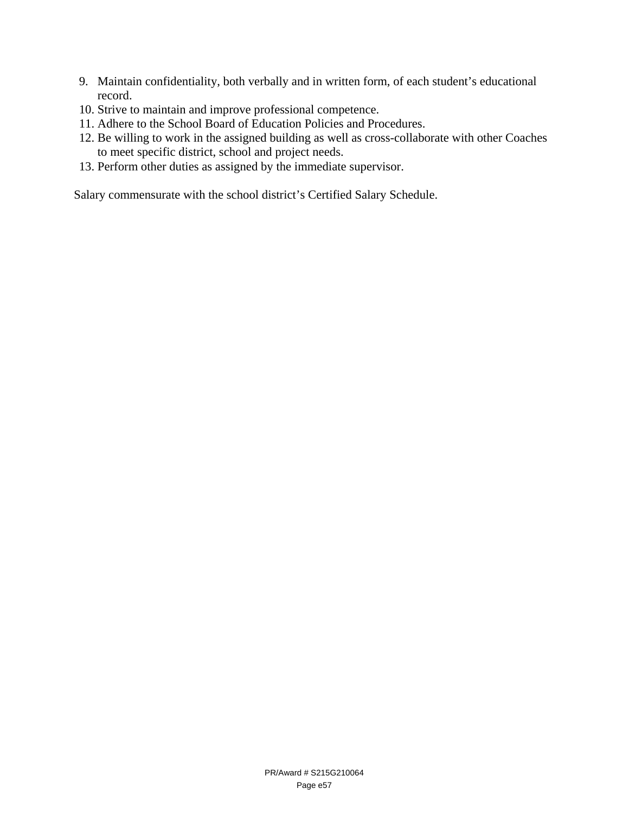- 9. Maintain confidentiality, both verbally and in written form, of each student's educational record.
- 10. Strive to maintain and improve professional competence.
- 11. Adhere to the School Board of Education Policies and Procedures.
- 12. Be willing to work in the assigned building as well as cross-collaborate with other Coaches to meet specific district, school and project needs.
- 13. Perform other duties as assigned by the immediate supervisor.

Salary commensurate with the school district's Certified Salary Schedule.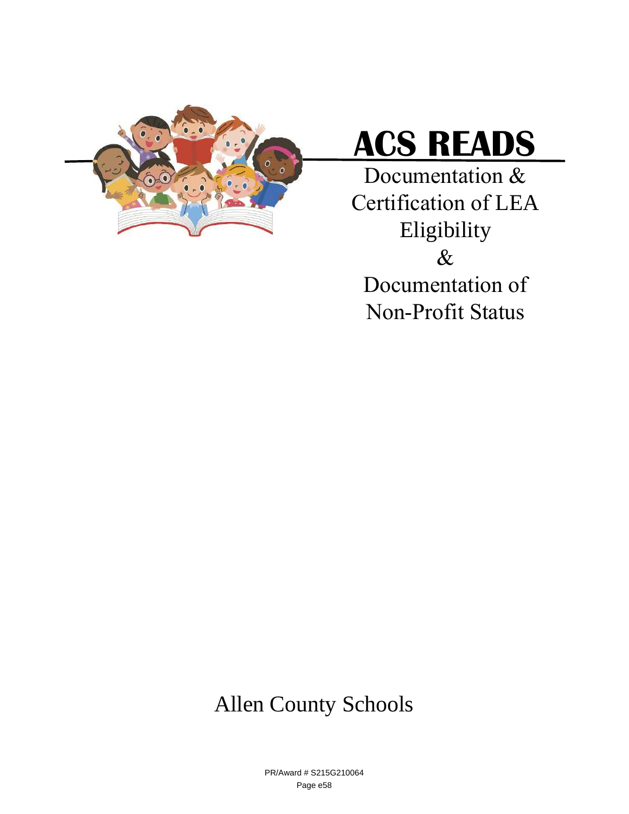

# **ACS READS**

Documentation & Certification of LEA Eligibility & Documentation of Non-Profit Status

## Allen County Schools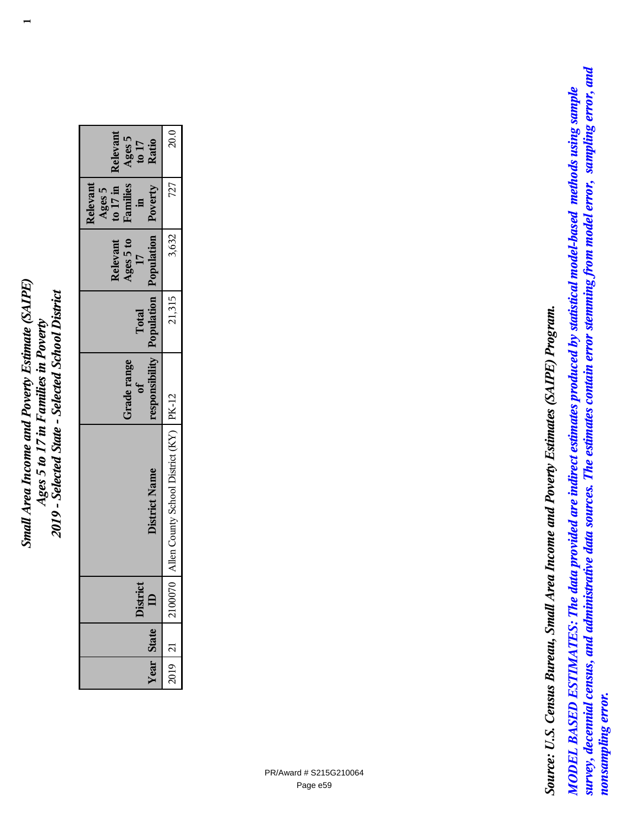# *Small Area Income and Poverty Estimate (SAIPE)* **1 Small Area Income and Poverty Estimate (SAIPE)** 2019 - Selected State - Selected School District *2019 - Selected State - Selected School District Ages 5 to 17 in Families in Poverty* Ages 5 to 17 in Families in Poverty

| 20.0           | 727                         | 3,632             | 21,315 |                            | Allen County School District (KY)   PK-12 | 2100070 | $\overline{\mathcal{L}}$ | 2019 |
|----------------|-----------------------------|-------------------|--------|----------------------------|-------------------------------------------|---------|--------------------------|------|
| Ratio          | <b>Poverty</b>              | <b>Population</b> |        | esponsibility   Population | District Name                             |         | <b>Year State</b>        |      |
| $\frac{17}{1}$ | E                           |                   | Total  |                            |                                           |         |                          |      |
| Ages 5         | Families                    | Ages 5 to         |        | Grade range                |                                           |         |                          |      |
| Relevant       | $\frac{17 \text{ in } }{2}$ | Relevant          |        |                            |                                           |         |                          |      |
|                | Ages 5                      |                   |        |                            |                                           |         |                          |      |
|                | Relevant                    |                   |        |                            |                                           |         |                          |      |

MODEL BASED ESTIMATES: The data provided are indirect estimates produced by statistical model-based methods using sample *MODEL BASED ESTIMATES: The data provided are indirect estimates produced by statistical model-based methods using sample* Source: U.S. Census Bureau, Small Area Income and Poverty Estimates (SAIPE) Program. *Source: U.S. Census Bureau, Small Area Income and Poverty Estimates (SAIPE) Program.*

*survey, decennial census, and administrative data sources. The estimates contain error stemming from model error, sampling error, and*

survey, decennial census, and administrative data sources. The estimates contain error stemming from model error, sampling error, and

*nonsampling error.*

nonsampling error.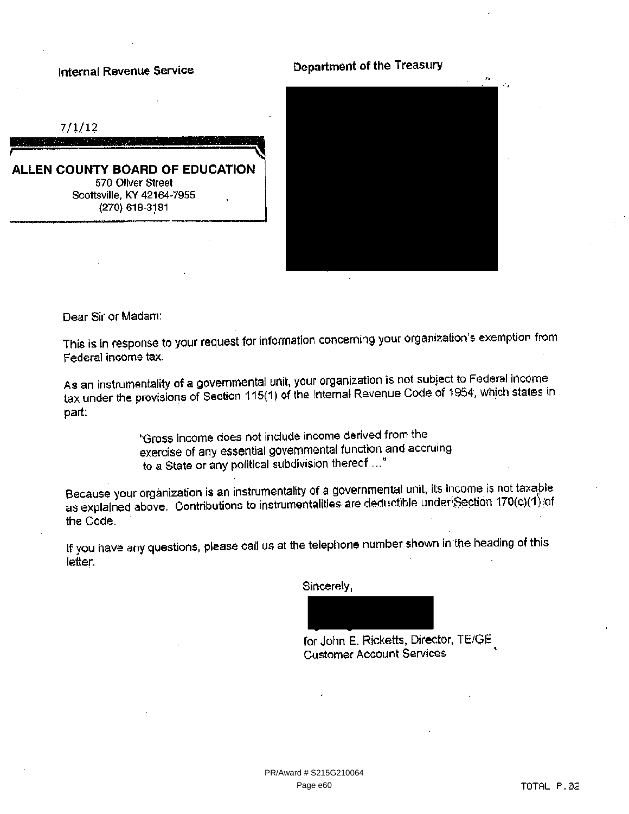#### **Internal Revenue Service**

#### Department of the Treasury

 $7/1/12$ 

ALLEN COUNTY BOARD OF EDUCATION 570 Oliver Street Scottsville, KY 42164-7955  $(270)$  618-3181



Dear Sir or Madam:

This is in response to your request for information concerning your organization's exemption from Federal income tax.

As an instrumentality of a governmental unit, your organization is not subject to Federal income tax under the provisions of Section 115(1) of the Internal Revenue Code of 1954, which states in part:

> "Gross income does not include income derived from the exercise of any essential governmental function and accruing to a State or any political subdivision thereof ..."

Because your organization is an instrumentality of a governmental unit, its income is not taxable as explained above. Contributions to instrumentalities are deductible under Section 170(c)(1) of the Code.

If you have any questions, please call us at the telephone number shown in the heading of this letter.

Sincerely,

for John E. Ricketts, Director, TE/GE **Customer Account Services**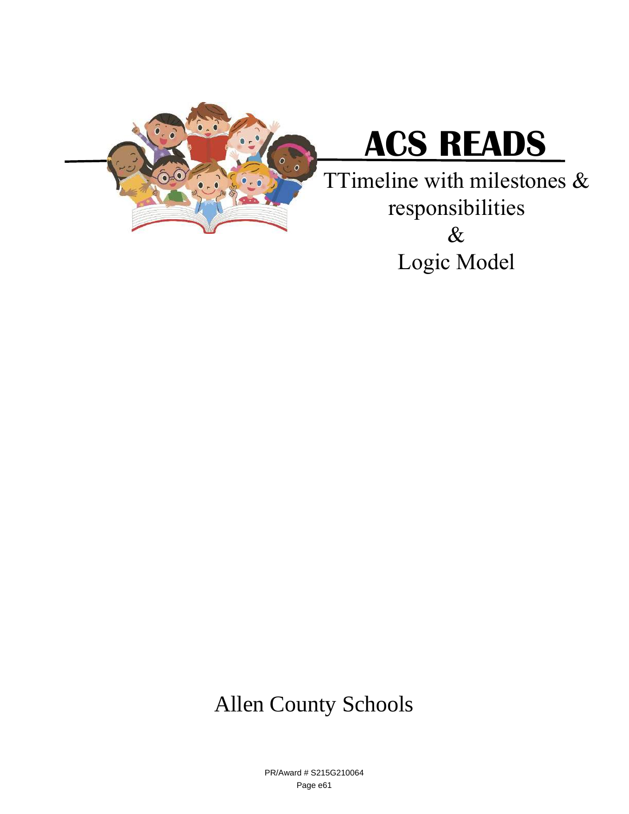

# **ACS READS**

TTimeline with milestones & responsibilities  $\&$ Logic Model

## Allen County Schools

PR/Award # S215G210064 Page e61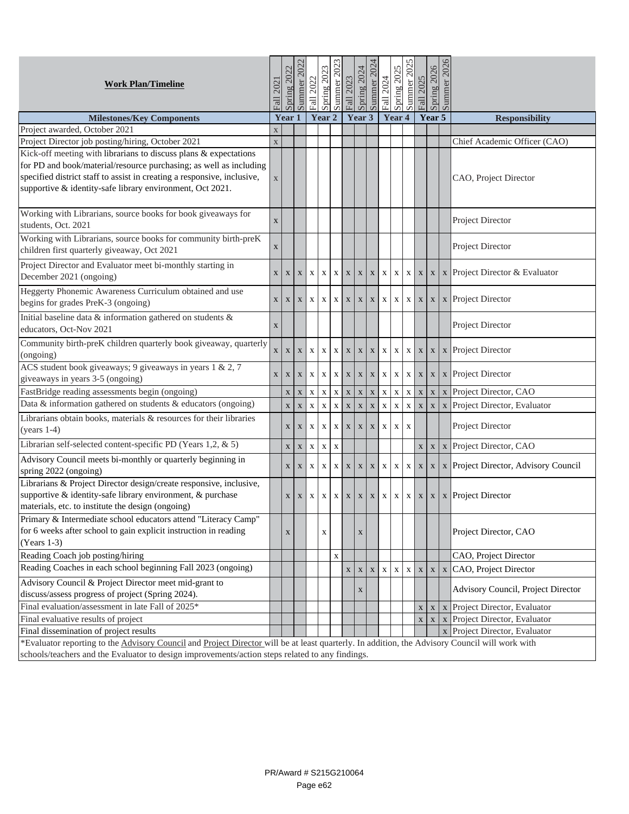| <b>Work Plan/Timeline</b>                                                                                                                                                                                                                                                      | Fall 2021   | Spring 2022 | Summer 2022  | Fall 2022    | 2023<br>Spring | Summer 202               | Fall 2023    | Spring 2024  | Summer 2024  | Fall 2024    | Spring 2025 | Summer 2025  | Fall 2025    | 2026<br>Spring  | 2026<br>Summer |                                               |
|--------------------------------------------------------------------------------------------------------------------------------------------------------------------------------------------------------------------------------------------------------------------------------|-------------|-------------|--------------|--------------|----------------|--------------------------|--------------|--------------|--------------|--------------|-------------|--------------|--------------|-----------------|----------------|-----------------------------------------------|
| <b>Milestones/Key Components</b>                                                                                                                                                                                                                                               |             | Year 1      |              |              | Year 2         |                          |              | Year 3       |              |              | Year 4      |              |              | Year 5          |                | <b>Responsibility</b>                         |
| Project awarded, October 2021                                                                                                                                                                                                                                                  | $\mathbf X$ |             |              |              |                |                          |              |              |              |              |             |              |              |                 |                |                                               |
| Project Director job posting/hiring, October 2021                                                                                                                                                                                                                              | $\mathbf X$ |             |              |              |                |                          |              |              |              |              |             |              |              |                 |                | Chief Academic Officer (CAO)                  |
| Kick-off meeting with librarians to discuss plans & expectations<br>for PD and book/material/resource purchasing; as well as including<br>specified district staff to assist in creating a responsive, inclusive,<br>supportive & identity-safe library environment, Oct 2021. | $\mathbf X$ |             |              |              |                |                          |              |              |              |              |             |              |              |                 |                | CAO, Project Director                         |
| Working with Librarians, source books for book giveaways for<br>students, Oct. 2021                                                                                                                                                                                            | $\mathbf X$ |             |              |              |                |                          |              |              |              |              |             |              |              |                 |                | Project Director                              |
| Working with Librarians, source books for community birth-preK<br>children first quarterly giveaway, Oct 2021                                                                                                                                                                  | $\mathbf X$ |             |              |              |                |                          |              |              |              |              |             |              |              |                 |                | Project Director                              |
| Project Director and Evaluator meet bi-monthly starting in<br>December 2021 (ongoing)                                                                                                                                                                                          | $\mathbf X$ | $\mathbf X$ | $\mathbf X$  | $\mathbf{X}$ | $\mathbf X$    | $\mathbf X$              | $\mathbf{X}$ | $\mathbf{X}$ | $\mathbf X$  | $\mathbf X$  | $\mathbf X$ | $\mathbf X$  | $\mathbf{X}$ | $\mathbf X$     |                | x Project Director & Evaluator                |
| Heggerty Phonemic Awareness Curriculum obtained and use<br>begins for grades PreK-3 (ongoing)                                                                                                                                                                                  | $\mathbf X$ | $\mathbf X$ | $\mathbf X$  | X            |                | $X \mid X \mid X \mid X$ |              |              | $\mathbf X$  | $\mathbf X$  | $\mathbf X$ |              | $X \mid X$   | $\mathbf{X}$    |                | $x$ Project Director                          |
| Initial baseline data & information gathered on students &<br>educators, Oct-Nov 2021                                                                                                                                                                                          | $\mathbf X$ |             |              |              |                |                          |              |              |              |              |             |              |              |                 |                | Project Director                              |
| Community birth-preK children quarterly book giveaway, quarterly<br>(ongoing)                                                                                                                                                                                                  | $\mathbf X$ | $\mathbf X$ | $\mathbf X$  | $\mathbf{X}$ | $\mathbf{x}$   | $\mathbf{X}$             | $\mathbf X$  | $\mathbf X$  | $\mathbf X$  | $\mathbf{x}$ | $\mathbf X$ |              | $X \mid X$   | $\mathbf{x}$    |                | $\bar{x}$ Project Director                    |
| ACS student book giveaways; 9 giveaways in years 1 & 2, 7<br>giveaways in years 3-5 (ongoing)                                                                                                                                                                                  | $\mathbf X$ | $\mathbf X$ | $\mathbf X$  | $\mathbf{X}$ | $\mathbf{x}$   | $\mathbf{x}$             |              | $X \mid X$   | $\mathbf{X}$ | $\mathbf{x}$ | $\mathbf X$ |              | $X \mid X$   |                 |                | $x \mid x$ Project Director                   |
| FastBridge reading assessments begin (ongoing)                                                                                                                                                                                                                                 |             | $\mathbf X$ | $\mathbf X$  |              |                | $X$ $X$ $X$              |              | $\mathbf X$  | $\mathbf X$  | $\mathbf X$  | $\mathbf X$ | $\mathbf X$  | $\mathbf{x}$ | $\mathbf{x}$    |                | x Project Director, CAO                       |
| Data & information gathered on students & educators (ongoing)                                                                                                                                                                                                                  |             | $\mathbf X$ | $\mathbf{x}$ | $\mathbf X$  | $\mathbf X$    | $\mathbf X$              | $\mathbf X$  | $\mathbf x$  | $\mathbf X$  | $\mathbf X$  | $\mathbf X$ | $\mathbf X$  | $\mathbf X$  | $\mathbf{x}$    |                | x Project Director, Evaluator                 |
| Librarians obtain books, materials & resources for their libraries<br>$(years 1-4)$                                                                                                                                                                                            |             | $\mathbf X$ | $\mathbf X$  | $\mathbf X$  | $\mathbf{X}$   |                          | $X \mid X$   | $\mathbf X$  | $\mathbf X$  | $\mathbf X$  | $\mathbf X$ | $\mathbf X$  |              |                 |                | Project Director                              |
| Librarian self-selected content-specific PD (Years 1,2, & 5)                                                                                                                                                                                                                   |             | $\mathbf X$ | $\mathbf X$  | $\mathbf X$  | $\mathbf X$    | $\mathbf X$              |              |              |              |              |             |              | $\mathbf{X}$ | $\mathbf{x}$    |                | x Project Director, CAO                       |
| Advisory Council meets bi-monthly or quarterly beginning in<br>spring 2022 (ongoing)                                                                                                                                                                                           |             | $\mathbf X$ | X            | $\mathbf{X}$ | $\mathbf{X}$   | $\mathbf{X}$             |              | $X \mid X$   | $\mathbf X$  | $\mathbf X$  | $\mathbf X$ |              | $X \mid X$   |                 |                | $x \mid x$ Project Director, Advisory Council |
| Librarians & Project Director design/create responsive, inclusive,<br>supportive & identity-safe library environment, & purchase<br>materials, etc. to institute the design (ongoing)                                                                                          |             | $\mathbf X$ | $\mathbf X$  | X            | $\mathbf{X}$   | $\mathbf{x}$             | $\mathbf{X}$ | $\mathbf{X}$ | $\mathbf{X}$ | $\mathbf{X}$ | $\mathbf X$ |              | $X \mid X$   | $\mathbf{X}$    |                | x Project Director                            |
| Primary & Intermediate school educators attend "Literacy Camp"<br>for 6 weeks after school to gain explicit instruction in reading<br>$(Years 1-3)$                                                                                                                            |             | $\mathbf X$ |              |              | $\mathbf X$    |                          |              | $\mathbf X$  |              |              |             |              |              |                 |                | Project Director, CAO                         |
| Reading Coach job posting/hiring                                                                                                                                                                                                                                               |             |             |              |              |                | $\mathbf X$              |              |              |              |              |             |              |              |                 |                | CAO, Project Director                         |
| Reading Coaches in each school beginning Fall 2023 (ongoing)                                                                                                                                                                                                                   |             |             |              |              |                |                          | $\mathbf X$  | $\mathbf X$  | $\mathbf{X}$ | $\mathbf X$  | X           | $\mathbf{X}$ | $\mathbf{X}$ | $\mathbf{x}$    |                | $x$ CAO, Project Director                     |
| Advisory Council & Project Director meet mid-grant to<br>discuss/assess progress of project (Spring 2024).                                                                                                                                                                     |             |             |              |              |                |                          |              | $\mathbf X$  |              |              |             |              |              |                 |                | Advisory Council, Project Director            |
| Final evaluation/assessment in late Fall of 2025*                                                                                                                                                                                                                              |             |             |              |              |                |                          |              |              |              |              |             |              |              | $x \mid x \mid$ |                | x Project Director, Evaluator                 |
| Final evaluative results of project                                                                                                                                                                                                                                            |             |             |              |              |                |                          |              |              |              |              |             |              | $\mathbf{X}$ | $\mathbf{x}$    |                | x Project Director, Evaluator                 |
| Final dissemination of project results                                                                                                                                                                                                                                         |             |             |              |              |                |                          |              |              |              |              |             |              |              |                 |                | x Project Director, Evaluator                 |
| *Evaluator reporting to the <b>Advisory Council</b> and Project Director will be at least quarterly. In addition, the Advisory Council will work with<br>schools/teachers and the Evaluator to design improvements/action steps related to any findings.                       |             |             |              |              |                |                          |              |              |              |              |             |              |              |                 |                |                                               |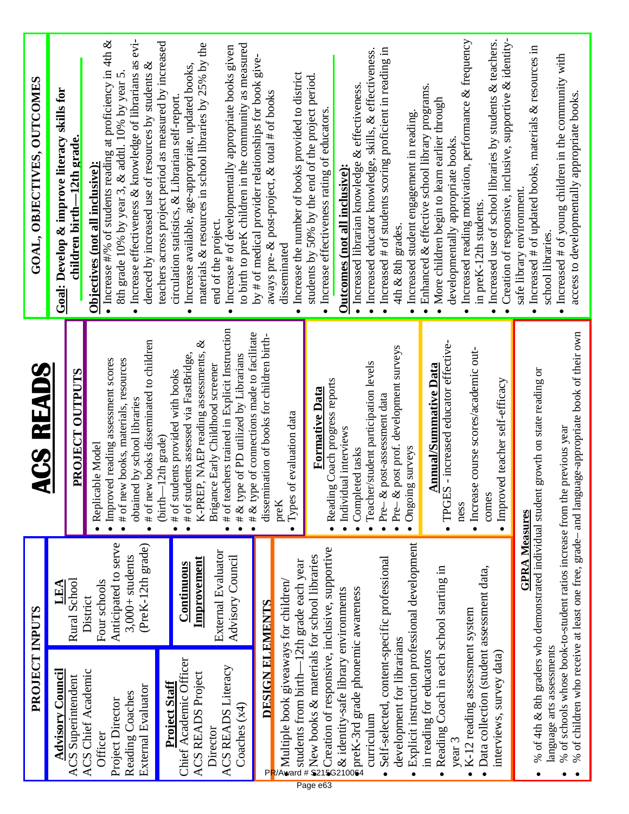| GOAL, OBJECTIVES, OUTCOMES | Goal: Develop & improve literacy skills for<br>children birth—12th grade. | Increase effectiveness & knowledge of librarians as evi-<br>• Increase #/% of students reading at proficiency in 4th $\&$<br>denced by increased use of resources by students &<br>8th grade 10% by year 3, & addtl. 10% by year 5.<br>Objectives (not all inclusive):<br>$\bullet$ | teachers across project period as measured by increased<br>materials & resources in school libraries by 25% by the<br>to birth to preK children in the community as measured<br>Increase # of developmentally appropriate books given<br>Increase available, age-appropriate, updated books,<br>circulation statistics, & Librarian self-report.<br>end of the project.<br>$\bullet$ | by # of medical provider relationships for book give-<br>Increase the number of books provided to district<br>aways pre- & post-project, & total # of books<br>disseminated<br>$\bullet$ | students by 50% by the end of the project period.<br>Increase effectiveness rating of educators.<br>$\bullet$ | · Increased librarian knowledge & effectiveness.<br>Outcomes (not all inclusive):                                                                                                                                                | $\bullet$ Increased # of students scoring proficient in reading in<br>· Increased educator knowledge, skills, & effectiveness.<br>Increased student engagement in reading.<br>4th & 8th grades.<br>$\bullet$ | $\bullet$ Enhanced & effective school library programs.<br>More children begin to learn earlier through<br>developmentally appropriate books.<br>$\bullet$ | Creation of responsive, inclusive, supportive & identity-<br>Increased reading motivation, performance & frequency<br>Increased use of school libraries by students & teachers.<br>in preK-12th students.<br>$\bullet$<br>$\bullet$<br>$\bullet$ | Increased # of updated books, materials & resources in<br>Increased # of young children in the community with<br>access to developmentally appropriate books.<br>safe library environment.<br>school libraries.<br>$\bullet$ |
|----------------------------|---------------------------------------------------------------------------|-------------------------------------------------------------------------------------------------------------------------------------------------------------------------------------------------------------------------------------------------------------------------------------|--------------------------------------------------------------------------------------------------------------------------------------------------------------------------------------------------------------------------------------------------------------------------------------------------------------------------------------------------------------------------------------|------------------------------------------------------------------------------------------------------------------------------------------------------------------------------------------|---------------------------------------------------------------------------------------------------------------|----------------------------------------------------------------------------------------------------------------------------------------------------------------------------------------------------------------------------------|--------------------------------------------------------------------------------------------------------------------------------------------------------------------------------------------------------------|------------------------------------------------------------------------------------------------------------------------------------------------------------|--------------------------------------------------------------------------------------------------------------------------------------------------------------------------------------------------------------------------------------------------|------------------------------------------------------------------------------------------------------------------------------------------------------------------------------------------------------------------------------|
| <b>ACS READS</b>           | <b>PROJECT OUTPUTS</b>                                                    | # of new books disseminated to children<br>· Improved reading assessment scores<br>• # of new books, materials, resources<br>obtained by school libraries<br>Replicable Model<br>$\bullet$                                                                                          | # of teachers trained in Explicit Instruction<br>$\bullet$ # & type of connections made to facilitate<br>K-PREP, NAEP reading assessments, &<br>$\bullet$ # of students assessed via FastBridge,<br>• # & type of PD utilized by Librarians<br>Brigance Early Childhood screener<br># of students provided with books<br>$-12th$ grade)<br>$\text{birth}$<br>$\bullet$<br>$\bullet$  | dissemination of books for children birth-<br>Types of evaluation data<br>preK                                                                                                           | · Reading Coach progress reports<br>Formative Data                                                            | Individual interviews<br>Completed tasks                                                                                                                                                                                         | post prof. development surveys<br>Teacher/student participation levels<br>Pre- & post-assessment data<br>g surveys<br>Pre- $\&$<br>Ongoing<br>$\bullet$                                                      | -increased educator effective-<br><b>Annual/Summative Data</b><br>TPGES - increased of                                                                     | e course scores/academic out-<br>ed teacher self-efficacy<br>· Increas<br>· Improv<br>comes<br>ness                                                                                                                                              | % of children who receive at least one free, grade- and language-appropriate book of their own<br>growth on state reading or<br>previous year                                                                                |
|                            | Rural School<br>$_{\rm LEA}$                                              | Anticipated to serve<br>(PreK-12th grade)<br>$3,000+$ students<br>Four schools<br>District                                                                                                                                                                                          | External Evaluator<br>Advisory Council<br>Improvement<br>Continuous                                                                                                                                                                                                                                                                                                                  |                                                                                                                                                                                          |                                                                                                               |                                                                                                                                                                                                                                  |                                                                                                                                                                                                              |                                                                                                                                                            |                                                                                                                                                                                                                                                  | <b>GPRA Measures</b>                                                                                                                                                                                                         |
| PROJECT INPUTS             | <b>Advisory Council</b><br><b>ACS Superintendent</b>                      | <b>ACS Chief Academic</b><br>External Evaluator<br>Reading Coaches<br>Project Director<br>Officer                                                                                                                                                                                   | Chief Academic Officer<br>ACS READS Literacy<br><b>ACS READS Project</b><br><b>Project Staff</b><br>Caches(x4)<br>Director                                                                                                                                                                                                                                                           | students from birth-12th grade each year<br>$\sum_{k=1}^{\infty}$ Multiple book giveaways for children/<br>$\frac{1}{2}$ students from birth—12th grade each<br><b>DESIGN ELEMENTS</b>   | Page e63                                                                                                      | $\frac{6}{8}$ New books & materials for school libraries<br>$\frac{6}{8}$ Creation of responsive, inclusive, supportive<br>$\frac{2}{8}$ & identity-safe library environments<br>$\frac{6}{8}$ preK-3rd grade phonemic awareness | Explicit instruction professional development<br>Self-selected, content-specific professional<br>development for librarians<br>curriculum<br>$\bullet$                                                       | Reading Coach in each school starting in<br>in reading for educators<br>year 3<br>$\bullet$                                                                | · Data collection (student assessment data,<br>K-12 reading assessment system<br>interviews, survey data)<br>$\bullet$                                                                                                                           | % of 4th & 8th graders who demonstrated individual student<br>% of schools whose book-to-student ratios increase from the<br>language arts assessments                                                                       |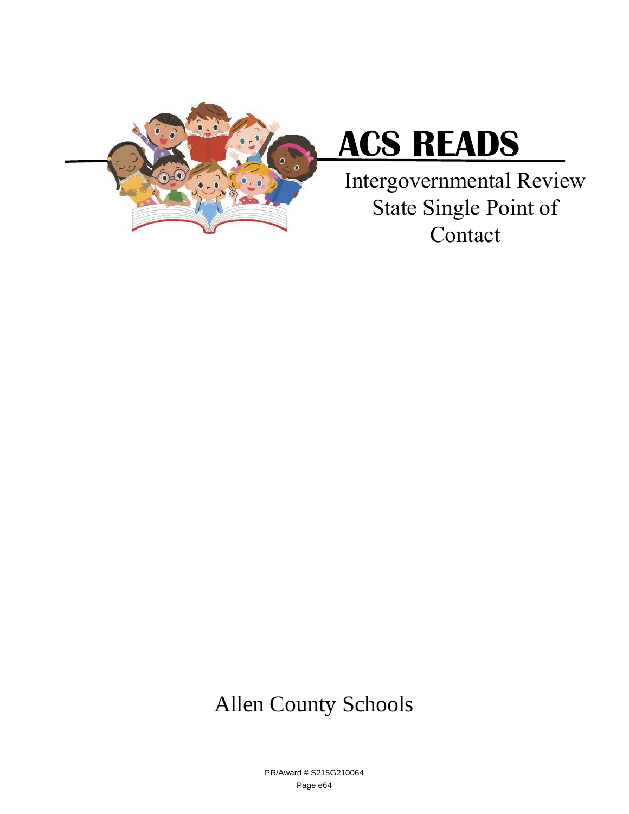

# **ACS READS**

Intergovernmental Review State Single Point of Contact

## Allen County Schools

PR/Award # S215G210064 Page e64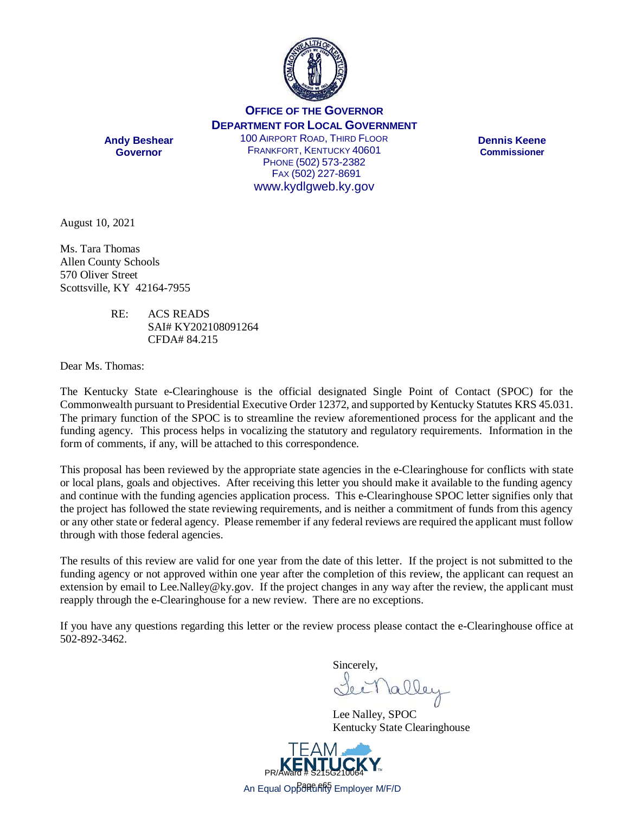

**OFFICE OF THE GOVERNOR DEPARTMENT FOR LOCAL GOVERNMENT** 100 AIRPORT ROAD, THIRD FLOOR FRANKFORT, KENTUCKY 40601 PHONE (502) 573-2382 FAX (502) 227-8691

www.kydlgweb.ky.gov

**Dennis Keene Commissioner**

August 10, 2021

Ms. Tara Thomas Allen County Schools 570 Oliver Street Scottsville, KY 42164-7955

**Andy Beshear Governor**

RE: ACS READS SAI# KY202108091264 CFDA# 84.215

Dear Ms. Thomas:

The Kentucky State e-Clearinghouse is the official designated Single Point of Contact (SPOC) for the Commonwealth pursuant to Presidential Executive Order 12372, and supported by Kentucky Statutes KRS 45.031. The primary function of the SPOC is to streamline the review aforementioned process for the applicant and the funding agency. This process helps in vocalizing the statutory and regulatory requirements. Information in the form of comments, if any, will be attached to this correspondence.

This proposal has been reviewed by the appropriate state agencies in the e-Clearinghouse for conflicts with state or local plans, goals and objectives. After receiving this letter you should make it available to the funding agency and continue with the funding agencies application process. This e-Clearinghouse SPOC letter signifies only that the project has followed the state reviewing requirements, and is neither a commitment of funds from this agency or any other state or federal agency. Please remember if any federal reviews are required the applicant must follow through with those federal agencies.

The results of this review are valid for one year from the date of this letter. If the project is not submitted to the funding agency or not approved within one year after the completion of this review, the applicant can request an extension by email to Lee.Nalley@ky.gov. If the project changes in any way after the review, the applicant must reapply through the e-Clearinghouse for a new review. There are no exceptions.

If you have any questions regarding this letter or the review process please contact the e-Clearinghouse office at 502-892-3462.

Sincerely,

Sechalley

Lee Nalley, SPOC Kentucky State Clearinghouse

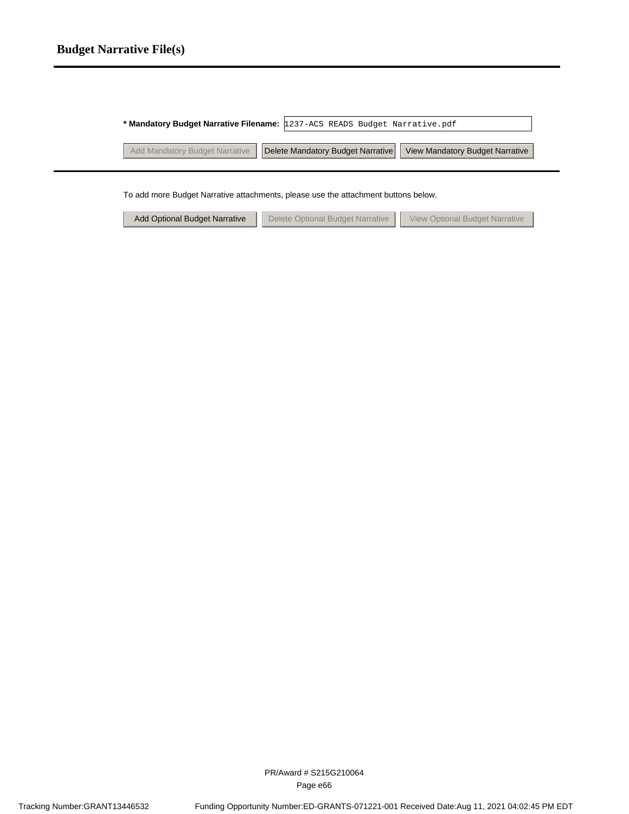#### **Budget Narrative File(s)**

| * Mandatory Budget Narrative Filename: 1237-ACS READS Budget Narrative.pdf |                                   |                                 |  |  |  |  |  |  |
|----------------------------------------------------------------------------|-----------------------------------|---------------------------------|--|--|--|--|--|--|
| Add Mandatory Budget Narrative                                             | Delete Mandatory Budget Narrative | View Mandatory Budget Narrative |  |  |  |  |  |  |
|                                                                            |                                   |                                 |  |  |  |  |  |  |

To add more Budget Narrative attachments, please use the attachment buttons below.

| Add Optional Budget Narrative | Delete Optional Budget Narrative   View Optional Budget Narrative |  |
|-------------------------------|-------------------------------------------------------------------|--|
|-------------------------------|-------------------------------------------------------------------|--|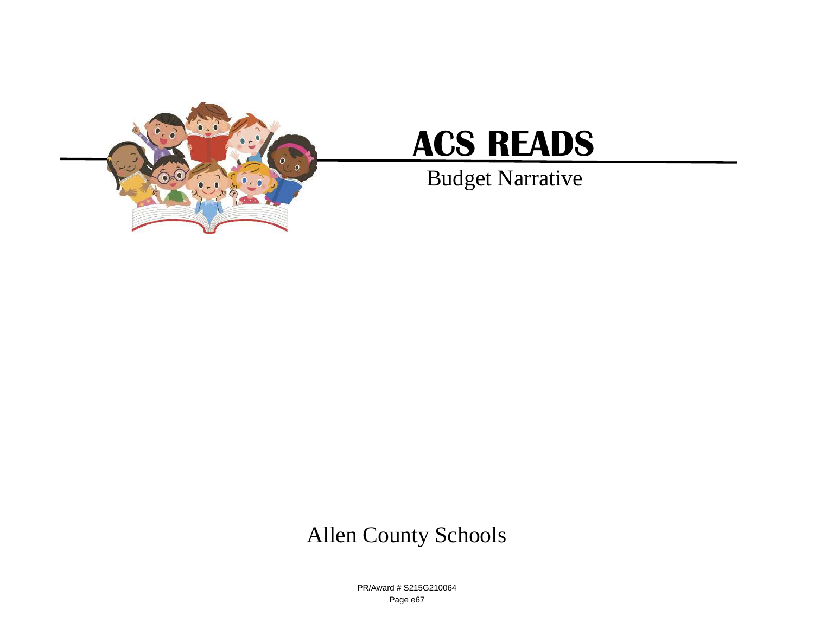

# **ACS READS**

Budget Narrative

## Allen County Schools

PR/Award # S215G210064 Page e67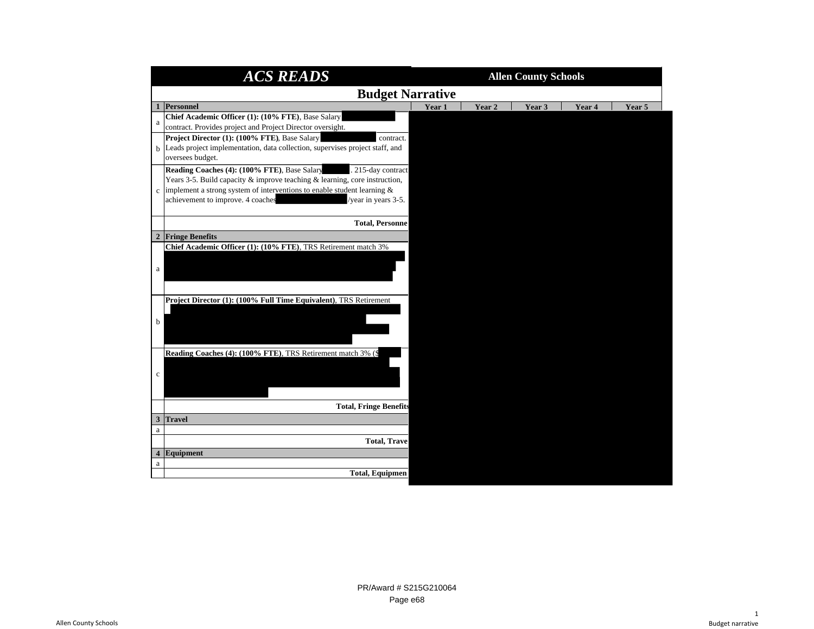|              | <b>ACS READS</b>                                                                       |        |        | <b>Allen County Schools</b> |        |        |
|--------------|----------------------------------------------------------------------------------------|--------|--------|-----------------------------|--------|--------|
|              | <b>Budget Narrative</b>                                                                |        |        |                             |        |        |
| $\mathbf{1}$ | Personnel                                                                              | Year 1 | Year 2 | Year 3                      | Year 4 | Year 5 |
| a            | Chief Academic Officer (1): (10% FTE), Base Salary                                     |        |        |                             |        |        |
|              | contract. Provides project and Project Director oversight.                             |        |        |                             |        |        |
|              | Project Director (1): (100% FTE), Base Salary<br>contract.                             |        |        |                             |        |        |
|              | b Leads project implementation, data collection, supervises project staff, and         |        |        |                             |        |        |
|              | oversees budget.<br>Reading Coaches (4): (100% FTE), Base Salary<br>. 215-day contract |        |        |                             |        |        |
|              | Years 3-5. Build capacity & improve teaching & learning, core instruction,             |        |        |                             |        |        |
| $\mathbf{c}$ | implement a strong system of interventions to enable student learning $\&$             |        |        |                             |        |        |
|              | achievement to improve. 4 coaches<br>/year in years 3-5.                               |        |        |                             |        |        |
|              |                                                                                        |        |        |                             |        |        |
|              | <b>Total, Personne</b>                                                                 |        |        |                             |        |        |
|              | 2 Fringe Benefits                                                                      |        |        |                             |        |        |
|              | Chief Academic Officer (1): (10% FTE), TRS Retirement match 3%                         |        |        |                             |        |        |
|              |                                                                                        |        |        |                             |        |        |
| $\mathbf{a}$ |                                                                                        |        |        |                             |        |        |
|              |                                                                                        |        |        |                             |        |        |
|              |                                                                                        |        |        |                             |        |        |
|              | Project Director (1): (100% Full Time Equivalent), TRS Retirement                      |        |        |                             |        |        |
| b            |                                                                                        |        |        |                             |        |        |
|              |                                                                                        |        |        |                             |        |        |
|              |                                                                                        |        |        |                             |        |        |
|              | Reading Coaches (4): (100% FTE), TRS Retirement match 3% (§                            |        |        |                             |        |        |
|              |                                                                                        |        |        |                             |        |        |
| $\mathbf c$  |                                                                                        |        |        |                             |        |        |
|              |                                                                                        |        |        |                             |        |        |
|              |                                                                                        |        |        |                             |        |        |
|              | <b>Total, Fringe Benefits</b>                                                          |        |        |                             |        |        |
| 3<br>a       | <b>Travel</b>                                                                          |        |        |                             |        |        |
|              | <b>Total, Trave</b>                                                                    |        |        |                             |        |        |
|              | 4 Equipment                                                                            |        |        |                             |        |        |
| a            |                                                                                        |        |        |                             |        |        |
|              | <b>Total, Equipmen</b>                                                                 |        |        |                             |        |        |
|              |                                                                                        |        |        |                             |        |        |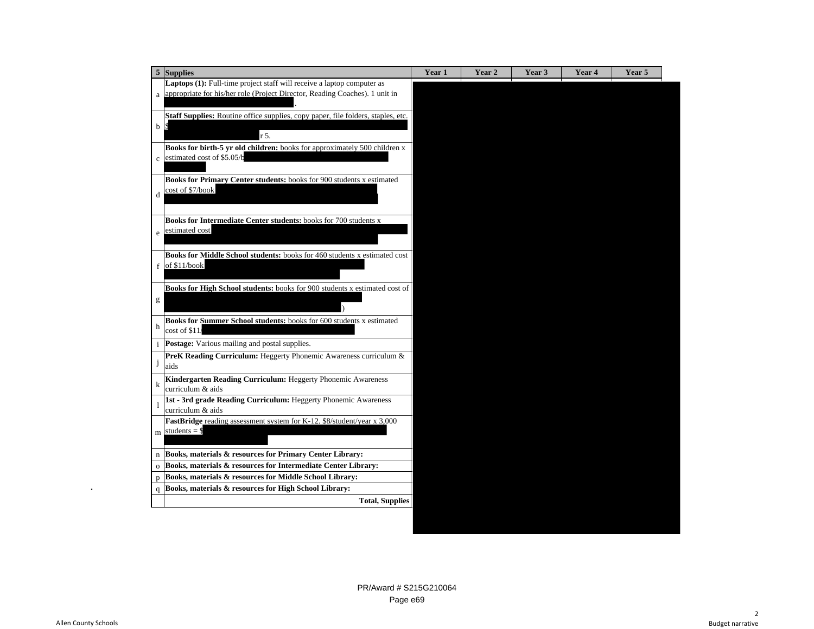|                         | 5 Supplies                                                                                                                | Year 1 | Year 2 | Year 3 | Year 4 | Year 5 |  |
|-------------------------|---------------------------------------------------------------------------------------------------------------------------|--------|--------|--------|--------|--------|--|
|                         | Laptops (1): Full-time project staff will receive a laptop computer as                                                    |        |        |        |        |        |  |
| a                       | appropriate for his/her role (Project Director, Reading Coaches). 1 unit in                                               |        |        |        |        |        |  |
|                         |                                                                                                                           |        |        |        |        |        |  |
|                         | Staff Supplies: Routine office supplies, copy paper, file folders, staples, etc.                                          |        |        |        |        |        |  |
|                         | b <sup>8</sup>                                                                                                            |        |        |        |        |        |  |
|                         | r 5.                                                                                                                      |        |        |        |        |        |  |
|                         | Books for birth-5 yr old children: books for approximately 500 children x                                                 |        |        |        |        |        |  |
|                         | c estimated cost of \$5.05/b                                                                                              |        |        |        |        |        |  |
|                         |                                                                                                                           |        |        |        |        |        |  |
|                         | Books for Primary Center students: books for 900 students x estimated                                                     |        |        |        |        |        |  |
| $\mathbf d$             | cost of \$7/book                                                                                                          |        |        |        |        |        |  |
|                         |                                                                                                                           |        |        |        |        |        |  |
|                         | Books for Intermediate Center students: books for 700 students x                                                          |        |        |        |        |        |  |
| e                       | estimated cost                                                                                                            |        |        |        |        |        |  |
|                         |                                                                                                                           |        |        |        |        |        |  |
|                         | Books for Middle School students: books for 460 students x estimated cost                                                 |        |        |        |        |        |  |
|                         | $f$ of \$11/book                                                                                                          |        |        |        |        |        |  |
|                         |                                                                                                                           |        |        |        |        |        |  |
|                         | Books for High School students: books for 900 students x estimated cost of                                                |        |        |        |        |        |  |
| g                       |                                                                                                                           |        |        |        |        |        |  |
|                         |                                                                                                                           |        |        |        |        |        |  |
|                         | Books for Summer School students: books for 600 students x estimated                                                      |        |        |        |        |        |  |
| h                       | $\cos t$ of $\$11$                                                                                                        |        |        |        |        |        |  |
|                         | Postage: Various mailing and postal supplies.                                                                             |        |        |        |        |        |  |
|                         | PreK Reading Curriculum: Heggerty Phonemic Awareness curriculum &                                                         |        |        |        |        |        |  |
| j                       | aids                                                                                                                      |        |        |        |        |        |  |
| $\bf k$                 | Kindergarten Reading Curriculum: Heggerty Phonemic Awareness                                                              |        |        |        |        |        |  |
|                         | curriculum & aids                                                                                                         |        |        |        |        |        |  |
|                         | 1st - 3rd grade Reading Curriculum: Heggerty Phonemic Awareness                                                           |        |        |        |        |        |  |
|                         | curriculum & aids                                                                                                         |        |        |        |        |        |  |
|                         | FastBridge reading assessment system for K-12. \$8/student/year x 3,000<br>students = $$$                                 |        |        |        |        |        |  |
| <sub>m</sub>            |                                                                                                                           |        |        |        |        |        |  |
|                         |                                                                                                                           |        |        |        |        |        |  |
| $\overline{\mathbf{n}}$ | Books, materials & resources for Primary Center Library:<br>Books, materials & resources for Intermediate Center Library: |        |        |        |        |        |  |
| $\overline{O}$          | Books, materials & resources for Middle School Library:                                                                   |        |        |        |        |        |  |
| p                       |                                                                                                                           |        |        |        |        |        |  |
| q                       | Books, materials & resources for High School Library:                                                                     |        |        |        |        |        |  |
|                         | <b>Total, Supplies</b>                                                                                                    |        |        |        |        |        |  |
|                         |                                                                                                                           |        |        |        |        |        |  |

 $\sim$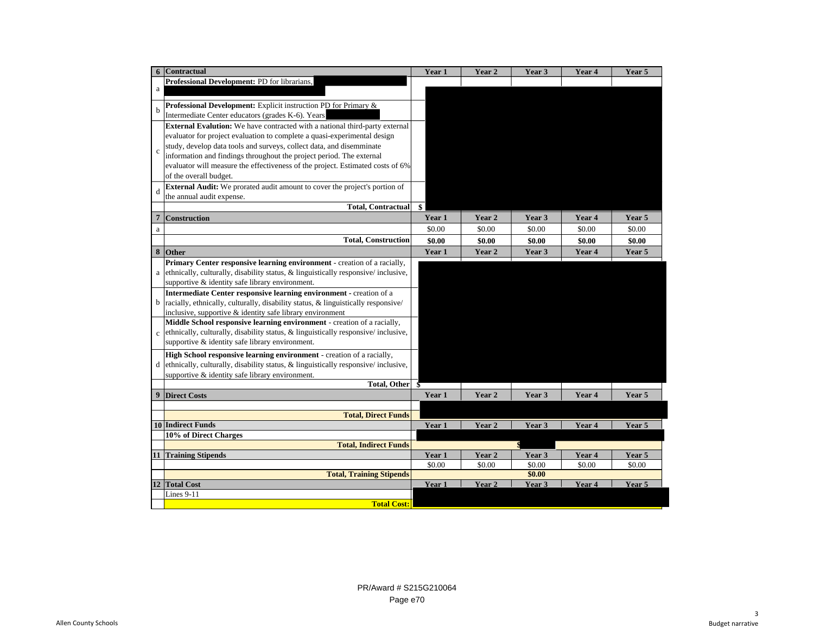|                 | 6 Contractual                                                                                                                        | Year 1                  | Year 2            | Year 3            | Year 4            | Year 5 |
|-----------------|--------------------------------------------------------------------------------------------------------------------------------------|-------------------------|-------------------|-------------------|-------------------|--------|
|                 | Professional Development: PD for librarians,                                                                                         |                         |                   |                   |                   |        |
| a               |                                                                                                                                      |                         |                   |                   |                   |        |
|                 | Professional Development: Explicit instruction PD for Primary &                                                                      |                         |                   |                   |                   |        |
| $\mathbf{h}$    | Intermediate Center educators (grades K-6). Years                                                                                    |                         |                   |                   |                   |        |
|                 | <b>External Evalution:</b> We have contracted with a national third-party external                                                   |                         |                   |                   |                   |        |
|                 | evaluator for project evaluation to complete a quasi-experimental design                                                             |                         |                   |                   |                   |        |
| $\mathbf{c}$    | study, develop data tools and surveys, collect data, and disemminate                                                                 |                         |                   |                   |                   |        |
|                 | information and findings throughout the project period. The external                                                                 |                         |                   |                   |                   |        |
|                 | evaluator will measure the effectiveness of the project. Estimated costs of 6%                                                       |                         |                   |                   |                   |        |
|                 | of the overall budget.                                                                                                               |                         |                   |                   |                   |        |
| d               | External Audit: We prorated audit amount to cover the project's portion of                                                           |                         |                   |                   |                   |        |
|                 | the annual audit expense.                                                                                                            |                         |                   |                   |                   |        |
|                 | <b>Total, Contractual</b>                                                                                                            | $\overline{\mathbf{s}}$ |                   |                   |                   |        |
| $7\phantom{.0}$ | <b>Construction</b>                                                                                                                  | Year 1                  | Year 2            | Year 3            | Year 4            | Year 5 |
| a               |                                                                                                                                      | \$0.00                  | \$0.00            | \$0.00            | \$0.00            | \$0.00 |
|                 | <b>Total, Construction</b>                                                                                                           | \$0.00                  | \$0.00            | \$0.00            | \$0.00            | \$0.00 |
| 8               | Other                                                                                                                                | Year 1                  | Year 2            | Year 3            | Year 4            | Year 5 |
|                 | Primary Center responsive learning environment - creation of a racially,                                                             |                         |                   |                   |                   |        |
| a               | ethnically, culturally, disability status, & linguistically responsive/inclusive,                                                    |                         |                   |                   |                   |        |
|                 | supportive & identity safe library environment.                                                                                      |                         |                   |                   |                   |        |
|                 | Intermediate Center responsive learning environment - creation of a                                                                  |                         |                   |                   |                   |        |
| b               | racially, ethnically, culturally, disability status, & linguistically responsive/                                                    |                         |                   |                   |                   |        |
|                 | inclusive, supportive & identity safe library environment                                                                            |                         |                   |                   |                   |        |
|                 | Middle School responsive learning environment - creation of a racially,                                                              |                         |                   |                   |                   |        |
|                 | ethnically, culturally, disability status, & linguistically responsive/inclusive,<br>supportive & identity safe library environment. |                         |                   |                   |                   |        |
|                 |                                                                                                                                      |                         |                   |                   |                   |        |
|                 | High School responsive learning environment - creation of a racially,                                                                |                         |                   |                   |                   |        |
| d               | ethnically, culturally, disability status, & linguistically responsive/inclusive,                                                    |                         |                   |                   |                   |        |
|                 | supportive & identity safe library environment.<br><b>Total, Other</b>                                                               |                         |                   |                   |                   |        |
| 9               |                                                                                                                                      | Year 1                  | Year 2            | Year 3            | Year <sub>4</sub> | Year 5 |
|                 | <b>Direct Costs</b>                                                                                                                  |                         |                   |                   |                   |        |
|                 | <b>Total, Direct Funds</b>                                                                                                           |                         |                   |                   |                   |        |
|                 | 10 Indirect Funds                                                                                                                    | Year 1                  | Year 2            | Year 3            | Year 4            | Year 5 |
|                 | 10% of Direct Charges                                                                                                                |                         |                   |                   |                   |        |
|                 | <b>Total, Indirect Funds</b>                                                                                                         |                         |                   |                   |                   |        |
| 11              | <b>Training Stipends</b>                                                                                                             | Year 1                  | Year 2            | Year 3            | Year 4            | Year 5 |
|                 |                                                                                                                                      | \$0.00                  | \$0.00            | \$0.00            | \$0.00            | \$0.00 |
|                 | <b>Total, Training Stipends</b>                                                                                                      |                         |                   | \$0.00            |                   |        |
| 12              | <b>Total Cost</b>                                                                                                                    | Year <sub>1</sub>       | Year <sub>2</sub> | Year <sub>3</sub> | Year <sub>4</sub> | Year 5 |
|                 | Lines 9-11                                                                                                                           |                         |                   |                   |                   |        |
|                 | <b>Total Cost:</b>                                                                                                                   |                         |                   |                   |                   |        |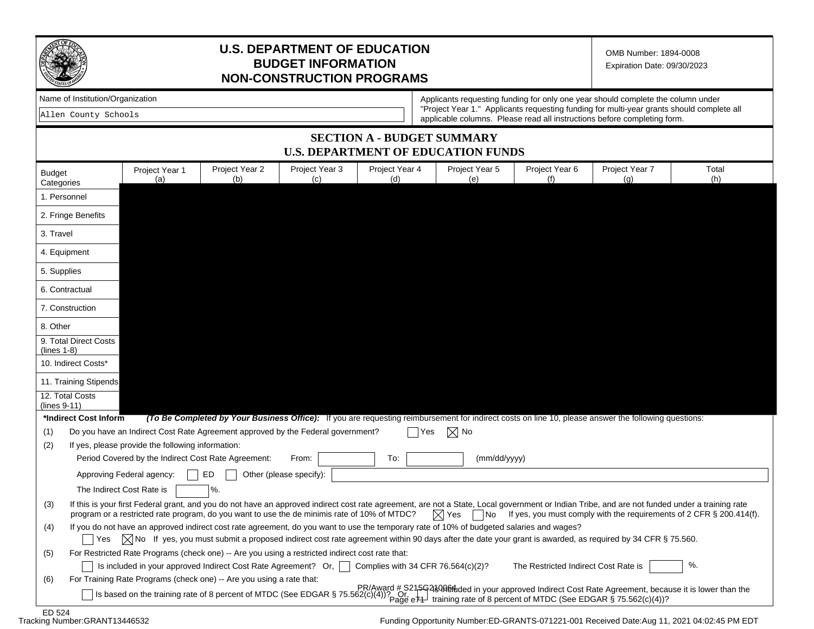

#### **U.S. DEPARTMENT OF EDUCATION BUDGET INFORMATION NON-CONSTRUCTION PROGRAMS**

OMB Number: 1894-0008 Expiration Date: 09/30/2023

| Name of Institution/Organization |  |
|----------------------------------|--|
|----------------------------------|--|

| Allen County Schools |  |
|----------------------|--|
|----------------------|--|

Applicants requesting funding for only one year should complete the column under "Project Year 1." Applicants requesting funding for multi-year grants should complete all applicable columns. Please read all instructions before completing form.

#### **SECTION A - BUDGET SUMMARY U.S. DEPARTMENT OF EDUCATION FUNDS**

| <b>Budget</b><br>Categories            | Project Year 1<br>(a)                                                                                                                                                                                                                                                                                                     | Project Year 2<br>(b) | Project Year 3<br>(C)                                                                                                                                | Project Year 4<br>(d)              | Project Year 5<br>(e)   | Project Year 6<br>(f)                | Project Year 7<br>(a) | Total<br>(h)                                                                                           |
|----------------------------------------|---------------------------------------------------------------------------------------------------------------------------------------------------------------------------------------------------------------------------------------------------------------------------------------------------------------------------|-----------------------|------------------------------------------------------------------------------------------------------------------------------------------------------|------------------------------------|-------------------------|--------------------------------------|-----------------------|--------------------------------------------------------------------------------------------------------|
| 1. Personnel                           |                                                                                                                                                                                                                                                                                                                           |                       |                                                                                                                                                      |                                    |                         |                                      |                       |                                                                                                        |
| 2. Fringe Benefits                     |                                                                                                                                                                                                                                                                                                                           |                       |                                                                                                                                                      |                                    |                         |                                      |                       |                                                                                                        |
| 3. Travel                              |                                                                                                                                                                                                                                                                                                                           |                       |                                                                                                                                                      |                                    |                         |                                      |                       |                                                                                                        |
| 4. Equipment                           |                                                                                                                                                                                                                                                                                                                           |                       |                                                                                                                                                      |                                    |                         |                                      |                       |                                                                                                        |
| 5. Supplies                            |                                                                                                                                                                                                                                                                                                                           |                       |                                                                                                                                                      |                                    |                         |                                      |                       |                                                                                                        |
| 6. Contractual                         |                                                                                                                                                                                                                                                                                                                           |                       |                                                                                                                                                      |                                    |                         |                                      |                       |                                                                                                        |
| 7. Construction                        |                                                                                                                                                                                                                                                                                                                           |                       |                                                                                                                                                      |                                    |                         |                                      |                       |                                                                                                        |
| 8. Other                               |                                                                                                                                                                                                                                                                                                                           |                       |                                                                                                                                                      |                                    |                         |                                      |                       |                                                                                                        |
| 9. Total Direct Costs<br>$(lines 1-8)$ |                                                                                                                                                                                                                                                                                                                           |                       |                                                                                                                                                      |                                    |                         |                                      |                       |                                                                                                        |
| 10. Indirect Costs*                    |                                                                                                                                                                                                                                                                                                                           |                       |                                                                                                                                                      |                                    |                         |                                      |                       |                                                                                                        |
| 11. Training Stipends                  |                                                                                                                                                                                                                                                                                                                           |                       |                                                                                                                                                      |                                    |                         |                                      |                       |                                                                                                        |
| 12. Total Costs<br>$(lines 9-11)$      |                                                                                                                                                                                                                                                                                                                           |                       |                                                                                                                                                      |                                    |                         |                                      |                       |                                                                                                        |
| *Indirect Cost Inform                  |                                                                                                                                                                                                                                                                                                                           |                       | (To Be Completed by Your Business Office): If you are requesting reimbursement for indirect costs on line 10, please answer the following questions: |                                    |                         |                                      |                       |                                                                                                        |
| (1)                                    | Do you have an Indirect Cost Rate Agreement approved by the Federal government?                                                                                                                                                                                                                                           |                       |                                                                                                                                                      | Yes                                | $\boxtimes$ No          |                                      |                       |                                                                                                        |
| (2)                                    | If yes, please provide the following information:                                                                                                                                                                                                                                                                         |                       |                                                                                                                                                      |                                    |                         |                                      |                       |                                                                                                        |
|                                        | Period Covered by the Indirect Cost Rate Agreement:                                                                                                                                                                                                                                                                       |                       | From:                                                                                                                                                | To:                                | (mm/dd/yyyy)            |                                      |                       |                                                                                                        |
|                                        | Approving Federal agency:                                                                                                                                                                                                                                                                                                 | ED                    | Other (please specify):                                                                                                                              |                                    |                         |                                      |                       |                                                                                                        |
|                                        | The Indirect Cost Rate is                                                                                                                                                                                                                                                                                                 | l%.                   |                                                                                                                                                      |                                    |                         |                                      |                       |                                                                                                        |
| (3)                                    | If this is your first Federal grant, and you do not have an approved indirect cost rate agreement, are not a State, Local government or Indian Tribe, and are not funded under a training rate<br>program or a restricted rate program, do you want to use the de minimis rate of 10% of MTDC?                            |                       |                                                                                                                                                      |                                    | $\boxtimes$ Yes<br>  No |                                      |                       | If yes, you must comply with the requirements of 2 CFR § 200.414(f).                                   |
| (4)<br>l Yes                           | If you do not have an approved indirect cost rate agreement, do you want to use the temporary rate of 10% of budgeted salaries and wages?<br>$\sqrt{\phantom{a}}$ No If yes, you must submit a proposed indirect cost rate agreement within 90 days after the date your grant is awarded, as required by 34 CFR § 75.560. |                       |                                                                                                                                                      |                                    |                         |                                      |                       |                                                                                                        |
| (5)                                    | For Restricted Rate Programs (check one) -- Are you using a restricted indirect cost rate that:                                                                                                                                                                                                                           |                       |                                                                                                                                                      |                                    |                         |                                      |                       |                                                                                                        |
|                                        | Is included in your approved Indirect Cost Rate Agreement? Or,                                                                                                                                                                                                                                                            |                       |                                                                                                                                                      | Complies with 34 CFR 76.564(c)(2)? |                         | The Restricted Indirect Cost Rate is |                       | %.                                                                                                     |
| (6)                                    | For Training Rate Programs (check one) -- Are you using a rate that:                                                                                                                                                                                                                                                      |                       |                                                                                                                                                      |                                    |                         |                                      |                       |                                                                                                        |
|                                        | Is based on the training rate of 8 percent of MTDC (See EDGAR § 75.562(c)(4))? Or $\bigcup_{Page \text{ } eP4}$ training rate of 8 percent of MTDC (See EDGAR § 75.562(c)(4))?                                                                                                                                            |                       |                                                                                                                                                      |                                    |                         |                                      |                       | PR/Award # S215G219Refuded in your approved Indirect Cost Rate Agreement, because it is lower than the |
| $E\Gamma E24$                          |                                                                                                                                                                                                                                                                                                                           |                       |                                                                                                                                                      |                                    |                         |                                      |                       |                                                                                                        |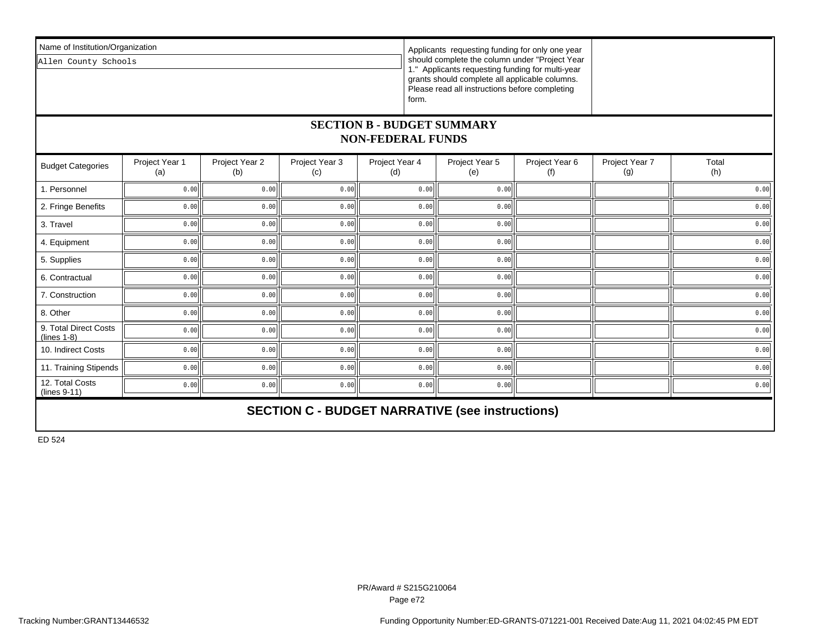| Name of Institution/Organization<br>Allen County Schools      |                |                |                |                | Applicants requesting funding for only one year<br>should complete the column under "Project Year<br>1." Applicants requesting funding for multi-year<br>grants should complete all applicable columns.<br>Please read all instructions before completing<br>form. |                |                |       |  |  |
|---------------------------------------------------------------|----------------|----------------|----------------|----------------|--------------------------------------------------------------------------------------------------------------------------------------------------------------------------------------------------------------------------------------------------------------------|----------------|----------------|-------|--|--|
| <b>SECTION B - BUDGET SUMMARY</b><br><b>NON-FEDERAL FUNDS</b> |                |                |                |                |                                                                                                                                                                                                                                                                    |                |                |       |  |  |
|                                                               | Project Year 1 | Project Year 2 | Project Year 3 | Project Year 4 | Project Year 5                                                                                                                                                                                                                                                     | Project Year 6 | Project Year 7 | Total |  |  |

| <b>Budget Categories</b>                               | Project Year 1<br>(a) | Project Year 2<br>(b) | Project Year 3<br>(c) | Project Year 4<br>(d) | Project Year 5<br>(e) | Project Year 6<br>(f) | Project Year 7<br>(g) | Total<br>(h) |  |
|--------------------------------------------------------|-----------------------|-----------------------|-----------------------|-----------------------|-----------------------|-----------------------|-----------------------|--------------|--|
| 1. Personnel                                           | 0.00                  | 0.00                  | 0.00                  | 0.00                  | 0.00                  |                       |                       | 0.00         |  |
| 2. Fringe Benefits                                     | 0.00                  | 0.00                  | 0.00                  | 0.00                  | 0.00                  |                       |                       | 0.00         |  |
| 3. Travel                                              | 0.00                  | 0.00                  | 0.00                  | 0.00                  | 0.00                  |                       |                       | 0.00         |  |
| 4. Equipment                                           | 0.00                  | 0.00                  | 0.00                  | 0.00                  | 0.00                  |                       |                       | 0.00         |  |
| 5. Supplies                                            | 0.00                  | 0.00                  | 0.00                  | 0.00                  | 0.00                  |                       |                       | 0.00         |  |
| 6. Contractual                                         | 0.00                  | 0.00                  | 0.00                  | 0.00                  | 0.00                  |                       |                       | 0.00         |  |
| 7. Construction                                        | 0.00                  | 0.00                  | 0.00                  | 0.00                  | 0.00                  |                       |                       | 0.00         |  |
| 8. Other                                               | 0.00                  | 0.00                  | 0.00                  | 0.00                  | 0.00                  |                       |                       | 0.00         |  |
| 9. Total Direct Costs<br>$(lines 1-8)$                 | 0.00                  | 0.00                  | 0.00                  | 0.00                  | 0.00                  |                       |                       | 0.00         |  |
| 10. Indirect Costs                                     | 0.00                  | 0.00                  | 0.00                  | 0.00                  | 0.00                  |                       |                       | 0.00         |  |
| 11. Training Stipends                                  | 0.00                  | 0.00                  | 0.00                  | 0.00                  | 0.00                  |                       |                       | 0.00         |  |
| 12. Total Costs<br>$(lines 9-11)$                      | 0.00                  | 0.00                  | $0.00$                | 0.00                  | 0.00                  |                       |                       | 0.00         |  |
| <b>SECTION C - BUDGET NARRATIVE (see instructions)</b> |                       |                       |                       |                       |                       |                       |                       |              |  |

ED 524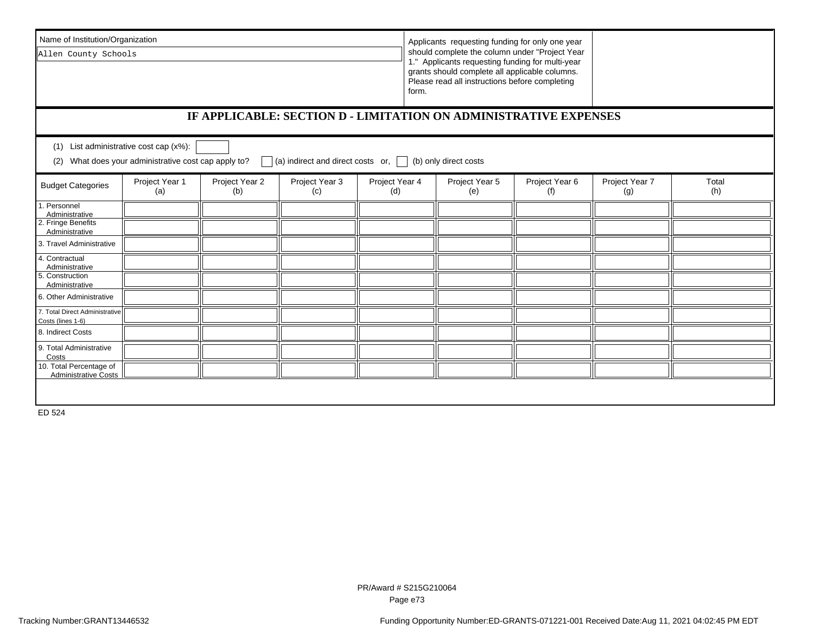| Name of Institution/Organization                                                                                                                                           |                       |                       |                       |                       | Applicants requesting funding for only one year                                                                                                                                                                 |                       |                       |              |  |  |  |
|----------------------------------------------------------------------------------------------------------------------------------------------------------------------------|-----------------------|-----------------------|-----------------------|-----------------------|-----------------------------------------------------------------------------------------------------------------------------------------------------------------------------------------------------------------|-----------------------|-----------------------|--------------|--|--|--|
| Allen County Schools                                                                                                                                                       |                       |                       |                       |                       | should complete the column under "Project Year<br>1." Applicants requesting funding for multi-year<br>grants should complete all applicable columns.<br>Please read all instructions before completing<br>form. |                       |                       |              |  |  |  |
| IF APPLICABLE: SECTION D - LIMITATION ON ADMINISTRATIVE EXPENSES                                                                                                           |                       |                       |                       |                       |                                                                                                                                                                                                                 |                       |                       |              |  |  |  |
| (1) List administrative cost cap $(x\%)$ :<br>What does your administrative cost cap apply to?<br>(a) indirect and direct costs or, $\Box$<br>(b) only direct costs<br>(2) |                       |                       |                       |                       |                                                                                                                                                                                                                 |                       |                       |              |  |  |  |
| <b>Budget Categories</b>                                                                                                                                                   | Project Year 1<br>(a) | Project Year 2<br>(b) | Project Year 3<br>(c) | Project Year 4<br>(d) | Project Year 5<br>(e)                                                                                                                                                                                           | Project Year 6<br>(f) | Project Year 7<br>(g) | Total<br>(h) |  |  |  |
| Personnel<br>Administrative<br>2. Fringe Benefits<br>Administrative                                                                                                        |                       |                       |                       |                       |                                                                                                                                                                                                                 |                       |                       |              |  |  |  |
| 3. Travel Administrative                                                                                                                                                   |                       |                       |                       |                       |                                                                                                                                                                                                                 |                       |                       |              |  |  |  |
| 4. Contractual<br>Administrative                                                                                                                                           |                       |                       |                       |                       |                                                                                                                                                                                                                 |                       |                       |              |  |  |  |
| 5. Construction<br>Administrative                                                                                                                                          |                       |                       |                       |                       |                                                                                                                                                                                                                 |                       |                       |              |  |  |  |
| 6. Other Administrative                                                                                                                                                    |                       |                       |                       |                       |                                                                                                                                                                                                                 |                       |                       |              |  |  |  |
| 7. Total Direct Administrative<br>Costs (lines 1-6)                                                                                                                        |                       |                       |                       |                       |                                                                                                                                                                                                                 |                       |                       |              |  |  |  |
| 8. Indirect Costs                                                                                                                                                          |                       |                       |                       |                       |                                                                                                                                                                                                                 |                       |                       |              |  |  |  |
| 9. Total Administrative<br>Costs                                                                                                                                           |                       |                       |                       |                       |                                                                                                                                                                                                                 |                       |                       |              |  |  |  |
| 10. Total Percentage of<br><b>Administrative Costs</b>                                                                                                                     |                       |                       |                       |                       |                                                                                                                                                                                                                 |                       |                       |              |  |  |  |
| ED 524                                                                                                                                                                     |                       |                       |                       |                       |                                                                                                                                                                                                                 |                       |                       |              |  |  |  |